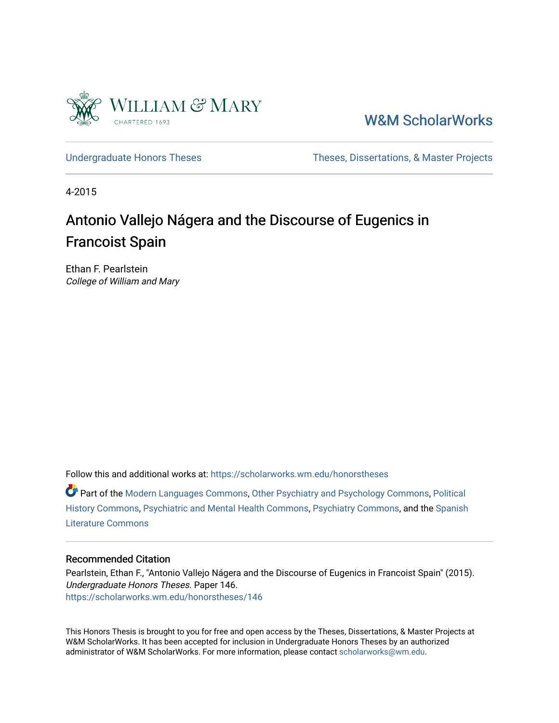

[W&M ScholarWorks](https://scholarworks.wm.edu/) 

[Undergraduate Honors Theses](https://scholarworks.wm.edu/honorstheses) Theses Theses, Dissertations, & Master Projects

4-2015

# Antonio Vallejo Nágera and the Discourse of Eugenics in Francoist Spain

Ethan F. Pearlstein College of William and Mary

Follow this and additional works at: [https://scholarworks.wm.edu/honorstheses](https://scholarworks.wm.edu/honorstheses?utm_source=scholarworks.wm.edu%2Fhonorstheses%2F146&utm_medium=PDF&utm_campaign=PDFCoverPages) 

Part of the [Modern Languages Commons,](http://network.bepress.com/hgg/discipline/1130?utm_source=scholarworks.wm.edu%2Fhonorstheses%2F146&utm_medium=PDF&utm_campaign=PDFCoverPages) [Other Psychiatry and Psychology Commons](http://network.bepress.com/hgg/discipline/992?utm_source=scholarworks.wm.edu%2Fhonorstheses%2F146&utm_medium=PDF&utm_campaign=PDFCoverPages), [Political](http://network.bepress.com/hgg/discipline/505?utm_source=scholarworks.wm.edu%2Fhonorstheses%2F146&utm_medium=PDF&utm_campaign=PDFCoverPages) [History Commons](http://network.bepress.com/hgg/discipline/505?utm_source=scholarworks.wm.edu%2Fhonorstheses%2F146&utm_medium=PDF&utm_campaign=PDFCoverPages), [Psychiatric and Mental Health Commons](http://network.bepress.com/hgg/discipline/711?utm_source=scholarworks.wm.edu%2Fhonorstheses%2F146&utm_medium=PDF&utm_campaign=PDFCoverPages), [Psychiatry Commons](http://network.bepress.com/hgg/discipline/704?utm_source=scholarworks.wm.edu%2Fhonorstheses%2F146&utm_medium=PDF&utm_campaign=PDFCoverPages), and the [Spanish](http://network.bepress.com/hgg/discipline/550?utm_source=scholarworks.wm.edu%2Fhonorstheses%2F146&utm_medium=PDF&utm_campaign=PDFCoverPages) [Literature Commons](http://network.bepress.com/hgg/discipline/550?utm_source=scholarworks.wm.edu%2Fhonorstheses%2F146&utm_medium=PDF&utm_campaign=PDFCoverPages) 

#### Recommended Citation

Pearlstein, Ethan F., "Antonio Vallejo Nágera and the Discourse of Eugenics in Francoist Spain" (2015). Undergraduate Honors Theses. Paper 146. [https://scholarworks.wm.edu/honorstheses/146](https://scholarworks.wm.edu/honorstheses/146?utm_source=scholarworks.wm.edu%2Fhonorstheses%2F146&utm_medium=PDF&utm_campaign=PDFCoverPages) 

This Honors Thesis is brought to you for free and open access by the Theses, Dissertations, & Master Projects at W&M ScholarWorks. It has been accepted for inclusion in Undergraduate Honors Theses by an authorized administrator of W&M ScholarWorks. For more information, please contact [scholarworks@wm.edu.](mailto:scholarworks@wm.edu)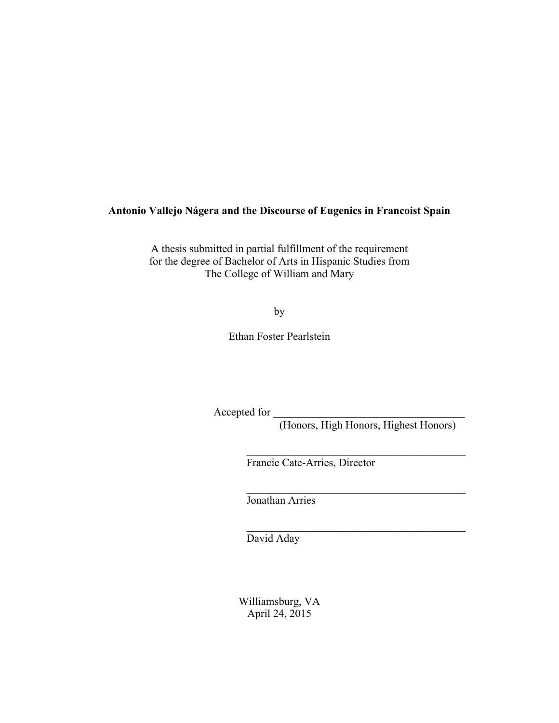#### **Antonio Vallejo Nágera and the Discourse of Eugenics in Francoist Spain**

A thesis submitted in partial fulfillment of the requirement for the degree of Bachelor of Arts in Hispanic Studies from The College of William and Mary

by

Ethan Foster Pearlstein

Accepted for \_\_\_\_\_\_\_\_\_\_\_\_\_\_\_\_\_\_\_\_\_\_\_\_\_\_\_\_\_\_\_\_\_\_\_

(Honors, High Honors, Highest Honors)

 $\mathcal{L}_\text{max}$  , and the contract of the contract of the contract of the contract of the contract of the contract of the contract of the contract of the contract of the contract of the contract of the contract of the contr

 $\mathcal{L}_\text{max}$ 

 $\mathcal{L}_\text{max}$  , and the contract of the contract of the contract of the contract of the contract of the contract of the contract of the contract of the contract of the contract of the contract of the contract of the contr

Francie Cate-Arries, Director

Jonathan Arries

David Aday

Williamsburg, VA April 24, 2015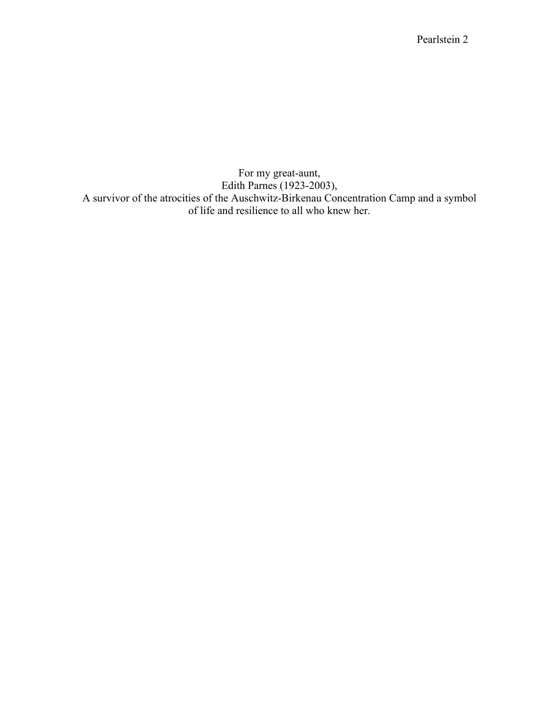For my great-aunt, Edith Parnes (1923-2003), A survivor of the atrocities of the Auschwitz-Birkenau Concentration Camp and a symbol of life and resilience to all who knew her.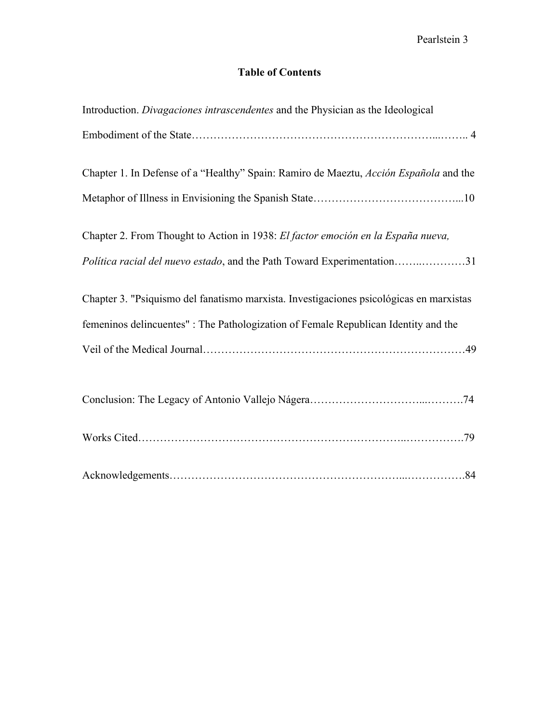#### **Table of Contents**

| Introduction. Divagaciones intrascendentes and the Physician as the Ideological         |
|-----------------------------------------------------------------------------------------|
|                                                                                         |
| Chapter 1. In Defense of a "Healthy" Spain: Ramiro de Maeztu, Acción Española and the   |
|                                                                                         |
| Chapter 2. From Thought to Action in 1938: El factor emoción en la España nueva,        |
| Política racial del nuevo estado, and the Path Toward Experimentation31                 |
| Chapter 3. "Psiquismo del fanatismo marxista. Investigaciones psicológicas en marxistas |
| femeninos delincuentes" : The Pathologization of Female Republican Identity and the     |
|                                                                                         |
|                                                                                         |
|                                                                                         |
|                                                                                         |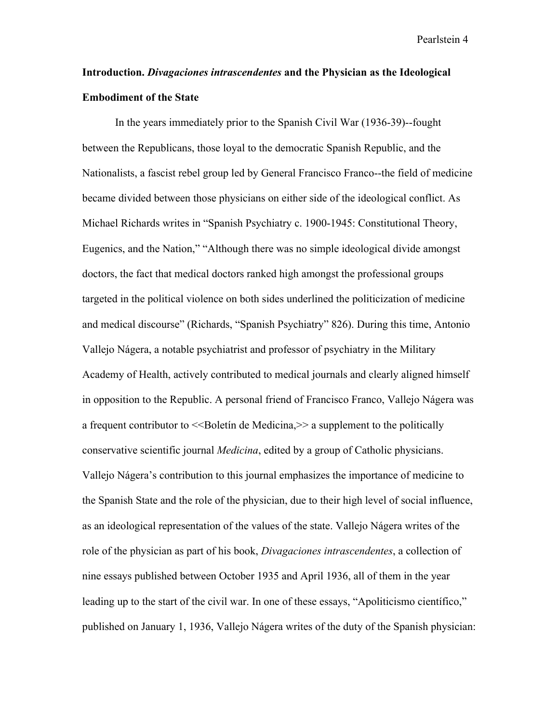## **Introduction.** *Divagaciones intrascendentes* **and the Physician as the Ideological Embodiment of the State**

In the years immediately prior to the Spanish Civil War (1936-39)--fought between the Republicans, those loyal to the democratic Spanish Republic, and the Nationalists, a fascist rebel group led by General Francisco Franco--the field of medicine became divided between those physicians on either side of the ideological conflict. As Michael Richards writes in "Spanish Psychiatry c. 1900-1945: Constitutional Theory, Eugenics, and the Nation," "Although there was no simple ideological divide amongst doctors, the fact that medical doctors ranked high amongst the professional groups targeted in the political violence on both sides underlined the politicization of medicine and medical discourse" (Richards, "Spanish Psychiatry" 826). During this time, Antonio Vallejo Nágera, a notable psychiatrist and professor of psychiatry in the Military Academy of Health, actively contributed to medical journals and clearly aligned himself in opposition to the Republic. A personal friend of Francisco Franco, Vallejo Nágera was a frequent contributor to  $\leq$ Boletín de Medicina, $\geq$  a supplement to the politically conservative scientific journal *Medicina*, edited by a group of Catholic physicians. Vallejo Nágera's contribution to this journal emphasizes the importance of medicine to the Spanish State and the role of the physician, due to their high level of social influence, as an ideological representation of the values of the state. Vallejo Nágera writes of the role of the physician as part of his book, *Divagaciones intrascendentes*, a collection of nine essays published between October 1935 and April 1936, all of them in the year leading up to the start of the civil war. In one of these essays, "Apoliticismo científico," published on January 1, 1936, Vallejo Nágera writes of the duty of the Spanish physician: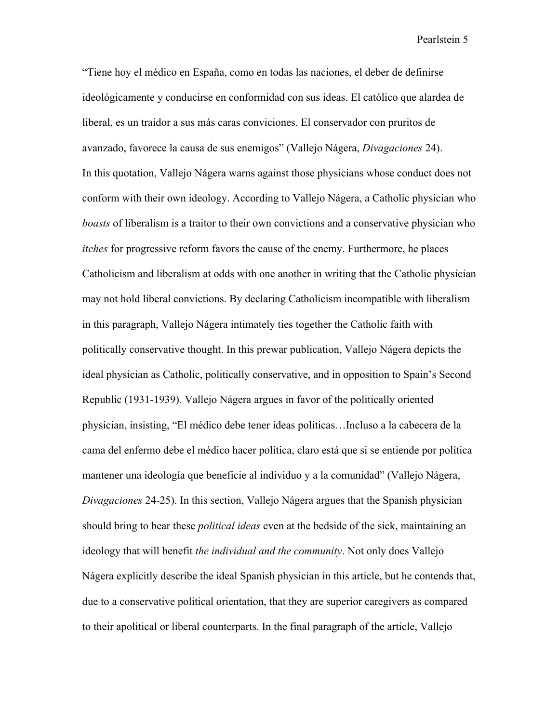"Tiene hoy el médico en España, como en todas las naciones, el deber de definirse ideológicamente y conducirse en conformidad con sus ideas. El católico que alardea de liberal, es un traidor a sus más caras conviciones. El conservador con pruritos de avanzado, favorece la causa de sus enemigos" (Vallejo Nágera, *Divagaciones* 24). In this quotation, Vallejo Nágera warns against those physicians whose conduct does not conform with their own ideology. According to Vallejo Nágera, a Catholic physician who *boasts* of liberalism is a traitor to their own convictions and a conservative physician who *itches* for progressive reform favors the cause of the enemy. Furthermore, he places Catholicism and liberalism at odds with one another in writing that the Catholic physician may not hold liberal convictions. By declaring Catholicism incompatible with liberalism in this paragraph, Vallejo Nágera intimately ties together the Catholic faith with politically conservative thought. In this prewar publication, Vallejo Nágera depicts the ideal physician as Catholic, politically conservative, and in opposition to Spain's Second Republic (1931-1939). Vallejo Nágera argues in favor of the politically oriented physician, insisting, "El médico debe tener ideas políticas…Incluso a la cabecera de la cama del enfermo debe el médico hacer política, claro está que si se entiende por política mantener una ideología que beneficie al individuo y a la comunidad" (Vallejo Nágera, *Divagaciones* 24-25). In this section, Vallejo Nágera argues that the Spanish physician should bring to bear these *political ideas* even at the bedside of the sick, maintaining an ideology that will benefit *the individual and the community*. Not only does Vallejo Nágera explicitly describe the ideal Spanish physician in this article, but he contends that, due to a conservative political orientation, that they are superior caregivers as compared to their apolitical or liberal counterparts. In the final paragraph of the article, Vallejo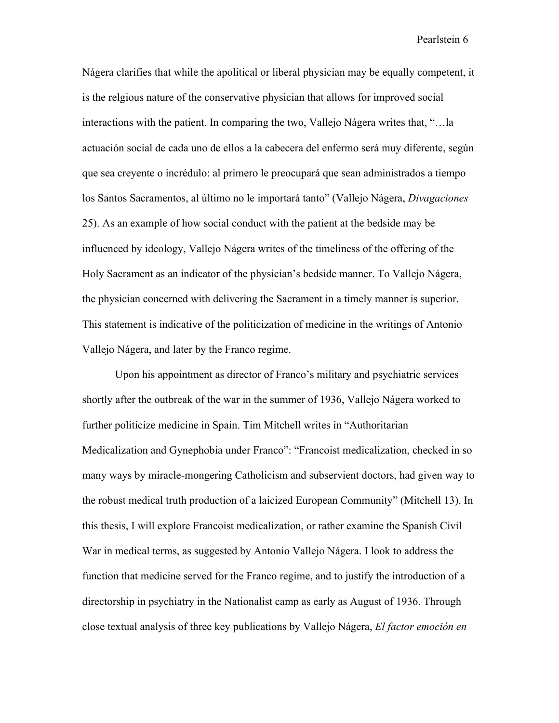Nágera clarifies that while the apolitical or liberal physician may be equally competent, it is the relgious nature of the conservative physician that allows for improved social interactions with the patient. In comparing the two, Vallejo Nágera writes that, "…la actuación social de cada uno de ellos a la cabecera del enfermo será muy diferente, según que sea creyente o incrédulo: al primero le preocupará que sean administrados a tiempo los Santos Sacramentos, al último no le importará tanto" (Vallejo Nágera, *Divagaciones*  25). As an example of how social conduct with the patient at the bedside may be influenced by ideology, Vallejo Nágera writes of the timeliness of the offering of the Holy Sacrament as an indicator of the physician's bedside manner. To Vallejo Nágera, the physician concerned with delivering the Sacrament in a timely manner is superior. This statement is indicative of the politicization of medicine in the writings of Antonio Vallejo Nágera, and later by the Franco regime.

Upon his appointment as director of Franco's military and psychiatric services shortly after the outbreak of the war in the summer of 1936, Vallejo Nágera worked to further politicize medicine in Spain. Tim Mitchell writes in "Authoritarian Medicalization and Gynephobia under Franco": "Francoist medicalization, checked in so many ways by miracle-mongering Catholicism and subservient doctors, had given way to the robust medical truth production of a laicized European Community" (Mitchell 13). In this thesis, I will explore Francoist medicalization, or rather examine the Spanish Civil War in medical terms, as suggested by Antonio Vallejo Nágera. I look to address the function that medicine served for the Franco regime, and to justify the introduction of a directorship in psychiatry in the Nationalist camp as early as August of 1936. Through close textual analysis of three key publications by Vallejo Nágera, *El factor emoción en*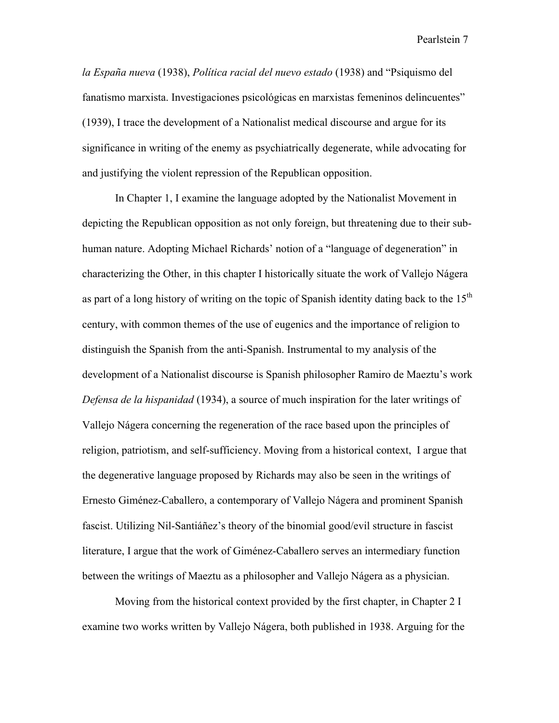*la España nueva* (1938), *Política racial del nuevo estado* (1938) and "Psiquismo del fanatismo marxista. Investigaciones psicológicas en marxistas femeninos delincuentes" (1939), I trace the development of a Nationalist medical discourse and argue for its significance in writing of the enemy as psychiatrically degenerate, while advocating for and justifying the violent repression of the Republican opposition.

In Chapter 1, I examine the language adopted by the Nationalist Movement in depicting the Republican opposition as not only foreign, but threatening due to their subhuman nature. Adopting Michael Richards' notion of a "language of degeneration" in characterizing the Other, in this chapter I historically situate the work of Vallejo Nágera as part of a long history of writing on the topic of Spanish identity dating back to the  $15<sup>th</sup>$ century, with common themes of the use of eugenics and the importance of religion to distinguish the Spanish from the anti-Spanish. Instrumental to my analysis of the development of a Nationalist discourse is Spanish philosopher Ramiro de Maeztu's work *Defensa de la hispanidad* (1934), a source of much inspiration for the later writings of Vallejo Nágera concerning the regeneration of the race based upon the principles of religion, patriotism, and self-sufficiency. Moving from a historical context, I argue that the degenerative language proposed by Richards may also be seen in the writings of Ernesto Giménez-Caballero, a contemporary of Vallejo Nágera and prominent Spanish fascist. Utilizing Nil-Santiáñez's theory of the binomial good/evil structure in fascist literature, I argue that the work of Giménez-Caballero serves an intermediary function between the writings of Maeztu as a philosopher and Vallejo Nágera as a physician.

Moving from the historical context provided by the first chapter, in Chapter 2 I examine two works written by Vallejo Nágera, both published in 1938. Arguing for the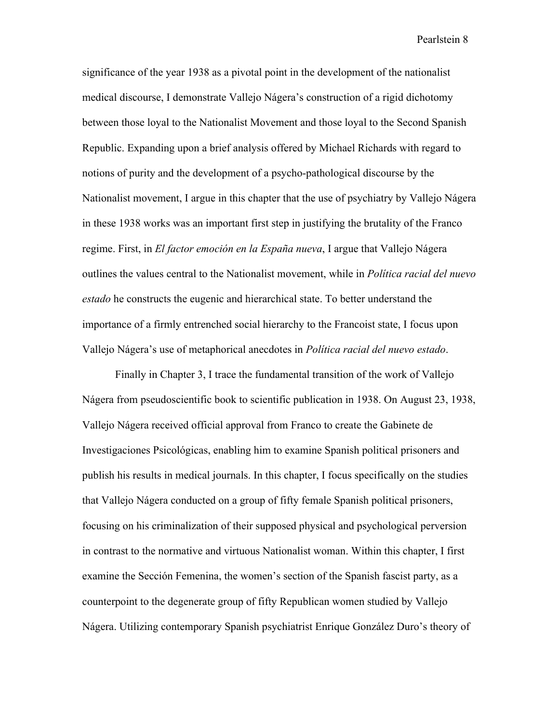significance of the year 1938 as a pivotal point in the development of the nationalist medical discourse, I demonstrate Vallejo Nágera's construction of a rigid dichotomy between those loyal to the Nationalist Movement and those loyal to the Second Spanish Republic. Expanding upon a brief analysis offered by Michael Richards with regard to notions of purity and the development of a psycho-pathological discourse by the Nationalist movement, I argue in this chapter that the use of psychiatry by Vallejo Nágera in these 1938 works was an important first step in justifying the brutality of the Franco regime. First, in *El factor emoción en la España nueva*, I argue that Vallejo Nágera outlines the values central to the Nationalist movement, while in *Política racial del nuevo estado* he constructs the eugenic and hierarchical state. To better understand the importance of a firmly entrenched social hierarchy to the Francoist state, I focus upon Vallejo Nágera's use of metaphorical anecdotes in *Política racial del nuevo estado*.

Finally in Chapter 3, I trace the fundamental transition of the work of Vallejo Nágera from pseudoscientific book to scientific publication in 1938. On August 23, 1938, Vallejo Nágera received official approval from Franco to create the Gabinete de Investigaciones Psicológicas, enabling him to examine Spanish political prisoners and publish his results in medical journals. In this chapter, I focus specifically on the studies that Vallejo Nágera conducted on a group of fifty female Spanish political prisoners, focusing on his criminalization of their supposed physical and psychological perversion in contrast to the normative and virtuous Nationalist woman. Within this chapter, I first examine the Sección Femenina, the women's section of the Spanish fascist party, as a counterpoint to the degenerate group of fifty Republican women studied by Vallejo Nágera. Utilizing contemporary Spanish psychiatrist Enrique González Duro's theory of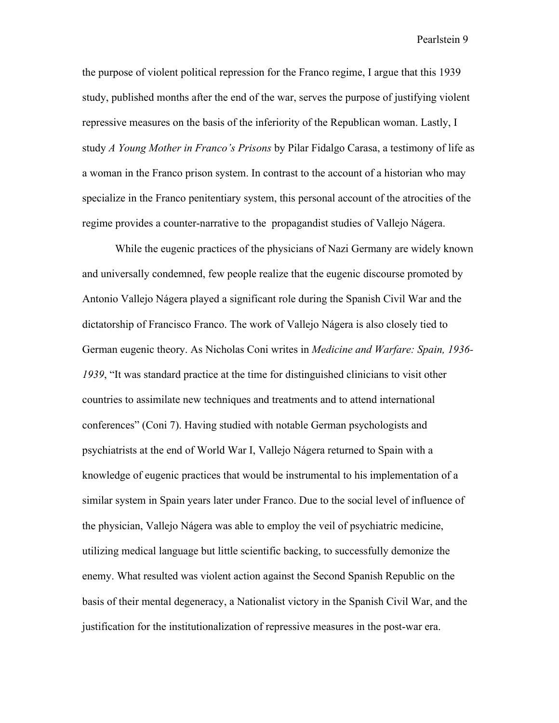the purpose of violent political repression for the Franco regime, I argue that this 1939 study, published months after the end of the war, serves the purpose of justifying violent repressive measures on the basis of the inferiority of the Republican woman. Lastly, I study *A Young Mother in Franco's Prisons* by Pilar Fidalgo Carasa, a testimony of life as a woman in the Franco prison system. In contrast to the account of a historian who may specialize in the Franco penitentiary system, this personal account of the atrocities of the regime provides a counter-narrative to the propagandist studies of Vallejo Nágera.

While the eugenic practices of the physicians of Nazi Germany are widely known and universally condemned, few people realize that the eugenic discourse promoted by Antonio Vallejo Nágera played a significant role during the Spanish Civil War and the dictatorship of Francisco Franco. The work of Vallejo Nágera is also closely tied to German eugenic theory. As Nicholas Coni writes in *Medicine and Warfare: Spain, 1936- 1939*, "It was standard practice at the time for distinguished clinicians to visit other countries to assimilate new techniques and treatments and to attend international conferences" (Coni 7). Having studied with notable German psychologists and psychiatrists at the end of World War I, Vallejo Nágera returned to Spain with a knowledge of eugenic practices that would be instrumental to his implementation of a similar system in Spain years later under Franco. Due to the social level of influence of the physician, Vallejo Nágera was able to employ the veil of psychiatric medicine, utilizing medical language but little scientific backing, to successfully demonize the enemy. What resulted was violent action against the Second Spanish Republic on the basis of their mental degeneracy, a Nationalist victory in the Spanish Civil War, and the justification for the institutionalization of repressive measures in the post-war era.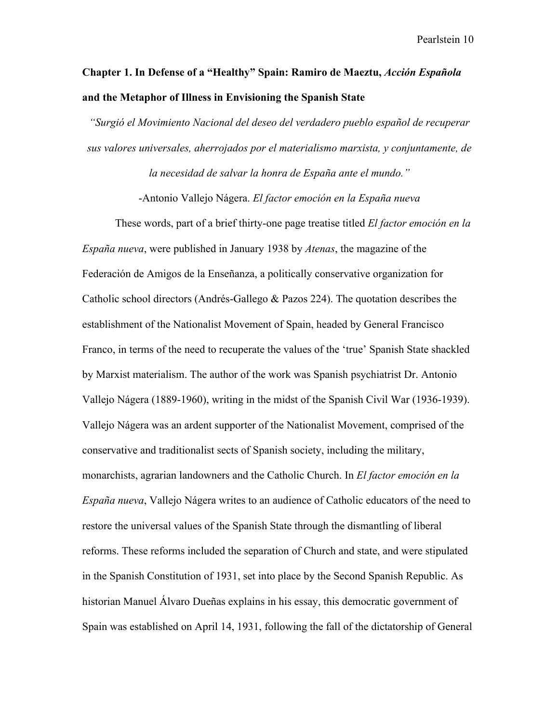## **Chapter 1. In Defense of a "Healthy" Spain: Ramiro de Maeztu,** *Acción Española* **and the Metaphor of Illness in Envisioning the Spanish State**

*"Surgió el Movimiento Nacional del deseo del verdadero pueblo español de recuperar sus valores universales, aherrojados por el materialismo marxista, y conjuntamente, de* 

*la necesidad de salvar la honra de España ante el mundo."*

-Antonio Vallejo Nágera. *El factor emoción en la España nueva*

These words, part of a brief thirty-one page treatise titled *El factor emoción en la España nueva*, were published in January 1938 by *Atenas*, the magazine of the Federación de Amigos de la Enseñanza, a politically conservative organization for Catholic school directors (Andrés-Gallego & Pazos 224). The quotation describes the establishment of the Nationalist Movement of Spain, headed by General Francisco Franco, in terms of the need to recuperate the values of the 'true' Spanish State shackled by Marxist materialism. The author of the work was Spanish psychiatrist Dr. Antonio Vallejo Nágera (1889-1960), writing in the midst of the Spanish Civil War (1936-1939). Vallejo Nágera was an ardent supporter of the Nationalist Movement, comprised of the conservative and traditionalist sects of Spanish society, including the military, monarchists, agrarian landowners and the Catholic Church. In *El factor emoción en la España nueva*, Vallejo Nágera writes to an audience of Catholic educators of the need to restore the universal values of the Spanish State through the dismantling of liberal reforms. These reforms included the separation of Church and state, and were stipulated in the Spanish Constitution of 1931, set into place by the Second Spanish Republic. As historian Manuel Álvaro Dueñas explains in his essay, this democratic government of Spain was established on April 14, 1931, following the fall of the dictatorship of General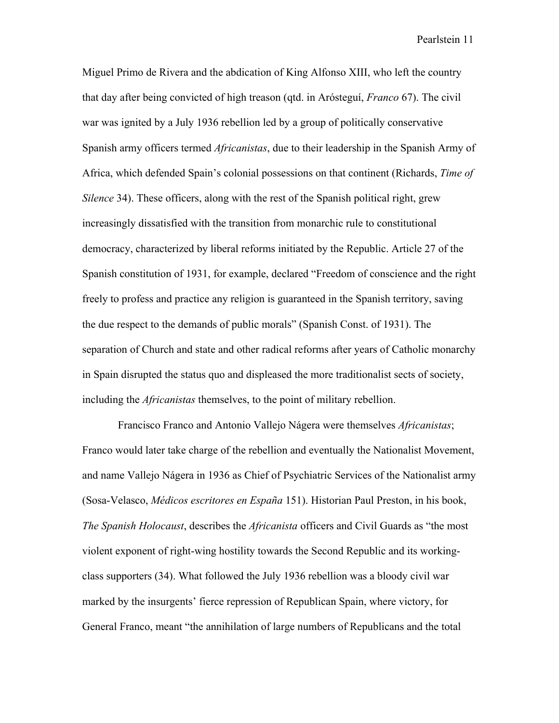Miguel Primo de Rivera and the abdication of King Alfonso XIII, who left the country that day after being convicted of high treason (qtd. in Arósteguí, *Franco* 67). The civil war was ignited by a July 1936 rebellion led by a group of politically conservative Spanish army officers termed *Africanistas*, due to their leadership in the Spanish Army of Africa, which defended Spain's colonial possessions on that continent (Richards, *Time of Silence* 34). These officers, along with the rest of the Spanish political right, grew increasingly dissatisfied with the transition from monarchic rule to constitutional democracy, characterized by liberal reforms initiated by the Republic. Article 27 of the Spanish constitution of 1931, for example, declared "Freedom of conscience and the right freely to profess and practice any religion is guaranteed in the Spanish territory, saving the due respect to the demands of public morals" (Spanish Const. of 1931). The separation of Church and state and other radical reforms after years of Catholic monarchy in Spain disrupted the status quo and displeased the more traditionalist sects of society, including the *Africanistas* themselves, to the point of military rebellion.

 Francisco Franco and Antonio Vallejo Nágera were themselves *Africanistas*; Franco would later take charge of the rebellion and eventually the Nationalist Movement, and name Vallejo Nágera in 1936 as Chief of Psychiatric Services of the Nationalist army (Sosa-Velasco, *Médicos escritores en España* 151). Historian Paul Preston, in his book, *The Spanish Holocaust*, describes the *Africanista* officers and Civil Guards as "the most violent exponent of right-wing hostility towards the Second Republic and its workingclass supporters (34). What followed the July 1936 rebellion was a bloody civil war marked by the insurgents' fierce repression of Republican Spain, where victory, for General Franco, meant "the annihilation of large numbers of Republicans and the total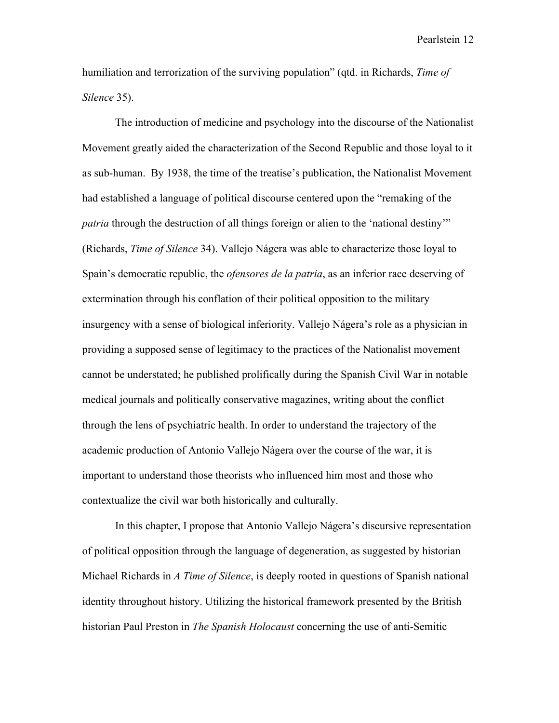humiliation and terrorization of the surviving population" (qtd. in Richards, *Time of Silence* 35).

The introduction of medicine and psychology into the discourse of the Nationalist Movement greatly aided the characterization of the Second Republic and those loyal to it as sub-human. By 1938, the time of the treatise's publication, the Nationalist Movement had established a language of political discourse centered upon the "remaking of the *patria* through the destruction of all things foreign or alien to the 'national destiny'" (Richards, *Time of Silence* 34). Vallejo Nágera was able to characterize those loyal to Spain's democratic republic, the *ofensores de la patria*, as an inferior race deserving of extermination through his conflation of their political opposition to the military insurgency with a sense of biological inferiority. Vallejo Nágera's role as a physician in providing a supposed sense of legitimacy to the practices of the Nationalist movement cannot be understated; he published prolifically during the Spanish Civil War in notable medical journals and politically conservative magazines, writing about the conflict through the lens of psychiatric health. In order to understand the trajectory of the academic production of Antonio Vallejo Nágera over the course of the war, it is important to understand those theorists who influenced him most and those who contextualize the civil war both historically and culturally.

In this chapter, I propose that Antonio Vallejo Nágera's discursive representation of political opposition through the language of degeneration, as suggested by historian Michael Richards in *A Time of Silence*, is deeply rooted in questions of Spanish national identity throughout history. Utilizing the historical framework presented by the British historian Paul Preston in *The Spanish Holocaust* concerning the use of anti-Semitic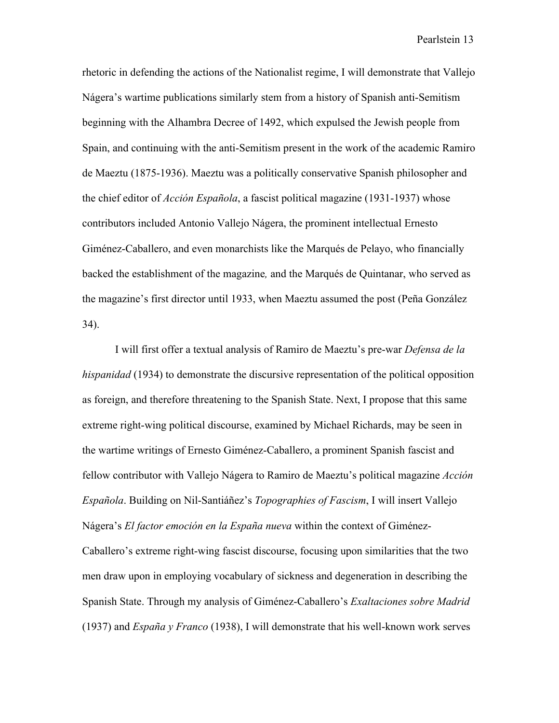rhetoric in defending the actions of the Nationalist regime, I will demonstrate that Vallejo Nágera's wartime publications similarly stem from a history of Spanish anti-Semitism beginning with the Alhambra Decree of 1492, which expulsed the Jewish people from Spain, and continuing with the anti-Semitism present in the work of the academic Ramiro de Maeztu (1875-1936). Maeztu was a politically conservative Spanish philosopher and the chief editor of *Acción Española*, a fascist political magazine (1931-1937) whose contributors included Antonio Vallejo Nágera, the prominent intellectual Ernesto Giménez-Caballero, and even monarchists like the Marqués de Pelayo, who financially backed the establishment of the magazine*,* and the Marqués de Quintanar, who served as the magazine's first director until 1933, when Maeztu assumed the post (Peña González 34).

I will first offer a textual analysis of Ramiro de Maeztu's pre-war *Defensa de la hispanidad* (1934) to demonstrate the discursive representation of the political opposition as foreign, and therefore threatening to the Spanish State. Next, I propose that this same extreme right-wing political discourse, examined by Michael Richards, may be seen in the wartime writings of Ernesto Giménez-Caballero, a prominent Spanish fascist and fellow contributor with Vallejo Nágera to Ramiro de Maeztu's political magazine *Acción Española*. Building on Nil-Santiáñez's *Topographies of Fascism*, I will insert Vallejo Nágera's *El factor emoción en la España nueva* within the context of Giménez-Caballero's extreme right-wing fascist discourse, focusing upon similarities that the two men draw upon in employing vocabulary of sickness and degeneration in describing the Spanish State. Through my analysis of Giménez-Caballero's *Exaltaciones sobre Madrid*  (1937) and *España y Franco* (1938), I will demonstrate that his well-known work serves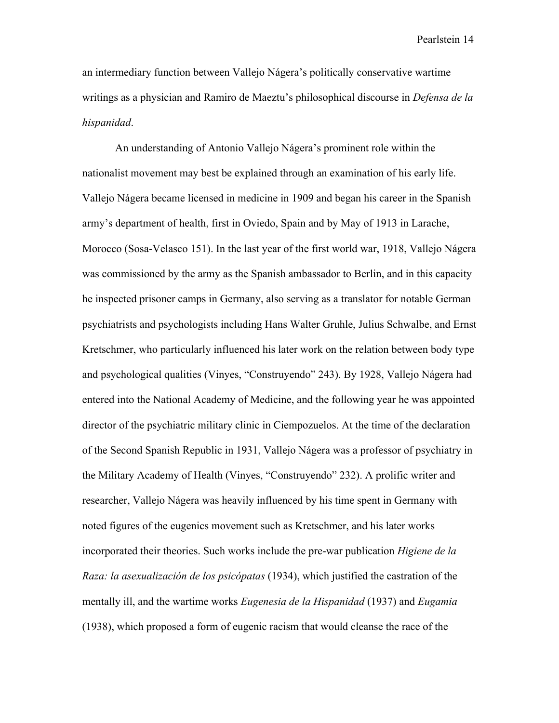an intermediary function between Vallejo Nágera's politically conservative wartime writings as a physician and Ramiro de Maeztu's philosophical discourse in *Defensa de la hispanidad*.

An understanding of Antonio Vallejo Nágera's prominent role within the nationalist movement may best be explained through an examination of his early life. Vallejo Nágera became licensed in medicine in 1909 and began his career in the Spanish army's department of health, first in Oviedo, Spain and by May of 1913 in Larache, Morocco (Sosa-Velasco 151). In the last year of the first world war, 1918, Vallejo Nágera was commissioned by the army as the Spanish ambassador to Berlin, and in this capacity he inspected prisoner camps in Germany, also serving as a translator for notable German psychiatrists and psychologists including Hans Walter Gruhle, Julius Schwalbe, and Ernst Kretschmer, who particularly influenced his later work on the relation between body type and psychological qualities (Vinyes, "Construyendo" 243). By 1928, Vallejo Nágera had entered into the National Academy of Medicine, and the following year he was appointed director of the psychiatric military clinic in Ciempozuelos. At the time of the declaration of the Second Spanish Republic in 1931, Vallejo Nágera was a professor of psychiatry in the Military Academy of Health (Vinyes, "Construyendo" 232). A prolific writer and researcher, Vallejo Nágera was heavily influenced by his time spent in Germany with noted figures of the eugenics movement such as Kretschmer, and his later works incorporated their theories. Such works include the pre-war publication *Higiene de la Raza: la asexualización de los psicópatas* (1934), which justified the castration of the mentally ill, and the wartime works *Eugenesia de la Hispanidad* (1937) and *Eugamia* (1938), which proposed a form of eugenic racism that would cleanse the race of the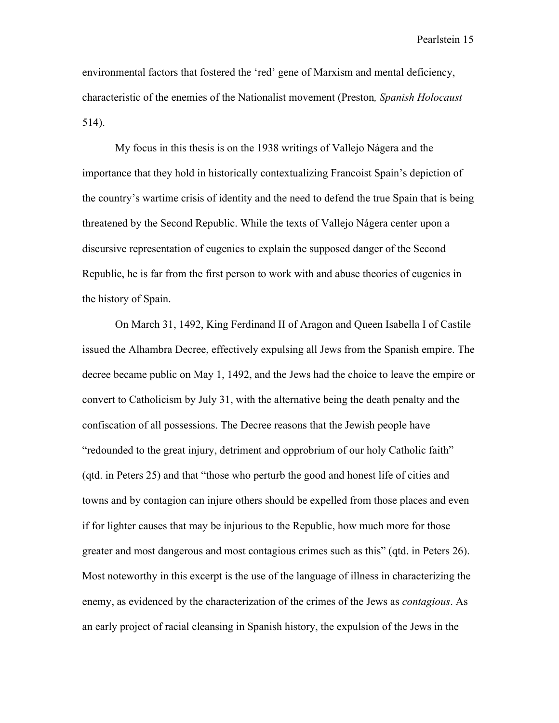environmental factors that fostered the 'red' gene of Marxism and mental deficiency, characteristic of the enemies of the Nationalist movement (Preston*, Spanish Holocaust* 514).

My focus in this thesis is on the 1938 writings of Vallejo Nágera and the importance that they hold in historically contextualizing Francoist Spain's depiction of the country's wartime crisis of identity and the need to defend the true Spain that is being threatened by the Second Republic. While the texts of Vallejo Nágera center upon a discursive representation of eugenics to explain the supposed danger of the Second Republic, he is far from the first person to work with and abuse theories of eugenics in the history of Spain.

On March 31, 1492, King Ferdinand II of Aragon and Queen Isabella I of Castile issued the Alhambra Decree, effectively expulsing all Jews from the Spanish empire. The decree became public on May 1, 1492, and the Jews had the choice to leave the empire or convert to Catholicism by July 31, with the alternative being the death penalty and the confiscation of all possessions. The Decree reasons that the Jewish people have "redounded to the great injury, detriment and opprobrium of our holy Catholic faith" (qtd. in Peters 25) and that "those who perturb the good and honest life of cities and towns and by contagion can injure others should be expelled from those places and even if for lighter causes that may be injurious to the Republic, how much more for those greater and most dangerous and most contagious crimes such as this" (qtd. in Peters 26). Most noteworthy in this excerpt is the use of the language of illness in characterizing the enemy, as evidenced by the characterization of the crimes of the Jews as *contagious*. As an early project of racial cleansing in Spanish history, the expulsion of the Jews in the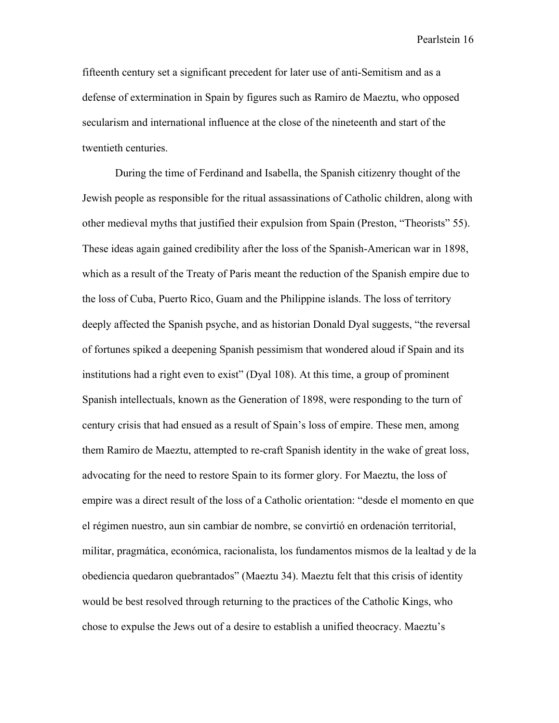fifteenth century set a significant precedent for later use of anti-Semitism and as a defense of extermination in Spain by figures such as Ramiro de Maeztu, who opposed secularism and international influence at the close of the nineteenth and start of the twentieth centuries.

During the time of Ferdinand and Isabella, the Spanish citizenry thought of the Jewish people as responsible for the ritual assassinations of Catholic children, along with other medieval myths that justified their expulsion from Spain (Preston, "Theorists" 55). These ideas again gained credibility after the loss of the Spanish-American war in 1898, which as a result of the Treaty of Paris meant the reduction of the Spanish empire due to the loss of Cuba, Puerto Rico, Guam and the Philippine islands. The loss of territory deeply affected the Spanish psyche, and as historian Donald Dyal suggests, "the reversal of fortunes spiked a deepening Spanish pessimism that wondered aloud if Spain and its institutions had a right even to exist" (Dyal 108). At this time, a group of prominent Spanish intellectuals, known as the Generation of 1898, were responding to the turn of century crisis that had ensued as a result of Spain's loss of empire. These men, among them Ramiro de Maeztu, attempted to re-craft Spanish identity in the wake of great loss, advocating for the need to restore Spain to its former glory. For Maeztu, the loss of empire was a direct result of the loss of a Catholic orientation: "desde el momento en que el régimen nuestro, aun sin cambiar de nombre, se convirtió en ordenación territorial, militar, pragmática, económica, racionalista, los fundamentos mismos de la lealtad y de la obediencia quedaron quebrantados" (Maeztu 34). Maeztu felt that this crisis of identity would be best resolved through returning to the practices of the Catholic Kings, who chose to expulse the Jews out of a desire to establish a unified theocracy. Maeztu's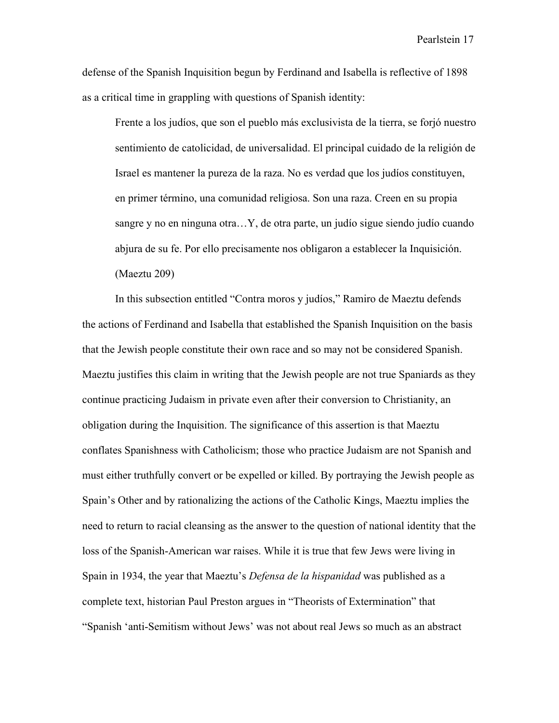defense of the Spanish Inquisition begun by Ferdinand and Isabella is reflective of 1898 as a critical time in grappling with questions of Spanish identity:

Frente a los judíos, que son el pueblo más exclusivista de la tierra, se forjó nuestro sentimiento de catolicidad, de universalidad. El principal cuidado de la religión de Israel es mantener la pureza de la raza. No es verdad que los judíos constituyen, en primer término, una comunidad religiosa. Son una raza. Creen en su propia sangre y no en ninguna otra…Y, de otra parte, un judío sigue siendo judío cuando abjura de su fe. Por ello precisamente nos obligaron a establecer la Inquisición. (Maeztu 209)

In this subsection entitled "Contra moros y judíos," Ramiro de Maeztu defends the actions of Ferdinand and Isabella that established the Spanish Inquisition on the basis that the Jewish people constitute their own race and so may not be considered Spanish. Maeztu justifies this claim in writing that the Jewish people are not true Spaniards as they continue practicing Judaism in private even after their conversion to Christianity, an obligation during the Inquisition. The significance of this assertion is that Maeztu conflates Spanishness with Catholicism; those who practice Judaism are not Spanish and must either truthfully convert or be expelled or killed. By portraying the Jewish people as Spain's Other and by rationalizing the actions of the Catholic Kings, Maeztu implies the need to return to racial cleansing as the answer to the question of national identity that the loss of the Spanish-American war raises. While it is true that few Jews were living in Spain in 1934, the year that Maeztu's *Defensa de la hispanidad* was published as a complete text, historian Paul Preston argues in "Theorists of Extermination" that "Spanish 'anti-Semitism without Jews' was not about real Jews so much as an abstract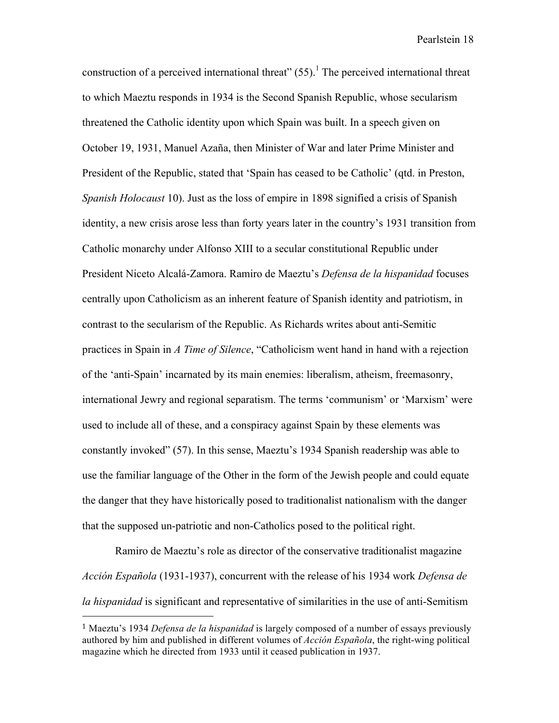construction of a perceived international threat"  $(55)$ .<sup>1</sup> The perceived international threat to which Maeztu responds in 1934 is the Second Spanish Republic, whose secularism threatened the Catholic identity upon which Spain was built. In a speech given on October 19, 1931, Manuel Azaña, then Minister of War and later Prime Minister and President of the Republic, stated that 'Spain has ceased to be Catholic' (qtd. in Preston, *Spanish Holocaust* 10). Just as the loss of empire in 1898 signified a crisis of Spanish identity, a new crisis arose less than forty years later in the country's 1931 transition from Catholic monarchy under Alfonso XIII to a secular constitutional Republic under President Niceto Alcalá-Zamora. Ramiro de Maeztu's *Defensa de la hispanidad* focuses centrally upon Catholicism as an inherent feature of Spanish identity and patriotism, in contrast to the secularism of the Republic. As Richards writes about anti-Semitic practices in Spain in *A Time of Silence*, "Catholicism went hand in hand with a rejection of the 'anti-Spain' incarnated by its main enemies: liberalism, atheism, freemasonry, international Jewry and regional separatism. The terms 'communism' or 'Marxism' were used to include all of these, and a conspiracy against Spain by these elements was constantly invoked" (57). In this sense, Maeztu's 1934 Spanish readership was able to use the familiar language of the Other in the form of the Jewish people and could equate the danger that they have historically posed to traditionalist nationalism with the danger that the supposed un-patriotic and non-Catholics posed to the political right.

Ramiro de Maeztu's role as director of the conservative traditionalist magazine *Acción Española* (1931-1937), concurrent with the release of his 1934 work *Defensa de la hispanidad* is significant and representative of similarities in the use of anti-Semitism

 

<sup>1</sup> Maeztu's 1934 *Defensa de la hispanidad* is largely composed of a number of essays previously authored by him and published in different volumes of *Acción Española*, the right-wing political magazine which he directed from 1933 until it ceased publication in 1937.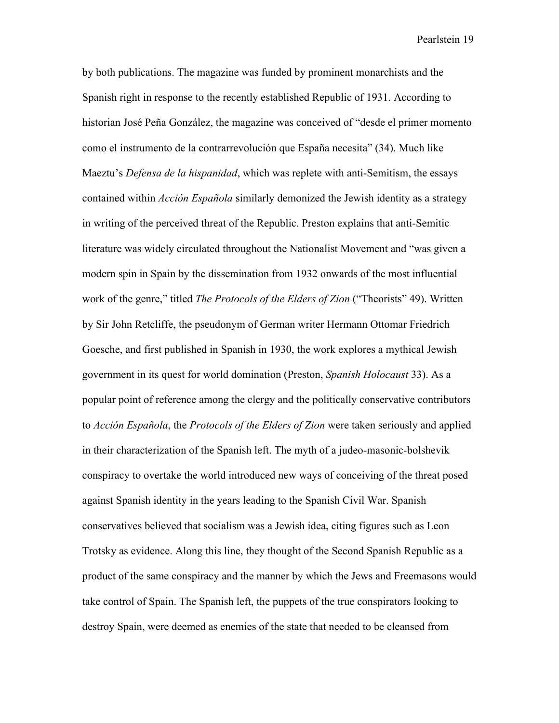by both publications. The magazine was funded by prominent monarchists and the Spanish right in response to the recently established Republic of 1931. According to historian José Peña González, the magazine was conceived of "desde el primer momento como el instrumento de la contrarrevolución que España necesita" (34). Much like Maeztu's *Defensa de la hispanidad*, which was replete with anti-Semitism, the essays contained within *Acción Española* similarly demonized the Jewish identity as a strategy in writing of the perceived threat of the Republic. Preston explains that anti-Semitic literature was widely circulated throughout the Nationalist Movement and "was given a modern spin in Spain by the dissemination from 1932 onwards of the most influential work of the genre," titled *The Protocols of the Elders of Zion* ("Theorists" 49). Written by Sir John Retcliffe, the pseudonym of German writer Hermann Ottomar Friedrich Goesche, and first published in Spanish in 1930, the work explores a mythical Jewish government in its quest for world domination (Preston, *Spanish Holocaust* 33). As a popular point of reference among the clergy and the politically conservative contributors to *Acción Española*, the *Protocols of the Elders of Zion* were taken seriously and applied in their characterization of the Spanish left. The myth of a judeo-masonic-bolshevik conspiracy to overtake the world introduced new ways of conceiving of the threat posed against Spanish identity in the years leading to the Spanish Civil War. Spanish conservatives believed that socialism was a Jewish idea, citing figures such as Leon Trotsky as evidence. Along this line, they thought of the Second Spanish Republic as a product of the same conspiracy and the manner by which the Jews and Freemasons would take control of Spain. The Spanish left, the puppets of the true conspirators looking to destroy Spain, were deemed as enemies of the state that needed to be cleansed from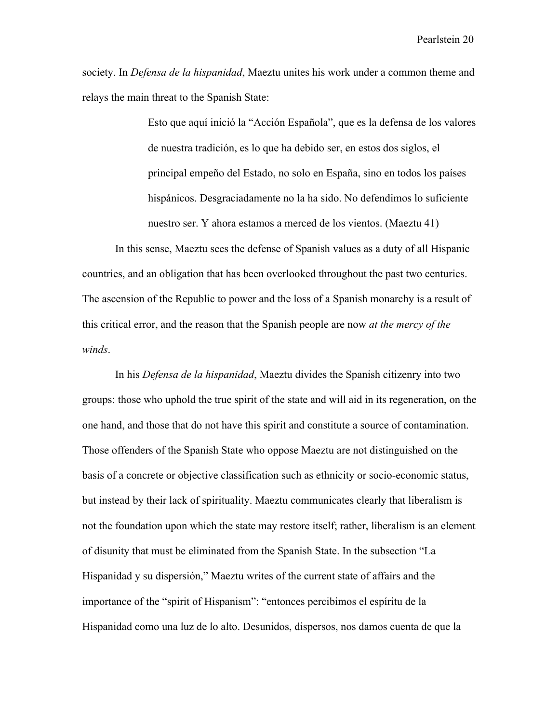society. In *Defensa de la hispanidad*, Maeztu unites his work under a common theme and relays the main threat to the Spanish State:

> Esto que aquí inició la "Acción Española", que es la defensa de los valores de nuestra tradición, es lo que ha debido ser, en estos dos siglos, el principal empeño del Estado, no solo en España, sino en todos los países hispánicos. Desgraciadamente no la ha sido. No defendimos lo suficiente nuestro ser. Y ahora estamos a merced de los vientos. (Maeztu 41)

In this sense, Maeztu sees the defense of Spanish values as a duty of all Hispanic countries, and an obligation that has been overlooked throughout the past two centuries. The ascension of the Republic to power and the loss of a Spanish monarchy is a result of this critical error, and the reason that the Spanish people are now *at the mercy of the winds*.

In his *Defensa de la hispanidad*, Maeztu divides the Spanish citizenry into two groups: those who uphold the true spirit of the state and will aid in its regeneration, on the one hand, and those that do not have this spirit and constitute a source of contamination. Those offenders of the Spanish State who oppose Maeztu are not distinguished on the basis of a concrete or objective classification such as ethnicity or socio-economic status, but instead by their lack of spirituality. Maeztu communicates clearly that liberalism is not the foundation upon which the state may restore itself; rather, liberalism is an element of disunity that must be eliminated from the Spanish State. In the subsection "La Hispanidad y su dispersión," Maeztu writes of the current state of affairs and the importance of the "spirit of Hispanism": "entonces percibimos el espíritu de la Hispanidad como una luz de lo alto. Desunidos, dispersos, nos damos cuenta de que la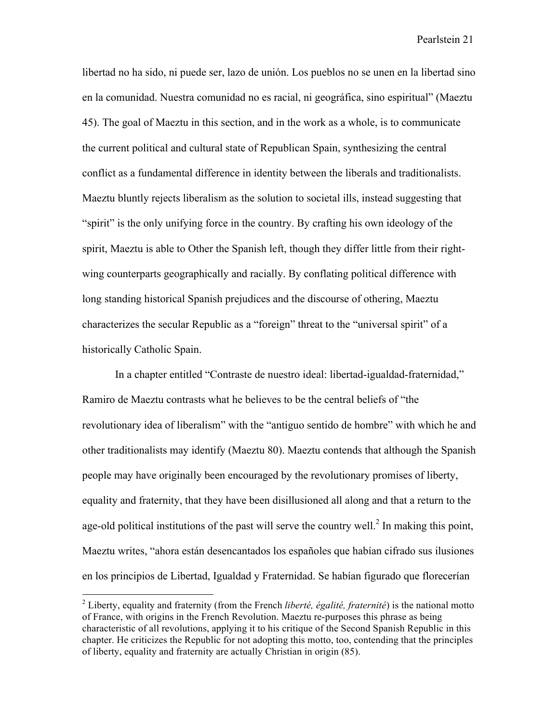libertad no ha sido, ni puede ser, lazo de unión. Los pueblos no se unen en la libertad sino en la comunidad. Nuestra comunidad no es racial, ni geográfica, sino espiritual" (Maeztu 45). The goal of Maeztu in this section, and in the work as a whole, is to communicate the current political and cultural state of Republican Spain, synthesizing the central conflict as a fundamental difference in identity between the liberals and traditionalists. Maeztu bluntly rejects liberalism as the solution to societal ills, instead suggesting that "spirit" is the only unifying force in the country. By crafting his own ideology of the spirit, Maeztu is able to Other the Spanish left, though they differ little from their rightwing counterparts geographically and racially. By conflating political difference with long standing historical Spanish prejudices and the discourse of othering, Maeztu characterizes the secular Republic as a "foreign" threat to the "universal spirit" of a historically Catholic Spain.

In a chapter entitled "Contraste de nuestro ideal: libertad-igualdad-fraternidad," Ramiro de Maeztu contrasts what he believes to be the central beliefs of "the revolutionary idea of liberalism" with the "antiguo sentido de hombre" with which he and other traditionalists may identify (Maeztu 80). Maeztu contends that although the Spanish people may have originally been encouraged by the revolutionary promises of liberty, equality and fraternity, that they have been disillusioned all along and that a return to the age-old political institutions of the past will serve the country well.<sup>2</sup> In making this point, Maeztu writes, "ahora están desencantados los españoles que habían cifrado sus ilusiones en los principios de Libertad, Igualdad y Fraternidad. Se habían figurado que florecerían

 <sup>2</sup> Liberty, equality and fraternity (from the French *liberté, égalité, fraternité*) is the national motto of France, with origins in the French Revolution. Maeztu re-purposes this phrase as being characteristic of all revolutions, applying it to his critique of the Second Spanish Republic in this chapter. He criticizes the Republic for not adopting this motto, too, contending that the principles of liberty, equality and fraternity are actually Christian in origin (85).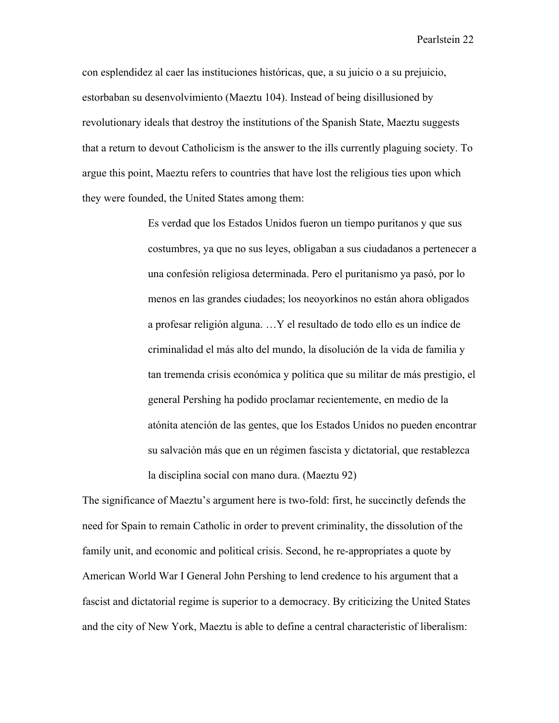con esplendidez al caer las instituciones históricas, que, a su juicio o a su prejuicio, estorbaban su desenvolvimiento (Maeztu 104). Instead of being disillusioned by revolutionary ideals that destroy the institutions of the Spanish State, Maeztu suggests that a return to devout Catholicism is the answer to the ills currently plaguing society. To argue this point, Maeztu refers to countries that have lost the religious ties upon which they were founded, the United States among them:

> Es verdad que los Estados Unidos fueron un tiempo puritanos y que sus costumbres, ya que no sus leyes, obligaban a sus ciudadanos a pertenecer a una confesión religiosa determinada. Pero el puritanismo ya pasó, por lo menos en las grandes ciudades; los neoyorkinos no están ahora obligados a profesar religión alguna. …Y el resultado de todo ello es un índice de criminalidad el más alto del mundo, la disolución de la vida de familia y tan tremenda crisis económica y política que su militar de más prestigio, el general Pershing ha podido proclamar recientemente, en medio de la atónita atención de las gentes, que los Estados Unidos no pueden encontrar su salvación más que en un régimen fascista y dictatorial, que restablezca la disciplina social con mano dura. (Maeztu 92)

The significance of Maeztu's argument here is two-fold: first, he succinctly defends the need for Spain to remain Catholic in order to prevent criminality, the dissolution of the family unit, and economic and political crisis. Second, he re-appropriates a quote by American World War I General John Pershing to lend credence to his argument that a fascist and dictatorial regime is superior to a democracy. By criticizing the United States and the city of New York, Maeztu is able to define a central characteristic of liberalism: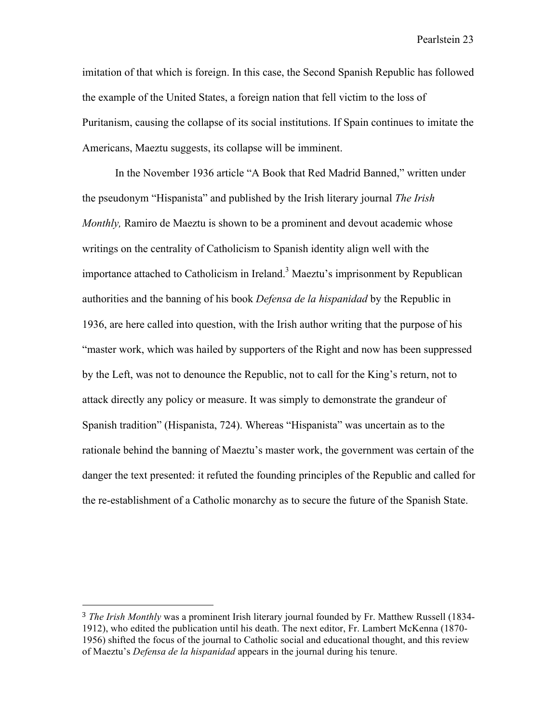imitation of that which is foreign. In this case, the Second Spanish Republic has followed the example of the United States, a foreign nation that fell victim to the loss of Puritanism, causing the collapse of its social institutions. If Spain continues to imitate the Americans, Maeztu suggests, its collapse will be imminent.

In the November 1936 article "A Book that Red Madrid Banned," written under the pseudonym "Hispanista" and published by the Irish literary journal *The Irish Monthly,* Ramiro de Maeztu is shown to be a prominent and devout academic whose writings on the centrality of Catholicism to Spanish identity align well with the importance attached to Catholicism in Ireland.<sup>3</sup> Maeztu's imprisonment by Republican authorities and the banning of his book *Defensa de la hispanidad* by the Republic in 1936, are here called into question, with the Irish author writing that the purpose of his "master work, which was hailed by supporters of the Right and now has been suppressed by the Left, was not to denounce the Republic, not to call for the King's return, not to attack directly any policy or measure. It was simply to demonstrate the grandeur of Spanish tradition" (Hispanista, 724). Whereas "Hispanista" was uncertain as to the rationale behind the banning of Maeztu's master work, the government was certain of the danger the text presented: it refuted the founding principles of the Republic and called for the re-establishment of a Catholic monarchy as to secure the future of the Spanish State.

 

<sup>3</sup> *The Irish Monthly* was a prominent Irish literary journal founded by Fr. Matthew Russell (1834- 1912), who edited the publication until his death. The next editor, Fr. Lambert McKenna (1870- 1956) shifted the focus of the journal to Catholic social and educational thought, and this review of Maeztu's *Defensa de la hispanidad* appears in the journal during his tenure.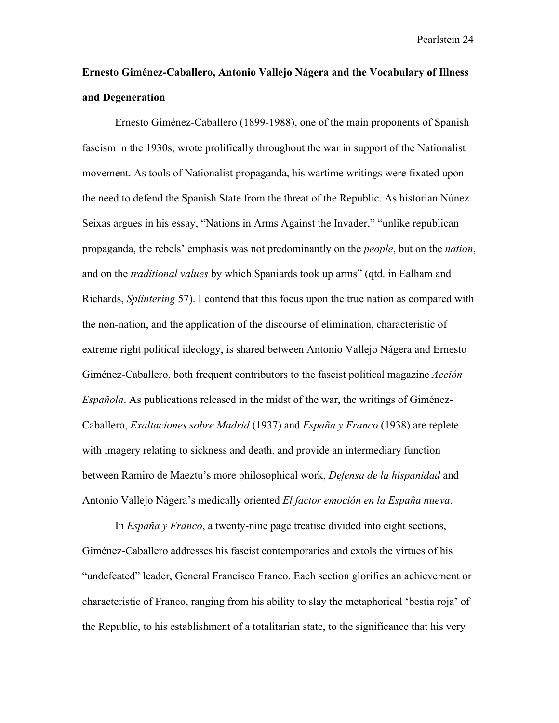### **Ernesto Giménez-Caballero, Antonio Vallejo Nágera and the Vocabulary of Illness and Degeneration**

Ernesto Giménez-Caballero (1899-1988), one of the main proponents of Spanish fascism in the 1930s, wrote prolifically throughout the war in support of the Nationalist movement. As tools of Nationalist propaganda, his wartime writings were fixated upon the need to defend the Spanish State from the threat of the Republic. As historian Núnez Seixas argues in his essay, "Nations in Arms Against the Invader," "unlike republican propaganda, the rebels' emphasis was not predominantly on the *people*, but on the *nation*, and on the *traditional values* by which Spaniards took up arms" (qtd. in Ealham and Richards, *Splintering* 57). I contend that this focus upon the true nation as compared with the non-nation, and the application of the discourse of elimination, characteristic of extreme right political ideology, is shared between Antonio Vallejo Nágera and Ernesto Giménez-Caballero, both frequent contributors to the fascist political magazine *Acción Española*. As publications released in the midst of the war, the writings of Giménez-Caballero, *Exaltaciones sobre Madrid* (1937) and *España y Franco* (1938) are replete with imagery relating to sickness and death, and provide an intermediary function between Ramiro de Maeztu's more philosophical work, *Defensa de la hispanidad* and Antonio Vallejo Nágera's medically oriented *El factor emoción en la España nueva*.

In *España y Franco*, a twenty-nine page treatise divided into eight sections, Giménez-Caballero addresses his fascist contemporaries and extols the virtues of his "undefeated" leader, General Francisco Franco. Each section glorifies an achievement or characteristic of Franco, ranging from his ability to slay the metaphorical 'bestia roja' of the Republic, to his establishment of a totalitarian state, to the significance that his very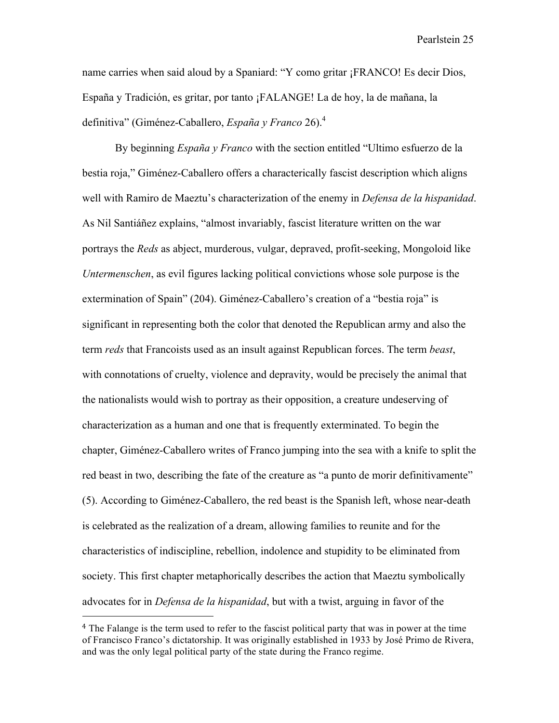name carries when said aloud by a Spaniard: "Y como gritar ¡FRANCO! Es decir Dios, España y Tradición, es gritar, por tanto ¡FALANGE! La de hoy, la de mañana, la definitiva" (Giménez-Caballero, *España y Franco* 26).4

By beginning *España y Franco* with the section entitled "Ultimo esfuerzo de la bestia roja," Giménez-Caballero offers a characterically fascist description which aligns well with Ramiro de Maeztu's characterization of the enemy in *Defensa de la hispanidad*. As Nil Santiáñez explains, "almost invariably, fascist literature written on the war portrays the *Reds* as abject, murderous, vulgar, depraved, profit-seeking, Mongoloid like *Untermenschen*, as evil figures lacking political convictions whose sole purpose is the extermination of Spain" (204). Giménez-Caballero's creation of a "bestia roja" is significant in representing both the color that denoted the Republican army and also the term *reds* that Francoists used as an insult against Republican forces. The term *beast*, with connotations of cruelty, violence and depravity, would be precisely the animal that the nationalists would wish to portray as their opposition, a creature undeserving of characterization as a human and one that is frequently exterminated. To begin the chapter, Giménez-Caballero writes of Franco jumping into the sea with a knife to split the red beast in two, describing the fate of the creature as "a punto de morir definitivamente" (5). According to Giménez-Caballero, the red beast is the Spanish left, whose near-death is celebrated as the realization of a dream, allowing families to reunite and for the characteristics of indiscipline, rebellion, indolence and stupidity to be eliminated from society. This first chapter metaphorically describes the action that Maeztu symbolically advocates for in *Defensa de la hispanidad*, but with a twist, arguing in favor of the

 

<sup>4</sup> The Falange is the term used to refer to the fascist political party that was in power at the time of Francisco Franco's dictatorship. It was originally established in 1933 by José Primo de Rivera, and was the only legal political party of the state during the Franco regime.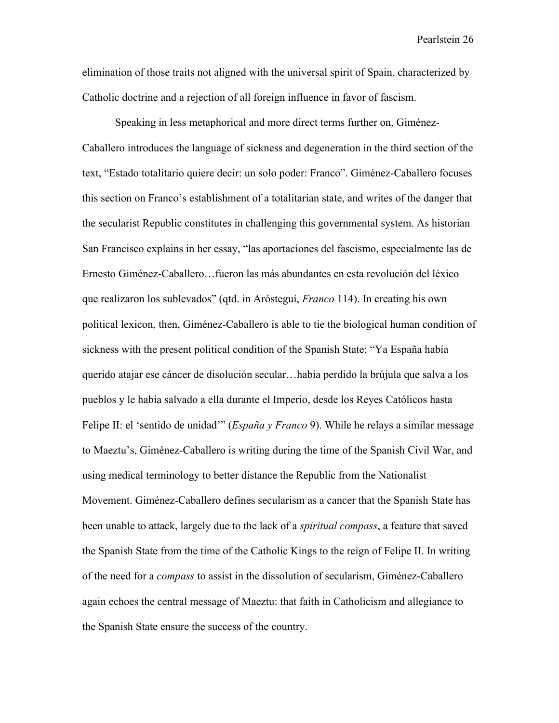elimination of those traits not aligned with the universal spirit of Spain, characterized by Catholic doctrine and a rejection of all foreign influence in favor of fascism.

Speaking in less metaphorical and more direct terms further on, Giménez-Caballero introduces the language of sickness and degeneration in the third section of the text, "Estado totalitario quiere decir: un solo poder: Franco". Giménez-Caballero focuses this section on Franco's establishment of a totalitarian state, and writes of the danger that the secularist Republic constitutes in challenging this governmental system. As historian San Francisco explains in her essay, "las aportaciones del fascismo, especialmente las de Ernesto Giménez-Caballero…fueron las más abundantes en esta revolución del léxico que realizaron los sublevados" (qtd. in Arósteguí, *Franco* 114). In creating his own political lexicon, then, Giménez-Caballero is able to tie the biological human condition of sickness with the present political condition of the Spanish State: "Ya España había querido atajar ese cáncer de disolución secular…había perdido la brújula que salva a los pueblos y le había salvado a ella durante el Imperio, desde los Reyes Católicos hasta Felipe II: el 'sentido de unidad'" (*España y Franco* 9). While he relays a similar message to Maeztu's, Giménez-Caballero is writing during the time of the Spanish Civil War, and using medical terminology to better distance the Republic from the Nationalist Movement. Giménez-Caballero defines secularism as a cancer that the Spanish State has been unable to attack, largely due to the lack of a *spiritual compass*, a feature that saved the Spanish State from the time of the Catholic Kings to the reign of Felipe II. In writing of the need for a *compass* to assist in the dissolution of secularism, Giménez-Caballero again echoes the central message of Maeztu: that faith in Catholicism and allegiance to the Spanish State ensure the success of the country.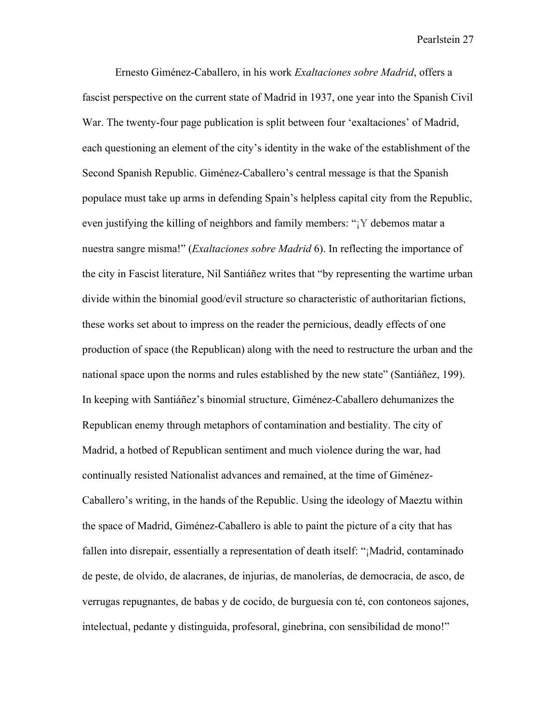Ernesto Giménez-Caballero, in his work *Exaltaciones sobre Madrid*, offers a fascist perspective on the current state of Madrid in 1937, one year into the Spanish Civil War. The twenty-four page publication is split between four 'exaltaciones' of Madrid, each questioning an element of the city's identity in the wake of the establishment of the Second Spanish Republic. Giménez-Caballero's central message is that the Spanish populace must take up arms in defending Spain's helpless capital city from the Republic, even justifying the killing of neighbors and family members: "¡Y debemos matar a nuestra sangre misma!" (*Exaltaciones sobre Madrid* 6). In reflecting the importance of the city in Fascist literature, Nil Santiáñez writes that "by representing the wartime urban divide within the binomial good/evil structure so characteristic of authoritarian fictions, these works set about to impress on the reader the pernicious, deadly effects of one production of space (the Republican) along with the need to restructure the urban and the national space upon the norms and rules established by the new state" (Santiáñez, 199). In keeping with Santiáñez's binomial structure, Giménez-Caballero dehumanizes the Republican enemy through metaphors of contamination and bestiality. The city of Madrid, a hotbed of Republican sentiment and much violence during the war, had continually resisted Nationalist advances and remained, at the time of Giménez-Caballero's writing, in the hands of the Republic. Using the ideology of Maeztu within the space of Madrid, Giménez-Caballero is able to paint the picture of a city that has fallen into disrepair, essentially a representation of death itself: "¡Madrid, contaminado de peste, de olvido, de alacranes, de injurias, de manolerías, de democracia, de asco, de verrugas repugnantes, de babas y de cocido, de burguesía con té, con contoneos sajones, intelectual, pedante y distinguida, profesoral, ginebrina, con sensibilidad de mono!"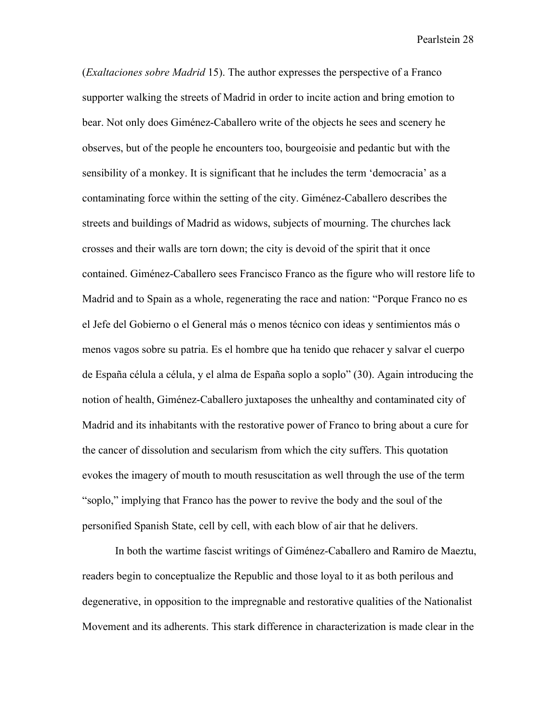(*Exaltaciones sobre Madrid* 15). The author expresses the perspective of a Franco supporter walking the streets of Madrid in order to incite action and bring emotion to bear. Not only does Giménez-Caballero write of the objects he sees and scenery he observes, but of the people he encounters too, bourgeoisie and pedantic but with the sensibility of a monkey. It is significant that he includes the term 'democracia' as a contaminating force within the setting of the city. Giménez-Caballero describes the streets and buildings of Madrid as widows, subjects of mourning. The churches lack crosses and their walls are torn down; the city is devoid of the spirit that it once contained. Giménez-Caballero sees Francisco Franco as the figure who will restore life to Madrid and to Spain as a whole, regenerating the race and nation: "Porque Franco no es el Jefe del Gobierno o el General más o menos técnico con ideas y sentimientos más o menos vagos sobre su patria. Es el hombre que ha tenido que rehacer y salvar el cuerpo de España célula a célula, y el alma de España soplo a soplo" (30). Again introducing the notion of health, Giménez-Caballero juxtaposes the unhealthy and contaminated city of Madrid and its inhabitants with the restorative power of Franco to bring about a cure for the cancer of dissolution and secularism from which the city suffers. This quotation evokes the imagery of mouth to mouth resuscitation as well through the use of the term "soplo," implying that Franco has the power to revive the body and the soul of the personified Spanish State, cell by cell, with each blow of air that he delivers.

In both the wartime fascist writings of Giménez-Caballero and Ramiro de Maeztu, readers begin to conceptualize the Republic and those loyal to it as both perilous and degenerative, in opposition to the impregnable and restorative qualities of the Nationalist Movement and its adherents. This stark difference in characterization is made clear in the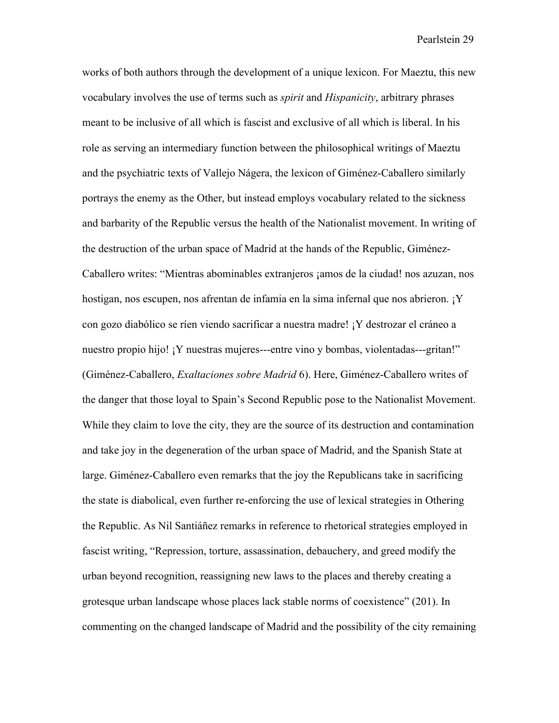works of both authors through the development of a unique lexicon. For Maeztu, this new vocabulary involves the use of terms such as *spirit* and *Hispanicity*, arbitrary phrases meant to be inclusive of all which is fascist and exclusive of all which is liberal. In his role as serving an intermediary function between the philosophical writings of Maeztu and the psychiatric texts of Vallejo Nágera, the lexicon of Giménez-Caballero similarly portrays the enemy as the Other, but instead employs vocabulary related to the sickness and barbarity of the Republic versus the health of the Nationalist movement. In writing of the destruction of the urban space of Madrid at the hands of the Republic, Giménez-Caballero writes: "Mientras abominables extranjeros ¡amos de la ciudad! nos azuzan, nos hostigan, nos escupen, nos afrentan de infamia en la sima infernal que nos abrieron. ¡Y con gozo diabólico se ríen viendo sacrificar a nuestra madre! ¡Y destrozar el cráneo a nuestro propio hijo! ¡Y nuestras mujeres---entre vino y bombas, violentadas---gritan!" (Giménez-Caballero, *Exaltaciones sobre Madrid* 6). Here, Giménez-Caballero writes of the danger that those loyal to Spain's Second Republic pose to the Nationalist Movement. While they claim to love the city, they are the source of its destruction and contamination and take joy in the degeneration of the urban space of Madrid, and the Spanish State at large. Giménez-Caballero even remarks that the joy the Republicans take in sacrificing the state is diabolical, even further re-enforcing the use of lexical strategies in Othering the Republic. As Nil Santiáñez remarks in reference to rhetorical strategies employed in fascist writing, "Repression, torture, assassination, debauchery, and greed modify the urban beyond recognition, reassigning new laws to the places and thereby creating a grotesque urban landscape whose places lack stable norms of coexistence" (201). In commenting on the changed landscape of Madrid and the possibility of the city remaining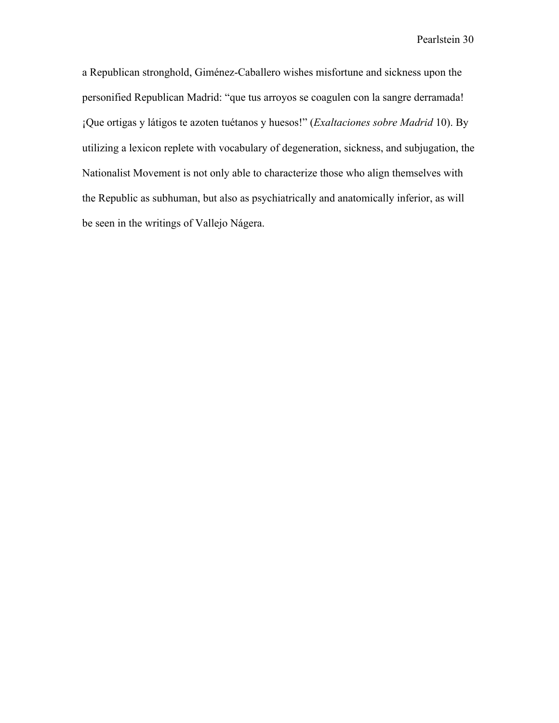a Republican stronghold, Giménez-Caballero wishes misfortune and sickness upon the personified Republican Madrid: "que tus arroyos se coagulen con la sangre derramada! ¡Que ortigas y látigos te azoten tuétanos y huesos!" (*Exaltaciones sobre Madrid* 10). By utilizing a lexicon replete with vocabulary of degeneration, sickness, and subjugation, the Nationalist Movement is not only able to characterize those who align themselves with the Republic as subhuman, but also as psychiatrically and anatomically inferior, as will be seen in the writings of Vallejo Nágera.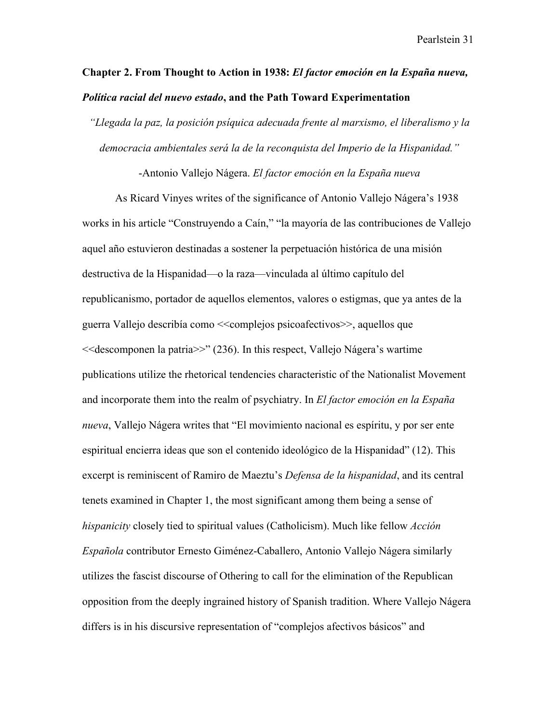## **Chapter 2. From Thought to Action in 1938:** *El factor emoción en la España nueva, Política racial del nuevo estado***, and the Path Toward Experimentation**

*"Llegada la paz, la posición psíquica adecuada frente al marxismo, el liberalismo y la democracia ambientales será la de la reconquista del Imperio de la Hispanidad."*

-Antonio Vallejo Nágera. *El factor emoción en la España nueva*

As Ricard Vinyes writes of the significance of Antonio Vallejo Nágera's 1938 works in his article "Construyendo a Caín," "la mayoría de las contribuciones de Vallejo aquel año estuvieron destinadas a sostener la perpetuación histórica de una misión destructiva de la Hispanidad—o la raza—vinculada al último capítulo del republicanismo, portador de aquellos elementos, valores o estigmas, que ya antes de la guerra Vallejo describía como <<complejos psicoafectivos>>, aquellos que <<descomponen la patria>>" (236). In this respect, Vallejo Nágera's wartime publications utilize the rhetorical tendencies characteristic of the Nationalist Movement and incorporate them into the realm of psychiatry. In *El factor emoción en la España nueva*, Vallejo Nágera writes that "El movimiento nacional es espíritu, y por ser ente espiritual encierra ideas que son el contenido ideológico de la Hispanidad" (12). This excerpt is reminiscent of Ramiro de Maeztu's *Defensa de la hispanidad*, and its central tenets examined in Chapter 1, the most significant among them being a sense of *hispanicity* closely tied to spiritual values (Catholicism). Much like fellow *Acción Española* contributor Ernesto Giménez-Caballero, Antonio Vallejo Nágera similarly utilizes the fascist discourse of Othering to call for the elimination of the Republican opposition from the deeply ingrained history of Spanish tradition. Where Vallejo Nágera differs is in his discursive representation of "complejos afectivos básicos" and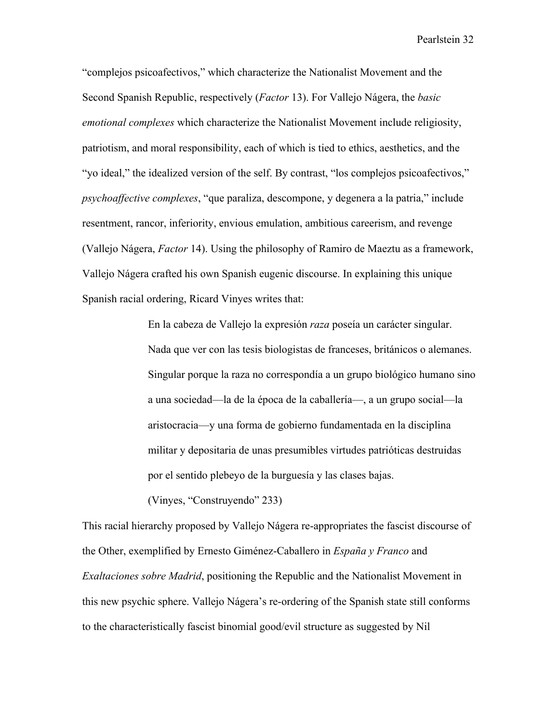"complejos psicoafectivos," which characterize the Nationalist Movement and the Second Spanish Republic, respectively (*Factor* 13). For Vallejo Nágera, the *basic emotional complexes* which characterize the Nationalist Movement include religiosity, patriotism, and moral responsibility, each of which is tied to ethics, aesthetics, and the "yo ideal," the idealized version of the self. By contrast, "los complejos psicoafectivos," *psychoaffective complexes*, "que paraliza, descompone, y degenera a la patria," include resentment, rancor, inferiority, envious emulation, ambitious careerism, and revenge (Vallejo Nágera, *Factor* 14). Using the philosophy of Ramiro de Maeztu as a framework, Vallejo Nágera crafted his own Spanish eugenic discourse. In explaining this unique Spanish racial ordering, Ricard Vinyes writes that:

> En la cabeza de Vallejo la expresión *raza* poseía un carácter singular. Nada que ver con las tesis biologistas de franceses, británicos o alemanes. Singular porque la raza no correspondía a un grupo biológico humano sino a una sociedad—la de la época de la caballería—, a un grupo social—la aristocracia—y una forma de gobierno fundamentada en la disciplina militar y depositaria de unas presumibles virtudes patrióticas destruidas por el sentido plebeyo de la burguesía y las clases bajas.

(Vinyes, "Construyendo" 233)

This racial hierarchy proposed by Vallejo Nágera re-appropriates the fascist discourse of the Other, exemplified by Ernesto Giménez-Caballero in *España y Franco* and *Exaltaciones sobre Madrid*, positioning the Republic and the Nationalist Movement in this new psychic sphere. Vallejo Nágera's re-ordering of the Spanish state still conforms to the characteristically fascist binomial good/evil structure as suggested by Nil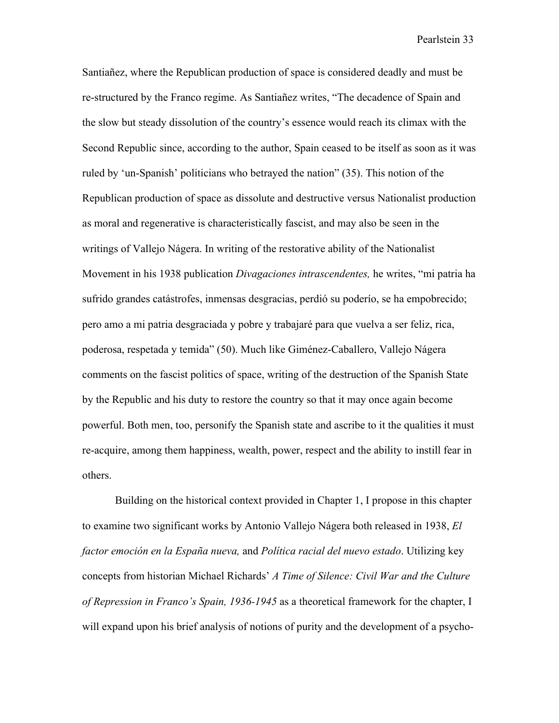Santiañez, where the Republican production of space is considered deadly and must be re-structured by the Franco regime. As Santiañez writes, "The decadence of Spain and the slow but steady dissolution of the country's essence would reach its climax with the Second Republic since, according to the author, Spain ceased to be itself as soon as it was ruled by 'un-Spanish' politicians who betrayed the nation" (35). This notion of the Republican production of space as dissolute and destructive versus Nationalist production as moral and regenerative is characteristically fascist, and may also be seen in the writings of Vallejo Nágera. In writing of the restorative ability of the Nationalist Movement in his 1938 publication *Divagaciones intrascendentes,* he writes, "mi patria ha sufrido grandes catástrofes, inmensas desgracias, perdió su poderío, se ha empobrecido; pero amo a mi patria desgraciada y pobre y trabajaré para que vuelva a ser feliz, rica, poderosa, respetada y temida" (50). Much like Giménez-Caballero, Vallejo Nágera comments on the fascist politics of space, writing of the destruction of the Spanish State by the Republic and his duty to restore the country so that it may once again become powerful. Both men, too, personify the Spanish state and ascribe to it the qualities it must re-acquire, among them happiness, wealth, power, respect and the ability to instill fear in others.

Building on the historical context provided in Chapter 1, I propose in this chapter to examine two significant works by Antonio Vallejo Nágera both released in 1938, *El factor emoción en la España nueva,* and *Política racial del nuevo estado*. Utilizing key concepts from historian Michael Richards' *A Time of Silence: Civil War and the Culture of Repression in Franco's Spain, 1936-1945* as a theoretical framework for the chapter, I will expand upon his brief analysis of notions of purity and the development of a psycho-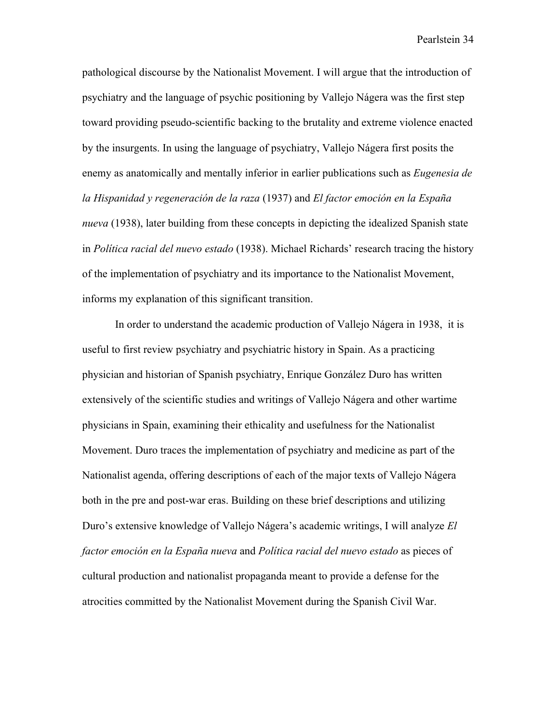pathological discourse by the Nationalist Movement. I will argue that the introduction of psychiatry and the language of psychic positioning by Vallejo Nágera was the first step toward providing pseudo-scientific backing to the brutality and extreme violence enacted by the insurgents. In using the language of psychiatry, Vallejo Nágera first posits the enemy as anatomically and mentally inferior in earlier publications such as *Eugenesia de la Hispanidad y regeneración de la raza* (1937) and *El factor emoción en la España nueva* (1938), later building from these concepts in depicting the idealized Spanish state in *Política racial del nuevo estado* (1938). Michael Richards' research tracing the history of the implementation of psychiatry and its importance to the Nationalist Movement, informs my explanation of this significant transition.

In order to understand the academic production of Vallejo Nágera in 1938, it is useful to first review psychiatry and psychiatric history in Spain. As a practicing physician and historian of Spanish psychiatry, Enrique González Duro has written extensively of the scientific studies and writings of Vallejo Nágera and other wartime physicians in Spain, examining their ethicality and usefulness for the Nationalist Movement. Duro traces the implementation of psychiatry and medicine as part of the Nationalist agenda, offering descriptions of each of the major texts of Vallejo Nágera both in the pre and post-war eras. Building on these brief descriptions and utilizing Duro's extensive knowledge of Vallejo Nágera's academic writings, I will analyze *El factor emoción en la España nueva* and *Política racial del nuevo estado* as pieces of cultural production and nationalist propaganda meant to provide a defense for the atrocities committed by the Nationalist Movement during the Spanish Civil War.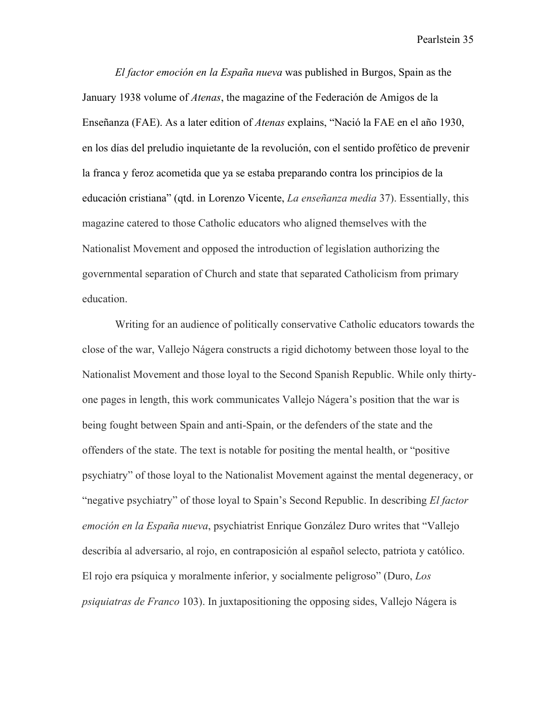*El factor emoción en la España nueva* was published in Burgos, Spain as the January 1938 volume of *Atenas*, the magazine of the Federación de Amigos de la Enseñanza (FAE). As a later edition of *Atenas* explains, "Nació la FAE en el año 1930, en los días del preludio inquietante de la revolución, con el sentido profético de prevenir la franca y feroz acometida que ya se estaba preparando contra los principios de la educación cristiana" (qtd. in Lorenzo Vicente, *La enseñanza media* 37). Essentially, this magazine catered to those Catholic educators who aligned themselves with the Nationalist Movement and opposed the introduction of legislation authorizing the governmental separation of Church and state that separated Catholicism from primary education.

Writing for an audience of politically conservative Catholic educators towards the close of the war, Vallejo Nágera constructs a rigid dichotomy between those loyal to the Nationalist Movement and those loyal to the Second Spanish Republic. While only thirtyone pages in length, this work communicates Vallejo Nágera's position that the war is being fought between Spain and anti-Spain, or the defenders of the state and the offenders of the state. The text is notable for positing the mental health, or "positive psychiatry" of those loyal to the Nationalist Movement against the mental degeneracy, or "negative psychiatry" of those loyal to Spain's Second Republic. In describing *El factor emoción en la España nueva*, psychiatrist Enrique González Duro writes that "Vallejo describía al adversario, al rojo, en contraposición al español selecto, patriota y católico. El rojo era psíquica y moralmente inferior, y socialmente peligroso" (Duro, *Los psiquiatras de Franco* 103). In juxtapositioning the opposing sides, Vallejo Nágera is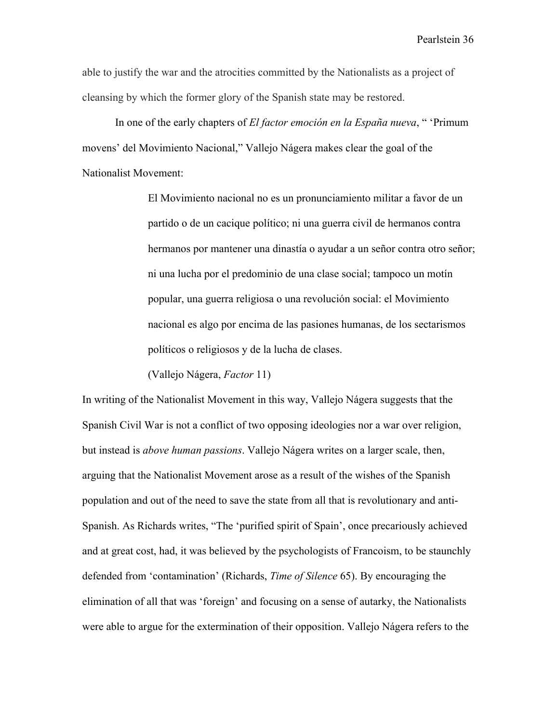able to justify the war and the atrocities committed by the Nationalists as a project of cleansing by which the former glory of the Spanish state may be restored.

In one of the early chapters of *El factor emoción en la España nueva*, " 'Primum movens' del Movimiento Nacional," Vallejo Nágera makes clear the goal of the Nationalist Movement:

> El Movimiento nacional no es un pronunciamiento militar a favor de un partido o de un cacique político; ni una guerra civil de hermanos contra hermanos por mantener una dinastía o ayudar a un señor contra otro señor; ni una lucha por el predominio de una clase social; tampoco un motín popular, una guerra religiosa o una revolución social: el Movimiento nacional es algo por encima de las pasiones humanas, de los sectarismos políticos o religiosos y de la lucha de clases.

(Vallejo Nágera, *Factor* 11)

In writing of the Nationalist Movement in this way, Vallejo Nágera suggests that the Spanish Civil War is not a conflict of two opposing ideologies nor a war over religion, but instead is *above human passions*. Vallejo Nágera writes on a larger scale, then, arguing that the Nationalist Movement arose as a result of the wishes of the Spanish population and out of the need to save the state from all that is revolutionary and anti-Spanish. As Richards writes, "The 'purified spirit of Spain', once precariously achieved and at great cost, had, it was believed by the psychologists of Francoism, to be staunchly defended from 'contamination' (Richards, *Time of Silence* 65). By encouraging the elimination of all that was 'foreign' and focusing on a sense of autarky, the Nationalists were able to argue for the extermination of their opposition. Vallejo Nágera refers to the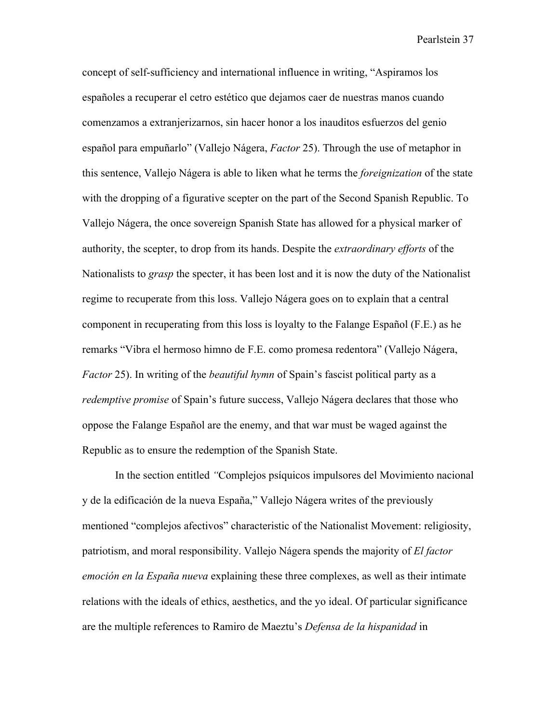concept of self-sufficiency and international influence in writing, "Aspiramos los españoles a recuperar el cetro estético que dejamos caer de nuestras manos cuando comenzamos a extranjerizarnos, sin hacer honor a los inauditos esfuerzos del genio español para empuñarlo" (Vallejo Nágera, *Factor* 25). Through the use of metaphor in this sentence, Vallejo Nágera is able to liken what he terms the *foreignization* of the state with the dropping of a figurative scepter on the part of the Second Spanish Republic. To Vallejo Nágera, the once sovereign Spanish State has allowed for a physical marker of authority, the scepter, to drop from its hands. Despite the *extraordinary efforts* of the Nationalists to *grasp* the specter, it has been lost and it is now the duty of the Nationalist regime to recuperate from this loss. Vallejo Nágera goes on to explain that a central component in recuperating from this loss is loyalty to the Falange Español (F.E.) as he remarks "Vibra el hermoso himno de F.E. como promesa redentora" (Vallejo Nágera, *Factor* 25). In writing of the *beautiful hymn* of Spain's fascist political party as a *redemptive promise* of Spain's future success, Vallejo Nágera declares that those who oppose the Falange Español are the enemy, and that war must be waged against the Republic as to ensure the redemption of the Spanish State.

In the section entitled *"*Complejos psíquicos impulsores del Movimiento nacional y de la edificación de la nueva España," Vallejo Nágera writes of the previously mentioned "complejos afectivos" characteristic of the Nationalist Movement: religiosity, patriotism, and moral responsibility. Vallejo Nágera spends the majority of *El factor emoción en la España nueva* explaining these three complexes, as well as their intimate relations with the ideals of ethics, aesthetics, and the yo ideal. Of particular significance are the multiple references to Ramiro de Maeztu's *Defensa de la hispanidad* in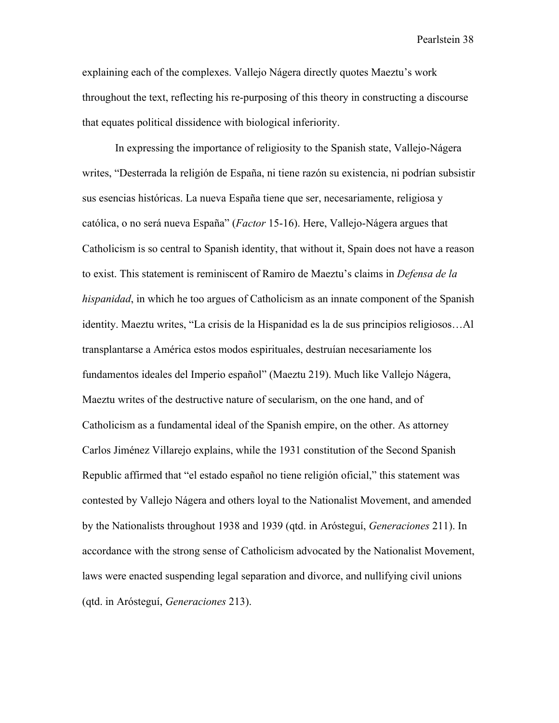explaining each of the complexes. Vallejo Nágera directly quotes Maeztu's work throughout the text, reflecting his re-purposing of this theory in constructing a discourse that equates political dissidence with biological inferiority.

In expressing the importance of religiosity to the Spanish state, Vallejo-Nágera writes, "Desterrada la religión de España, ni tiene razón su existencia, ni podrían subsistir sus esencias históricas. La nueva España tiene que ser, necesariamente, religiosa y católica, o no será nueva España" (*Factor* 15-16). Here, Vallejo-Nágera argues that Catholicism is so central to Spanish identity, that without it, Spain does not have a reason to exist. This statement is reminiscent of Ramiro de Maeztu's claims in *Defensa de la hispanidad*, in which he too argues of Catholicism as an innate component of the Spanish identity. Maeztu writes, "La crisis de la Hispanidad es la de sus principios religiosos…Al transplantarse a América estos modos espirituales, destruían necesariamente los fundamentos ideales del Imperio español" (Maeztu 219). Much like Vallejo Nágera, Maeztu writes of the destructive nature of secularism, on the one hand, and of Catholicism as a fundamental ideal of the Spanish empire, on the other. As attorney Carlos Jiménez Villarejo explains, while the 1931 constitution of the Second Spanish Republic affirmed that "el estado español no tiene religión oficial," this statement was contested by Vallejo Nágera and others loyal to the Nationalist Movement, and amended by the Nationalists throughout 1938 and 1939 (qtd. in Arósteguí, *Generaciones* 211). In accordance with the strong sense of Catholicism advocated by the Nationalist Movement, laws were enacted suspending legal separation and divorce, and nullifying civil unions (qtd. in Arósteguí, *Generaciones* 213).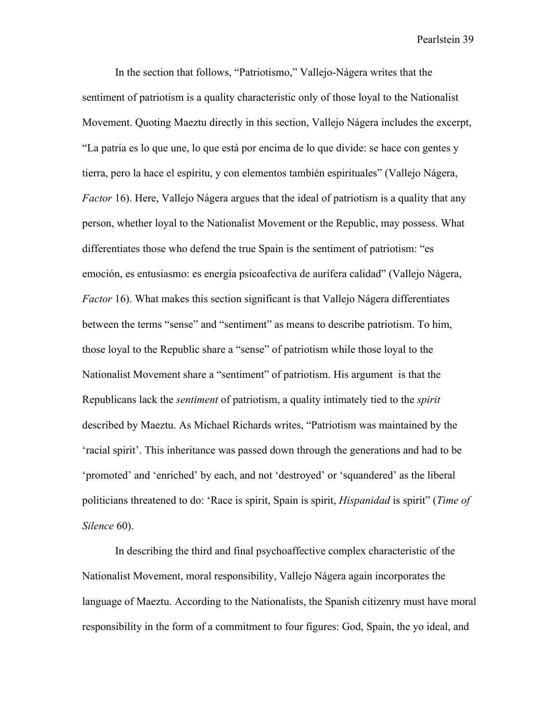In the section that follows, "Patriotismo," Vallejo-Nágera writes that the sentiment of patriotism is a quality characteristic only of those loyal to the Nationalist Movement. Quoting Maeztu directly in this section, Vallejo Nágera includes the excerpt, "La patria es lo que une, lo que está por encima de lo que divide: se hace con gentes y tierra, pero la hace el espíritu, y con elementos también espirituales" (Vallejo Nágera, *Factor* 16). Here, Vallejo Nágera argues that the ideal of patriotism is a quality that any person, whether loyal to the Nationalist Movement or the Republic, may possess. What differentiates those who defend the true Spain is the sentiment of patriotism: "es emoción, es entusiasmo: es energía psicoafectiva de aurífera calidad" (Vallejo Nágera, *Factor* 16). What makes this section significant is that Vallejo Nágera differentiates between the terms "sense" and "sentiment" as means to describe patriotism. To him, those loyal to the Republic share a "sense" of patriotism while those loyal to the Nationalist Movement share a "sentiment" of patriotism. His argument is that the Republicans lack the *sentiment* of patriotism, a quality intimately tied to the *spirit* described by Maeztu. As Michael Richards writes, "Patriotism was maintained by the 'racial spirit'. This inheritance was passed down through the generations and had to be 'promoted' and 'enriched' by each, and not 'destroyed' or 'squandered' as the liberal politicians threatened to do: 'Race is spirit, Spain is spirit, *Hispanidad* is spirit" (*Time of Silence* 60).

In describing the third and final psychoaffective complex characteristic of the Nationalist Movement, moral responsibility, Vallejo Nágera again incorporates the language of Maeztu. According to the Nationalists, the Spanish citizenry must have moral responsibility in the form of a commitment to four figures: God, Spain, the yo ideal, and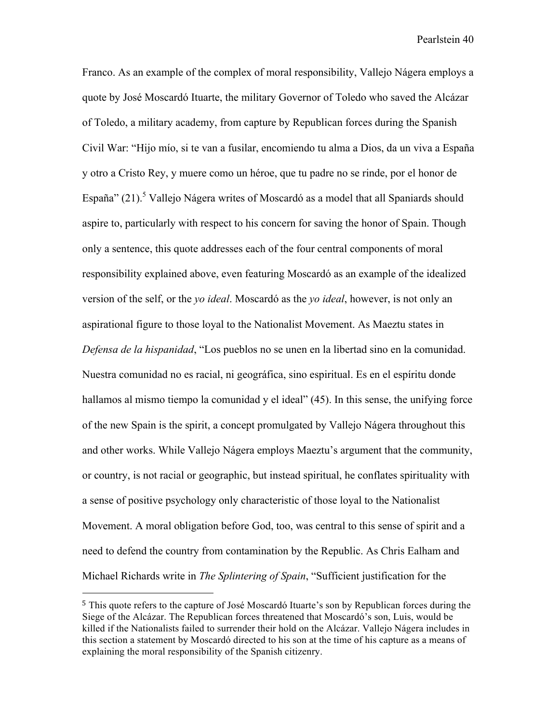Franco. As an example of the complex of moral responsibility, Vallejo Nágera employs a quote by José Moscardó Ituarte, the military Governor of Toledo who saved the Alcázar of Toledo, a military academy, from capture by Republican forces during the Spanish Civil War: "Hijo mío, si te van a fusilar, encomiendo tu alma a Dios, da un viva a España y otro a Cristo Rey, y muere como un héroe, que tu padre no se rinde, por el honor de España"  $(21)$ .<sup>5</sup> Vallejo Nágera writes of Moscardó as a model that all Spaniards should aspire to, particularly with respect to his concern for saving the honor of Spain. Though only a sentence, this quote addresses each of the four central components of moral responsibility explained above, even featuring Moscardó as an example of the idealized version of the self, or the *yo ideal*. Moscardó as the *yo ideal*, however, is not only an aspirational figure to those loyal to the Nationalist Movement. As Maeztu states in *Defensa de la hispanidad*, "Los pueblos no se unen en la libertad sino en la comunidad. Nuestra comunidad no es racial, ni geográfica, sino espiritual. Es en el espíritu donde hallamos al mismo tiempo la comunidad y el ideal" (45). In this sense, the unifying force of the new Spain is the spirit, a concept promulgated by Vallejo Nágera throughout this and other works. While Vallejo Nágera employs Maeztu's argument that the community, or country, is not racial or geographic, but instead spiritual, he conflates spirituality with a sense of positive psychology only characteristic of those loyal to the Nationalist Movement. A moral obligation before God, too, was central to this sense of spirit and a need to defend the country from contamination by the Republic. As Chris Ealham and Michael Richards write in *The Splintering of Spain*, "Sufficient justification for the

 

<sup>5</sup> This quote refers to the capture of José Moscardó Ituarte's son by Republican forces during the Siege of the Alcázar. The Republican forces threatened that Moscardó's son, Luis, would be killed if the Nationalists failed to surrender their hold on the Alcázar. Vallejo Nágera includes in this section a statement by Moscardó directed to his son at the time of his capture as a means of explaining the moral responsibility of the Spanish citizenry.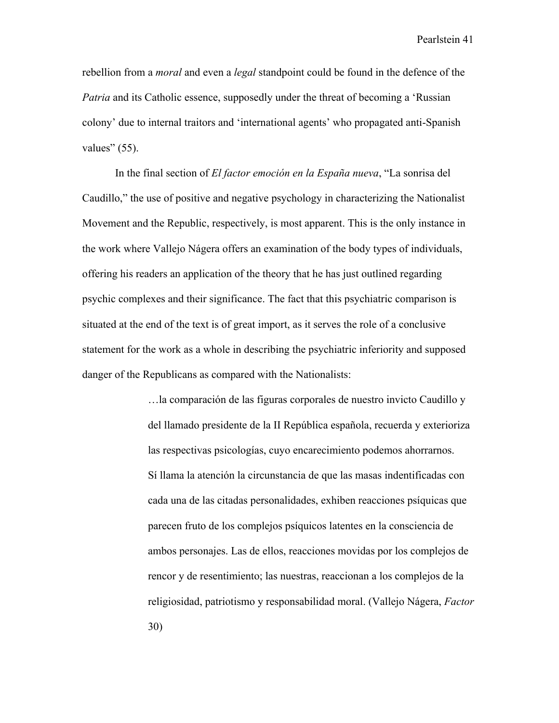rebellion from a *moral* and even a *legal* standpoint could be found in the defence of the *Patria* and its Catholic essence, supposedly under the threat of becoming a 'Russian colony' due to internal traitors and 'international agents' who propagated anti-Spanish values"  $(55)$ .

In the final section of *El factor emoción en la España nueva*, "La sonrisa del Caudillo," the use of positive and negative psychology in characterizing the Nationalist Movement and the Republic, respectively, is most apparent. This is the only instance in the work where Vallejo Nágera offers an examination of the body types of individuals, offering his readers an application of the theory that he has just outlined regarding psychic complexes and their significance. The fact that this psychiatric comparison is situated at the end of the text is of great import, as it serves the role of a conclusive statement for the work as a whole in describing the psychiatric inferiority and supposed danger of the Republicans as compared with the Nationalists:

> …la comparación de las figuras corporales de nuestro invicto Caudillo y del llamado presidente de la II República española, recuerda y exterioriza las respectivas psicologías, cuyo encarecimiento podemos ahorrarnos. Sí llama la atención la circunstancia de que las masas indentificadas con cada una de las citadas personalidades, exhiben reacciones psíquicas que parecen fruto de los complejos psíquicos latentes en la consciencia de ambos personajes. Las de ellos, reacciones movidas por los complejos de rencor y de resentimiento; las nuestras, reaccionan a los complejos de la religiosidad, patriotismo y responsabilidad moral. (Vallejo Nágera, *Factor* 30)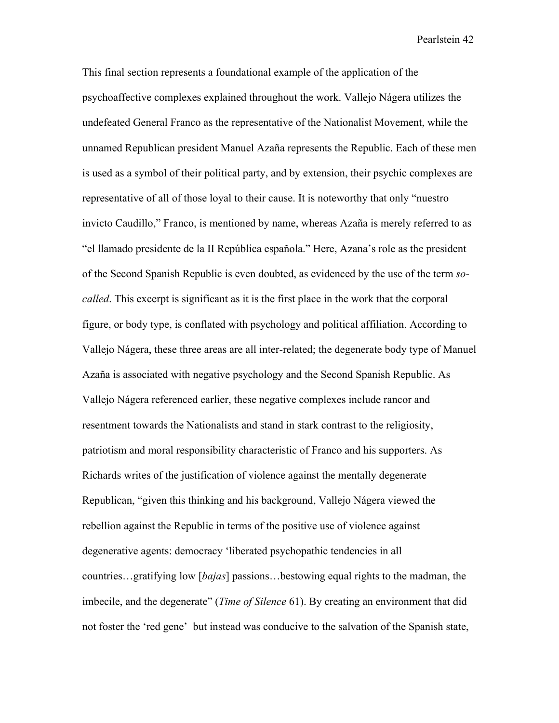This final section represents a foundational example of the application of the psychoaffective complexes explained throughout the work. Vallejo Nágera utilizes the undefeated General Franco as the representative of the Nationalist Movement, while the unnamed Republican president Manuel Azaña represents the Republic. Each of these men is used as a symbol of their political party, and by extension, their psychic complexes are representative of all of those loyal to their cause. It is noteworthy that only "nuestro invicto Caudillo," Franco, is mentioned by name, whereas Azaña is merely referred to as "el llamado presidente de la II República española." Here, Azana's role as the president of the Second Spanish Republic is even doubted, as evidenced by the use of the term *socalled*. This excerpt is significant as it is the first place in the work that the corporal figure, or body type, is conflated with psychology and political affiliation. According to Vallejo Nágera, these three areas are all inter-related; the degenerate body type of Manuel Azaña is associated with negative psychology and the Second Spanish Republic. As Vallejo Nágera referenced earlier, these negative complexes include rancor and resentment towards the Nationalists and stand in stark contrast to the religiosity, patriotism and moral responsibility characteristic of Franco and his supporters. As Richards writes of the justification of violence against the mentally degenerate Republican, "given this thinking and his background, Vallejo Nágera viewed the rebellion against the Republic in terms of the positive use of violence against degenerative agents: democracy 'liberated psychopathic tendencies in all countries…gratifying low [*bajas*] passions…bestowing equal rights to the madman, the imbecile, and the degenerate" (*Time of Silence* 61). By creating an environment that did not foster the 'red gene' but instead was conducive to the salvation of the Spanish state,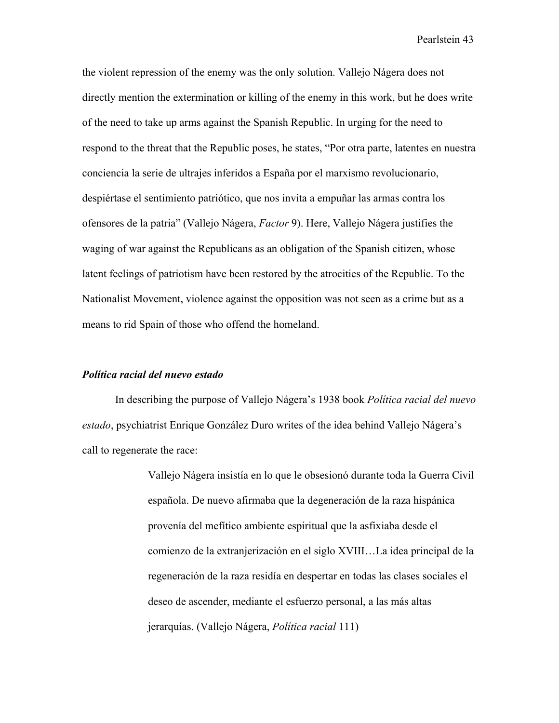the violent repression of the enemy was the only solution. Vallejo Nágera does not directly mention the extermination or killing of the enemy in this work, but he does write of the need to take up arms against the Spanish Republic. In urging for the need to respond to the threat that the Republic poses, he states, "Por otra parte, latentes en nuestra conciencia la serie de ultrajes inferidos a España por el marxismo revolucionario, despiértase el sentimiento patriótico, que nos invita a empuñar las armas contra los ofensores de la patria" (Vallejo Nágera, *Factor* 9). Here, Vallejo Nágera justifies the waging of war against the Republicans as an obligation of the Spanish citizen, whose latent feelings of patriotism have been restored by the atrocities of the Republic. To the Nationalist Movement, violence against the opposition was not seen as a crime but as a means to rid Spain of those who offend the homeland.

## *Política racial del nuevo estado*

In describing the purpose of Vallejo Nágera's 1938 book *Política racial del nuevo estado*, psychiatrist Enrique González Duro writes of the idea behind Vallejo Nágera's call to regenerate the race:

> Vallejo Nágera insistía en lo que le obsesionó durante toda la Guerra Civil española. De nuevo afirmaba que la degeneración de la raza hispánica provenía del mefítico ambiente espiritual que la asfixiaba desde el comienzo de la extranjerización en el siglo XVIII…La idea principal de la regeneración de la raza residía en despertar en todas las clases sociales el deseo de ascender, mediante el esfuerzo personal, a las más altas jerarquías. (Vallejo Nágera, *Política racial* 111)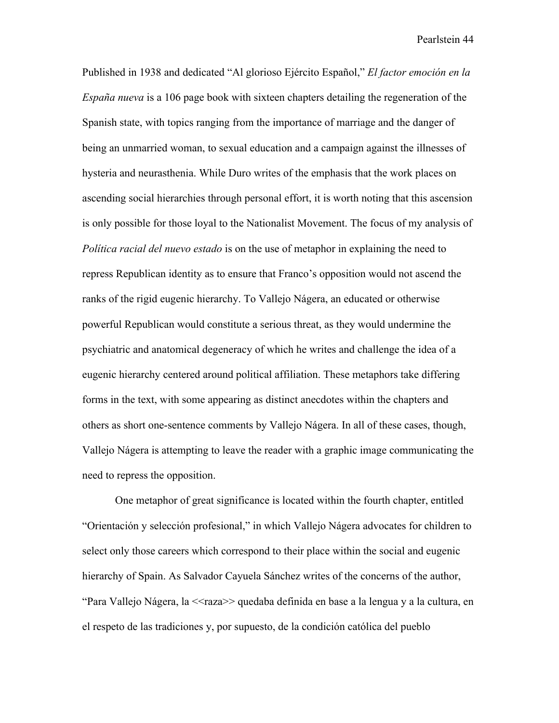Published in 1938 and dedicated "Al glorioso Ejército Español," *El factor emoción en la España nueva* is a 106 page book with sixteen chapters detailing the regeneration of the Spanish state, with topics ranging from the importance of marriage and the danger of being an unmarried woman, to sexual education and a campaign against the illnesses of hysteria and neurasthenia. While Duro writes of the emphasis that the work places on ascending social hierarchies through personal effort, it is worth noting that this ascension is only possible for those loyal to the Nationalist Movement. The focus of my analysis of *Política racial del nuevo estado* is on the use of metaphor in explaining the need to repress Republican identity as to ensure that Franco's opposition would not ascend the ranks of the rigid eugenic hierarchy. To Vallejo Nágera, an educated or otherwise powerful Republican would constitute a serious threat, as they would undermine the psychiatric and anatomical degeneracy of which he writes and challenge the idea of a eugenic hierarchy centered around political affiliation. These metaphors take differing forms in the text, with some appearing as distinct anecdotes within the chapters and others as short one-sentence comments by Vallejo Nágera. In all of these cases, though, Vallejo Nágera is attempting to leave the reader with a graphic image communicating the need to repress the opposition.

One metaphor of great significance is located within the fourth chapter, entitled "Orientación y selección profesional," in which Vallejo Nágera advocates for children to select only those careers which correspond to their place within the social and eugenic hierarchy of Spain. As Salvador Cayuela Sánchez writes of the concerns of the author, "Para Vallejo Nágera, la <<raza>> quedaba definida en base a la lengua y a la cultura, en el respeto de las tradiciones y, por supuesto, de la condición católica del pueblo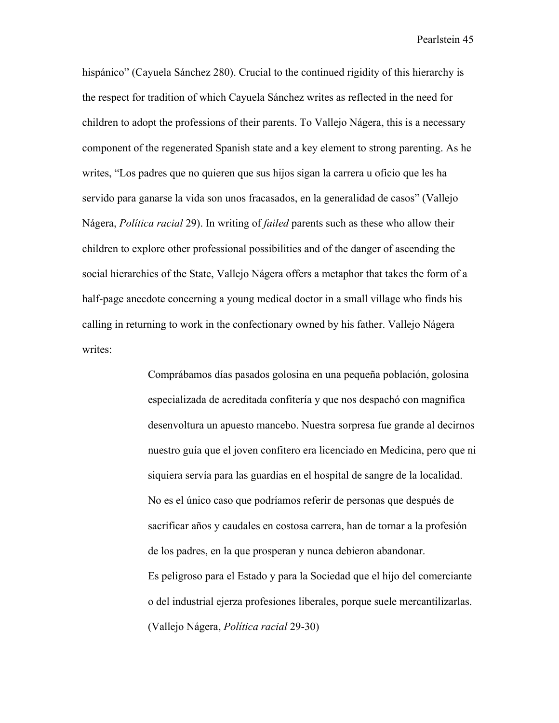hispánico" (Cayuela Sánchez 280). Crucial to the continued rigidity of this hierarchy is the respect for tradition of which Cayuela Sánchez writes as reflected in the need for children to adopt the professions of their parents. To Vallejo Nágera, this is a necessary component of the regenerated Spanish state and a key element to strong parenting. As he writes, "Los padres que no quieren que sus hijos sigan la carrera u oficio que les ha servido para ganarse la vida son unos fracasados, en la generalidad de casos" (Vallejo Nágera, *Política racial* 29). In writing of *failed* parents such as these who allow their children to explore other professional possibilities and of the danger of ascending the social hierarchies of the State, Vallejo Nágera offers a metaphor that takes the form of a half-page anecdote concerning a young medical doctor in a small village who finds his calling in returning to work in the confectionary owned by his father. Vallejo Nágera writes:

> Comprábamos días pasados golosina en una pequeña población, golosina especializada de acreditada confitería y que nos despachó con magnifica desenvoltura un apuesto mancebo. Nuestra sorpresa fue grande al decirnos nuestro guía que el joven confitero era licenciado en Medicina, pero que ni siquiera servía para las guardias en el hospital de sangre de la localidad. No es el único caso que podríamos referir de personas que después de sacrificar años y caudales en costosa carrera, han de tornar a la profesión de los padres, en la que prosperan y nunca debieron abandonar. Es peligroso para el Estado y para la Sociedad que el hijo del comerciante o del industrial ejerza profesiones liberales, porque suele mercantilizarlas. (Vallejo Nágera, *Política racial* 29-30)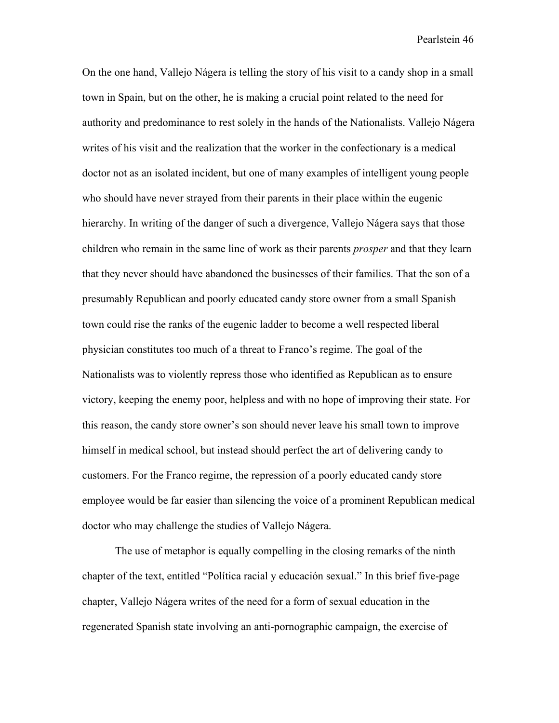On the one hand, Vallejo Nágera is telling the story of his visit to a candy shop in a small town in Spain, but on the other, he is making a crucial point related to the need for authority and predominance to rest solely in the hands of the Nationalists. Vallejo Nágera writes of his visit and the realization that the worker in the confectionary is a medical doctor not as an isolated incident, but one of many examples of intelligent young people who should have never strayed from their parents in their place within the eugenic hierarchy. In writing of the danger of such a divergence, Vallejo Nágera says that those children who remain in the same line of work as their parents *prosper* and that they learn that they never should have abandoned the businesses of their families. That the son of a presumably Republican and poorly educated candy store owner from a small Spanish town could rise the ranks of the eugenic ladder to become a well respected liberal physician constitutes too much of a threat to Franco's regime. The goal of the Nationalists was to violently repress those who identified as Republican as to ensure victory, keeping the enemy poor, helpless and with no hope of improving their state. For this reason, the candy store owner's son should never leave his small town to improve himself in medical school, but instead should perfect the art of delivering candy to customers. For the Franco regime, the repression of a poorly educated candy store employee would be far easier than silencing the voice of a prominent Republican medical doctor who may challenge the studies of Vallejo Nágera.

The use of metaphor is equally compelling in the closing remarks of the ninth chapter of the text, entitled "Política racial y educación sexual." In this brief five-page chapter, Vallejo Nágera writes of the need for a form of sexual education in the regenerated Spanish state involving an anti-pornographic campaign, the exercise of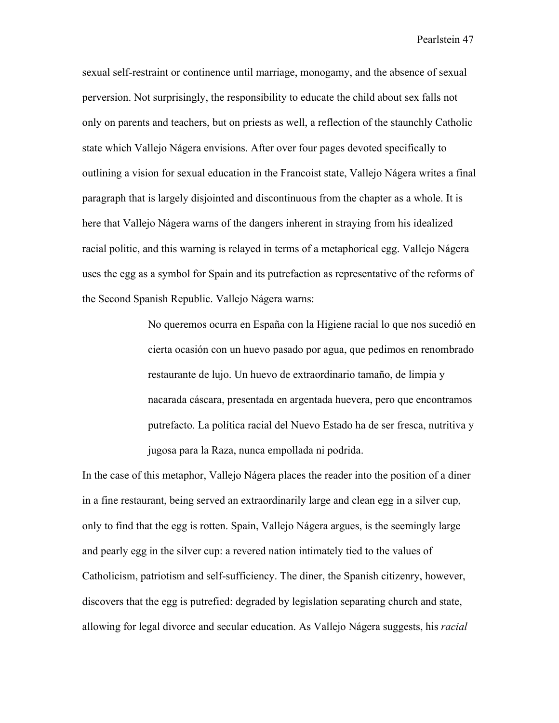sexual self-restraint or continence until marriage, monogamy, and the absence of sexual perversion. Not surprisingly, the responsibility to educate the child about sex falls not only on parents and teachers, but on priests as well, a reflection of the staunchly Catholic state which Vallejo Nágera envisions. After over four pages devoted specifically to outlining a vision for sexual education in the Francoist state, Vallejo Nágera writes a final paragraph that is largely disjointed and discontinuous from the chapter as a whole. It is here that Vallejo Nágera warns of the dangers inherent in straying from his idealized racial politic, and this warning is relayed in terms of a metaphorical egg. Vallejo Nágera uses the egg as a symbol for Spain and its putrefaction as representative of the reforms of the Second Spanish Republic. Vallejo Nágera warns:

> No queremos ocurra en España con la Higiene racial lo que nos sucedió en cierta ocasión con un huevo pasado por agua, que pedimos en renombrado restaurante de lujo. Un huevo de extraordinario tamaño, de limpia y nacarada cáscara, presentada en argentada huevera, pero que encontramos putrefacto. La política racial del Nuevo Estado ha de ser fresca, nutritiva y jugosa para la Raza, nunca empollada ni podrida.

In the case of this metaphor, Vallejo Nágera places the reader into the position of a diner in a fine restaurant, being served an extraordinarily large and clean egg in a silver cup, only to find that the egg is rotten. Spain, Vallejo Nágera argues, is the seemingly large and pearly egg in the silver cup: a revered nation intimately tied to the values of Catholicism, patriotism and self-sufficiency. The diner, the Spanish citizenry, however, discovers that the egg is putrefied: degraded by legislation separating church and state, allowing for legal divorce and secular education. As Vallejo Nágera suggests, his *racial*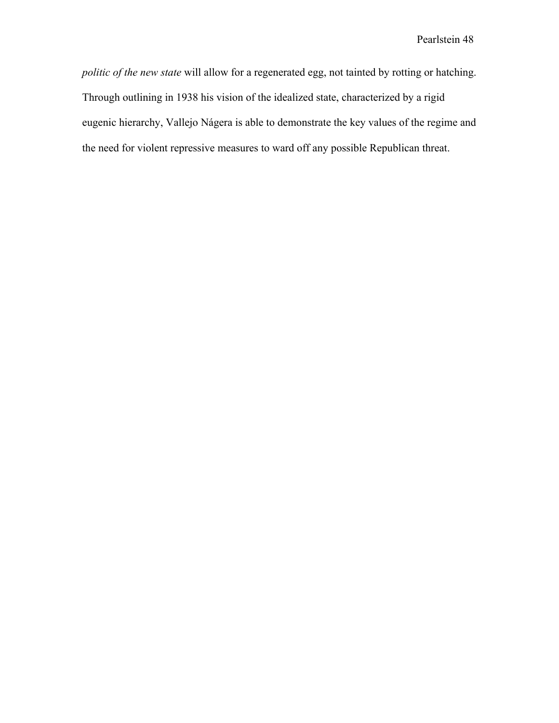*politic of the new state* will allow for a regenerated egg, not tainted by rotting or hatching. Through outlining in 1938 his vision of the idealized state, characterized by a rigid eugenic hierarchy, Vallejo Nágera is able to demonstrate the key values of the regime and the need for violent repressive measures to ward off any possible Republican threat.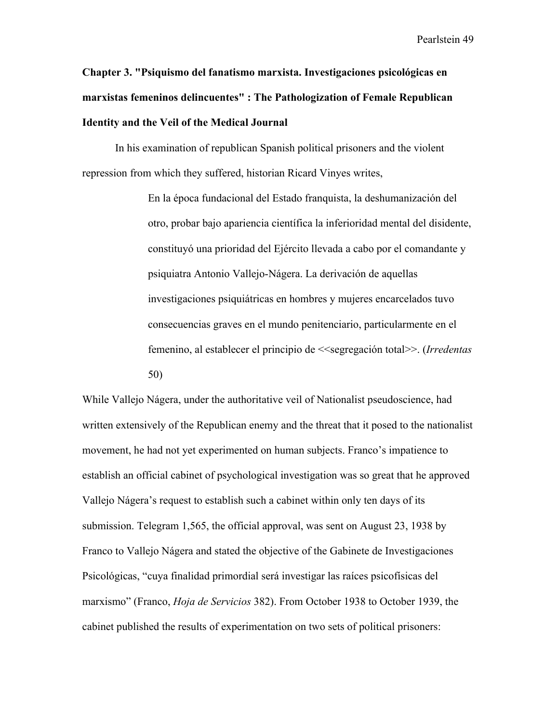**Chapter 3. "Psiquismo del fanatismo marxista. Investigaciones psicológicas en marxistas femeninos delincuentes" : The Pathologization of Female Republican Identity and the Veil of the Medical Journal** 

In his examination of republican Spanish political prisoners and the violent repression from which they suffered, historian Ricard Vinyes writes,

> En la época fundacional del Estado franquista, la deshumanización del otro, probar bajo apariencia científica la inferioridad mental del disidente, constituyó una prioridad del Ejército llevada a cabo por el comandante y psiquiatra Antonio Vallejo-Nágera. La derivación de aquellas investigaciones psiquiátricas en hombres y mujeres encarcelados tuvo consecuencias graves en el mundo penitenciario, particularmente en el femenino, al establecer el principio de <<segregación total>>. (*Irredentas*  50)

While Vallejo Nágera, under the authoritative veil of Nationalist pseudoscience, had written extensively of the Republican enemy and the threat that it posed to the nationalist movement, he had not yet experimented on human subjects. Franco's impatience to establish an official cabinet of psychological investigation was so great that he approved Vallejo Nágera's request to establish such a cabinet within only ten days of its submission. Telegram 1,565, the official approval, was sent on August 23, 1938 by Franco to Vallejo Nágera and stated the objective of the Gabinete de Investigaciones Psicológicas, "cuya finalidad primordial será investigar las raíces psicofísicas del marxismo" (Franco, *Hoja de Servicios* 382). From October 1938 to October 1939, the cabinet published the results of experimentation on two sets of political prisoners: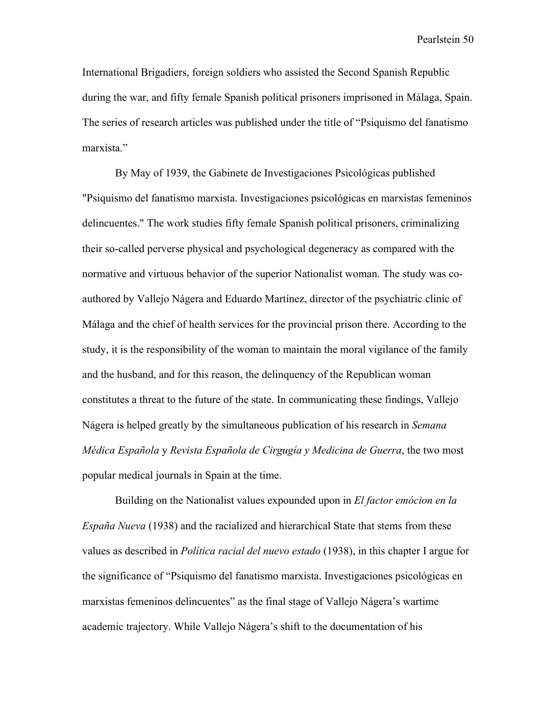International Brigadiers, foreign soldiers who assisted the Second Spanish Republic during the war, and fifty female Spanish political prisoners imprisoned in Málaga, Spain. The series of research articles was published under the title of "Psiquismo del fanatismo marxista."

By May of 1939, the Gabinete de Investigaciones Psicológicas published "Psiquismo del fanatismo marxista. Investigaciones psicológicas en marxistas femeninos delincuentes." The work studies fifty female Spanish political prisoners, criminalizing their so-called perverse physical and psychological degeneracy as compared with the normative and virtuous behavior of the superior Nationalist woman. The study was coauthored by Vallejo Nágera and Eduardo Martínez, director of the psychiatric clinic of Málaga and the chief of health services for the provincial prison there. According to the study, it is the responsibility of the woman to maintain the moral vigilance of the family and the husband, and for this reason, the delinquency of the Republican woman constitutes a threat to the future of the state. In communicating these findings, Vallejo Nágera is helped greatly by the simultaneous publication of his research in *Semana Médica Española* y *Revista Española de Cirgugía y Medicina de Guerra*, the two most popular medical journals in Spain at the time.

Building on the Nationalist values expounded upon in *El factor emócion en la España Nueva* (1938) and the racialized and hierarchical State that stems from these values as described in *Política racial del nuevo estado* (1938), in this chapter I argue for the significance of "Psiquismo del fanatismo marxista. Investigaciones psicológicas en marxistas femeninos delincuentes" as the final stage of Vallejo Nágera's wartime academic trajectory. While Vallejo Nágera's shift to the documentation of his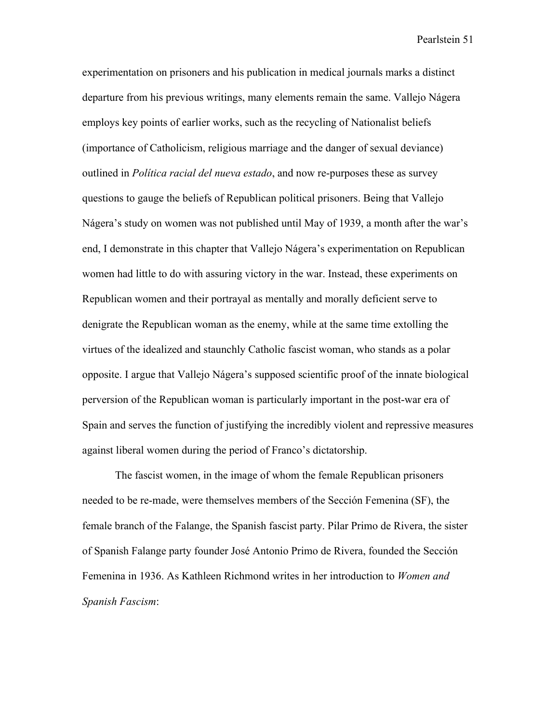experimentation on prisoners and his publication in medical journals marks a distinct departure from his previous writings, many elements remain the same. Vallejo Nágera employs key points of earlier works, such as the recycling of Nationalist beliefs (importance of Catholicism, religious marriage and the danger of sexual deviance) outlined in *Política racial del nueva estado*, and now re-purposes these as survey questions to gauge the beliefs of Republican political prisoners. Being that Vallejo Nágera's study on women was not published until May of 1939, a month after the war's end, I demonstrate in this chapter that Vallejo Nágera's experimentation on Republican women had little to do with assuring victory in the war. Instead, these experiments on Republican women and their portrayal as mentally and morally deficient serve to denigrate the Republican woman as the enemy, while at the same time extolling the virtues of the idealized and staunchly Catholic fascist woman, who stands as a polar opposite. I argue that Vallejo Nágera's supposed scientific proof of the innate biological perversion of the Republican woman is particularly important in the post-war era of Spain and serves the function of justifying the incredibly violent and repressive measures against liberal women during the period of Franco's dictatorship.

The fascist women, in the image of whom the female Republican prisoners needed to be re-made, were themselves members of the Sección Femenina (SF), the female branch of the Falange, the Spanish fascist party. Pilar Primo de Rivera, the sister of Spanish Falange party founder José Antonio Primo de Rivera, founded the Sección Femenina in 1936. As Kathleen Richmond writes in her introduction to *Women and Spanish Fascism*: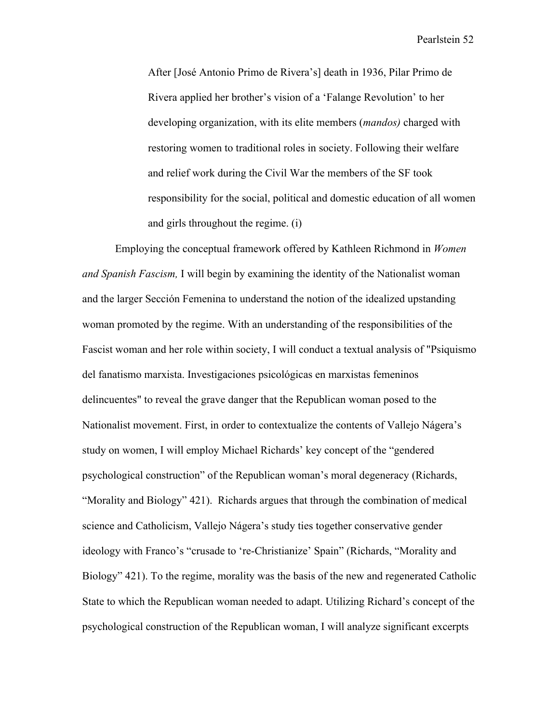After [José Antonio Primo de Rivera's] death in 1936, Pilar Primo de Rivera applied her brother's vision of a 'Falange Revolution' to her developing organization, with its elite members (*mandos)* charged with restoring women to traditional roles in society. Following their welfare and relief work during the Civil War the members of the SF took responsibility for the social, political and domestic education of all women and girls throughout the regime. (i)

Employing the conceptual framework offered by Kathleen Richmond in *Women and Spanish Fascism,* I will begin by examining the identity of the Nationalist woman and the larger Sección Femenina to understand the notion of the idealized upstanding woman promoted by the regime. With an understanding of the responsibilities of the Fascist woman and her role within society, I will conduct a textual analysis of "Psiquismo del fanatismo marxista. Investigaciones psicológicas en marxistas femeninos delincuentes" to reveal the grave danger that the Republican woman posed to the Nationalist movement. First, in order to contextualize the contents of Vallejo Nágera's study on women, I will employ Michael Richards' key concept of the "gendered psychological construction" of the Republican woman's moral degeneracy (Richards, "Morality and Biology" 421). Richards argues that through the combination of medical science and Catholicism, Vallejo Nágera's study ties together conservative gender ideology with Franco's "crusade to 're-Christianize' Spain" (Richards, "Morality and Biology" 421). To the regime, morality was the basis of the new and regenerated Catholic State to which the Republican woman needed to adapt. Utilizing Richard's concept of the psychological construction of the Republican woman, I will analyze significant excerpts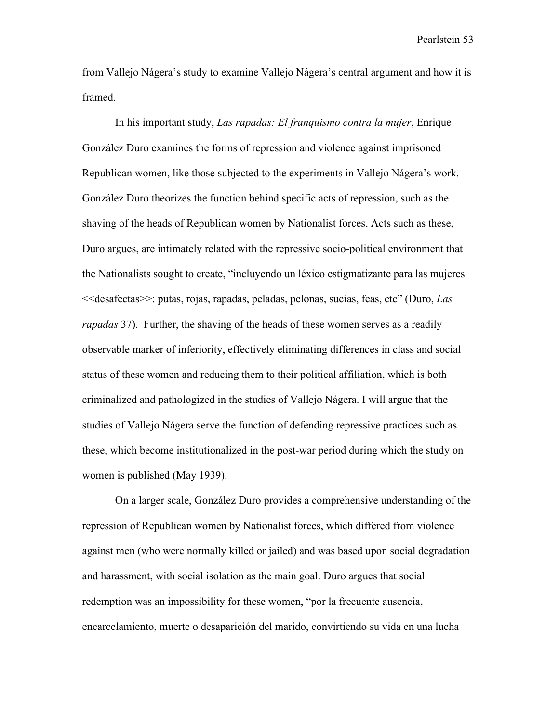from Vallejo Nágera's study to examine Vallejo Nágera's central argument and how it is framed.

In his important study, *Las rapadas: El franquismo contra la mujer*, Enrique González Duro examines the forms of repression and violence against imprisoned Republican women, like those subjected to the experiments in Vallejo Nágera's work. González Duro theorizes the function behind specific acts of repression, such as the shaving of the heads of Republican women by Nationalist forces. Acts such as these, Duro argues, are intimately related with the repressive socio-political environment that the Nationalists sought to create, "incluyendo un léxico estigmatizante para las mujeres <<desafectas>>: putas, rojas, rapadas, peladas, pelonas, sucias, feas, etc" (Duro, *Las rapadas* 37). Further, the shaving of the heads of these women serves as a readily observable marker of inferiority, effectively eliminating differences in class and social status of these women and reducing them to their political affiliation, which is both criminalized and pathologized in the studies of Vallejo Nágera. I will argue that the studies of Vallejo Nágera serve the function of defending repressive practices such as these, which become institutionalized in the post-war period during which the study on women is published (May 1939).

On a larger scale, González Duro provides a comprehensive understanding of the repression of Republican women by Nationalist forces, which differed from violence against men (who were normally killed or jailed) and was based upon social degradation and harassment, with social isolation as the main goal. Duro argues that social redemption was an impossibility for these women, "por la frecuente ausencia, encarcelamiento, muerte o desaparición del marido, convirtiendo su vida en una lucha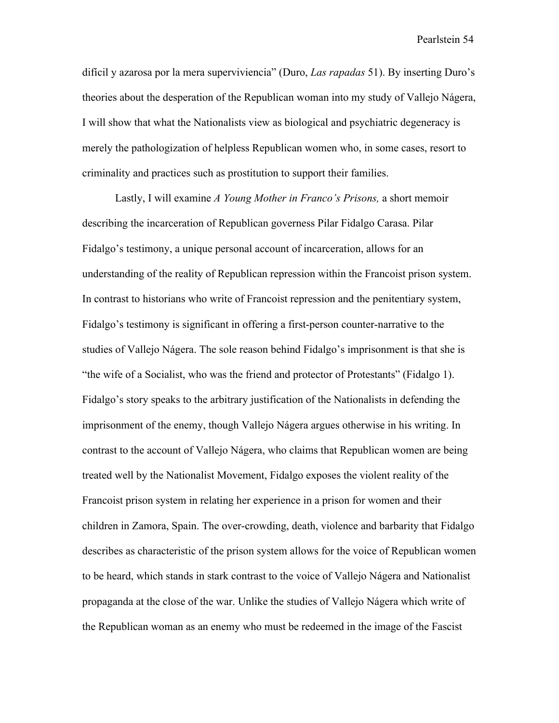difícil y azarosa por la mera superviviencia" (Duro, *Las rapadas* 51). By inserting Duro's theories about the desperation of the Republican woman into my study of Vallejo Nágera, I will show that what the Nationalists view as biological and psychiatric degeneracy is merely the pathologization of helpless Republican women who, in some cases, resort to criminality and practices such as prostitution to support their families.

Lastly, I will examine *A Young Mother in Franco's Prisons,* a short memoir describing the incarceration of Republican governess Pilar Fidalgo Carasa. Pilar Fidalgo's testimony, a unique personal account of incarceration, allows for an understanding of the reality of Republican repression within the Francoist prison system. In contrast to historians who write of Francoist repression and the penitentiary system, Fidalgo's testimony is significant in offering a first-person counter-narrative to the studies of Vallejo Nágera. The sole reason behind Fidalgo's imprisonment is that she is "the wife of a Socialist, who was the friend and protector of Protestants" (Fidalgo 1). Fidalgo's story speaks to the arbitrary justification of the Nationalists in defending the imprisonment of the enemy, though Vallejo Nágera argues otherwise in his writing. In contrast to the account of Vallejo Nágera, who claims that Republican women are being treated well by the Nationalist Movement, Fidalgo exposes the violent reality of the Francoist prison system in relating her experience in a prison for women and their children in Zamora, Spain. The over-crowding, death, violence and barbarity that Fidalgo describes as characteristic of the prison system allows for the voice of Republican women to be heard, which stands in stark contrast to the voice of Vallejo Nágera and Nationalist propaganda at the close of the war. Unlike the studies of Vallejo Nágera which write of the Republican woman as an enemy who must be redeemed in the image of the Fascist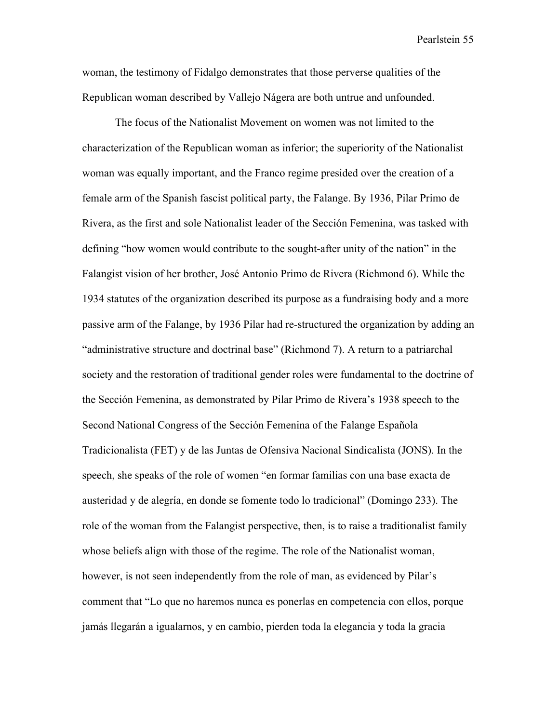woman, the testimony of Fidalgo demonstrates that those perverse qualities of the Republican woman described by Vallejo Nágera are both untrue and unfounded.

The focus of the Nationalist Movement on women was not limited to the characterization of the Republican woman as inferior; the superiority of the Nationalist woman was equally important, and the Franco regime presided over the creation of a female arm of the Spanish fascist political party, the Falange. By 1936, Pilar Primo de Rivera, as the first and sole Nationalist leader of the Sección Femenina, was tasked with defining "how women would contribute to the sought-after unity of the nation" in the Falangist vision of her brother, José Antonio Primo de Rivera (Richmond 6). While the 1934 statutes of the organization described its purpose as a fundraising body and a more passive arm of the Falange, by 1936 Pilar had re-structured the organization by adding an "administrative structure and doctrinal base" (Richmond 7). A return to a patriarchal society and the restoration of traditional gender roles were fundamental to the doctrine of the Sección Femenina, as demonstrated by Pilar Primo de Rivera's 1938 speech to the Second National Congress of the Sección Femenina of the Falange Española Tradicionalista (FET) y de las Juntas de Ofensiva Nacional Sindicalista (JONS). In the speech, she speaks of the role of women "en formar familias con una base exacta de austeridad y de alegría, en donde se fomente todo lo tradicional" (Domingo 233). The role of the woman from the Falangist perspective, then, is to raise a traditionalist family whose beliefs align with those of the regime. The role of the Nationalist woman, however, is not seen independently from the role of man, as evidenced by Pilar's comment that "Lo que no haremos nunca es ponerlas en competencia con ellos, porque jamás llegarán a igualarnos, y en cambio, pierden toda la elegancia y toda la gracia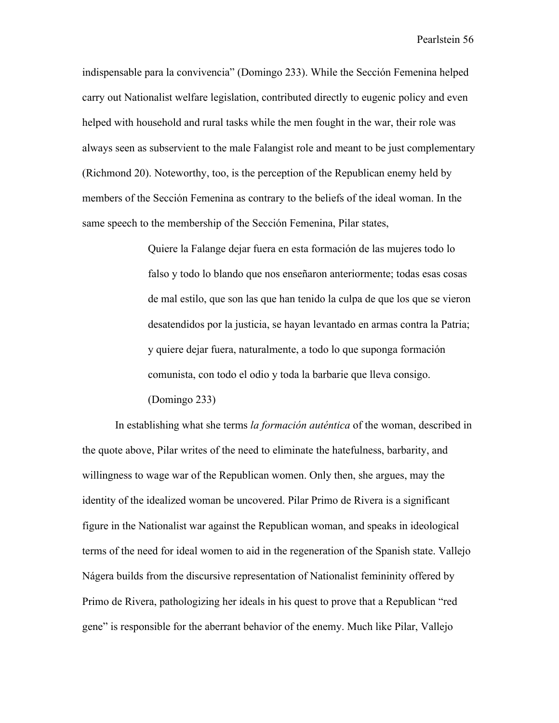indispensable para la convivencia" (Domingo 233). While the Sección Femenina helped carry out Nationalist welfare legislation, contributed directly to eugenic policy and even helped with household and rural tasks while the men fought in the war, their role was always seen as subservient to the male Falangist role and meant to be just complementary (Richmond 20). Noteworthy, too, is the perception of the Republican enemy held by members of the Sección Femenina as contrary to the beliefs of the ideal woman. In the same speech to the membership of the Sección Femenina, Pilar states,

> Quiere la Falange dejar fuera en esta formación de las mujeres todo lo falso y todo lo blando que nos enseñaron anteriormente; todas esas cosas de mal estilo, que son las que han tenido la culpa de que los que se vieron desatendidos por la justicia, se hayan levantado en armas contra la Patria; y quiere dejar fuera, naturalmente, a todo lo que suponga formación comunista, con todo el odio y toda la barbarie que lleva consigo. (Domingo 233)

In establishing what she terms *la formación auténtica* of the woman, described in the quote above, Pilar writes of the need to eliminate the hatefulness, barbarity, and willingness to wage war of the Republican women. Only then, she argues, may the identity of the idealized woman be uncovered. Pilar Primo de Rivera is a significant figure in the Nationalist war against the Republican woman, and speaks in ideological terms of the need for ideal women to aid in the regeneration of the Spanish state. Vallejo Nágera builds from the discursive representation of Nationalist femininity offered by Primo de Rivera, pathologizing her ideals in his quest to prove that a Republican "red gene" is responsible for the aberrant behavior of the enemy. Much like Pilar, Vallejo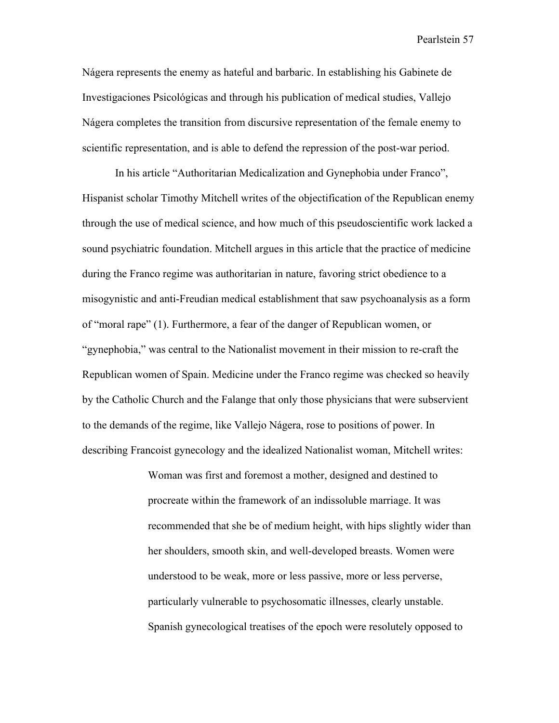Nágera represents the enemy as hateful and barbaric. In establishing his Gabinete de Investigaciones Psicológicas and through his publication of medical studies, Vallejo Nágera completes the transition from discursive representation of the female enemy to scientific representation, and is able to defend the repression of the post-war period.

In his article "Authoritarian Medicalization and Gynephobia under Franco", Hispanist scholar Timothy Mitchell writes of the objectification of the Republican enemy through the use of medical science, and how much of this pseudoscientific work lacked a sound psychiatric foundation. Mitchell argues in this article that the practice of medicine during the Franco regime was authoritarian in nature, favoring strict obedience to a misogynistic and anti-Freudian medical establishment that saw psychoanalysis as a form of "moral rape" (1). Furthermore, a fear of the danger of Republican women, or "gynephobia," was central to the Nationalist movement in their mission to re-craft the Republican women of Spain. Medicine under the Franco regime was checked so heavily by the Catholic Church and the Falange that only those physicians that were subservient to the demands of the regime, like Vallejo Nágera, rose to positions of power. In describing Francoist gynecology and the idealized Nationalist woman, Mitchell writes:

> Woman was first and foremost a mother, designed and destined to procreate within the framework of an indissoluble marriage. It was recommended that she be of medium height, with hips slightly wider than her shoulders, smooth skin, and well-developed breasts. Women were understood to be weak, more or less passive, more or less perverse, particularly vulnerable to psychosomatic illnesses, clearly unstable. Spanish gynecological treatises of the epoch were resolutely opposed to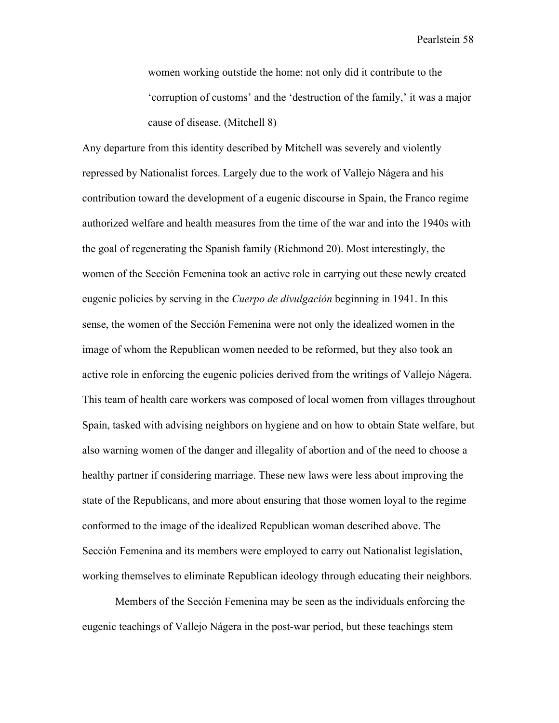women working outstide the home: not only did it contribute to the 'corruption of customs' and the 'destruction of the family,' it was a major cause of disease. (Mitchell 8)

Any departure from this identity described by Mitchell was severely and violently repressed by Nationalist forces. Largely due to the work of Vallejo Nágera and his contribution toward the development of a eugenic discourse in Spain, the Franco regime authorized welfare and health measures from the time of the war and into the 1940s with the goal of regenerating the Spanish family (Richmond 20). Most interestingly, the women of the Sección Femenina took an active role in carrying out these newly created eugenic policies by serving in the *Cuerpo de divulgación* beginning in 1941. In this sense, the women of the Sección Femenina were not only the idealized women in the image of whom the Republican women needed to be reformed, but they also took an active role in enforcing the eugenic policies derived from the writings of Vallejo Nágera. This team of health care workers was composed of local women from villages throughout Spain, tasked with advising neighbors on hygiene and on how to obtain State welfare, but also warning women of the danger and illegality of abortion and of the need to choose a healthy partner if considering marriage. These new laws were less about improving the state of the Republicans, and more about ensuring that those women loyal to the regime conformed to the image of the idealized Republican woman described above. The Sección Femenina and its members were employed to carry out Nationalist legislation, working themselves to eliminate Republican ideology through educating their neighbors.

Members of the Sección Femenina may be seen as the individuals enforcing the eugenic teachings of Vallejo Nágera in the post-war period, but these teachings stem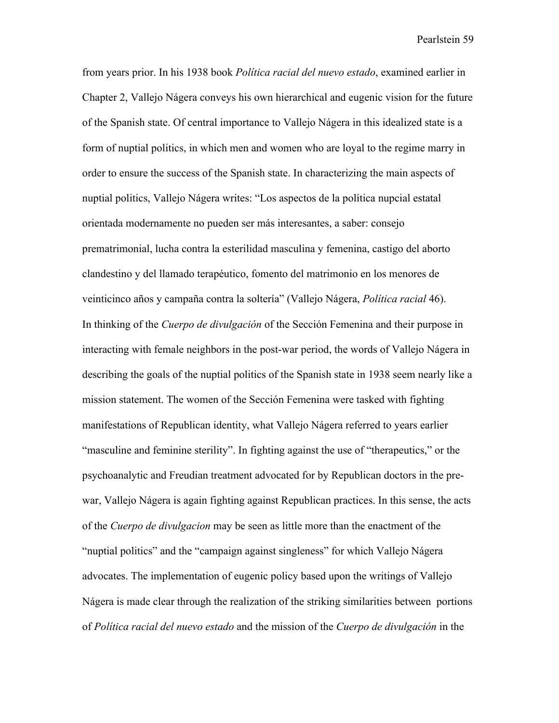from years prior. In his 1938 book *Política racial del nuevo estado*, examined earlier in Chapter 2, Vallejo Nágera conveys his own hierarchical and eugenic vision for the future of the Spanish state. Of central importance to Vallejo Nágera in this idealized state is a form of nuptial politics, in which men and women who are loyal to the regime marry in order to ensure the success of the Spanish state. In characterizing the main aspects of nuptial politics, Vallejo Nágera writes: "Los aspectos de la política nupcial estatal orientada modernamente no pueden ser más interesantes, a saber: consejo prematrimonial, lucha contra la esterilidad masculina y femenina, castigo del aborto clandestino y del llamado terapéutico, fomento del matrimonio en los menores de veinticinco años y campaña contra la soltería" (Vallejo Nágera, *Política racial* 46). In thinking of the *Cuerpo de divulgación* of the Sección Femenina and their purpose in interacting with female neighbors in the post-war period, the words of Vallejo Nágera in describing the goals of the nuptial politics of the Spanish state in 1938 seem nearly like a mission statement. The women of the Sección Femenina were tasked with fighting manifestations of Republican identity, what Vallejo Nágera referred to years earlier "masculine and feminine sterility". In fighting against the use of "therapeutics," or the psychoanalytic and Freudian treatment advocated for by Republican doctors in the prewar, Vallejo Nágera is again fighting against Republican practices. In this sense, the acts of the *Cuerpo de divulgacion* may be seen as little more than the enactment of the "nuptial politics" and the "campaign against singleness" for which Vallejo Nágera advocates. The implementation of eugenic policy based upon the writings of Vallejo Nágera is made clear through the realization of the striking similarities between portions of *Política racial del nuevo estado* and the mission of the *Cuerpo de divulgación* in the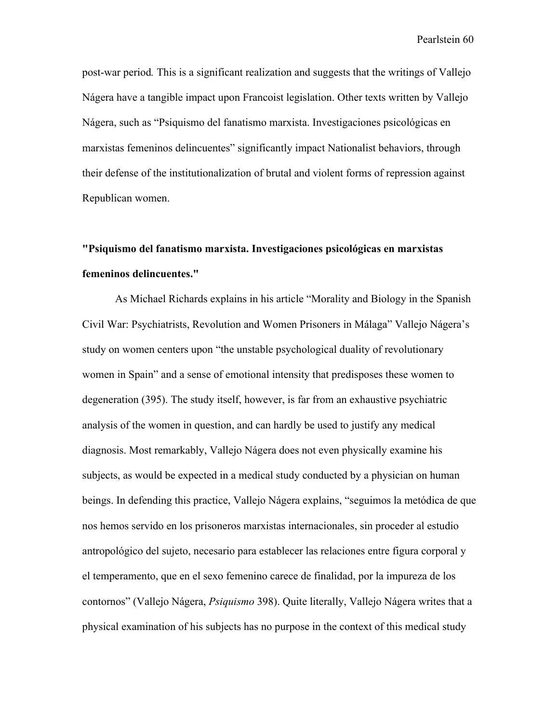post-war period*.* This is a significant realization and suggests that the writings of Vallejo Nágera have a tangible impact upon Francoist legislation. Other texts written by Vallejo Nágera, such as "Psiquismo del fanatismo marxista. Investigaciones psicológicas en marxistas femeninos delincuentes" significantly impact Nationalist behaviors, through their defense of the institutionalization of brutal and violent forms of repression against Republican women.

## **"Psiquismo del fanatismo marxista. Investigaciones psicológicas en marxistas femeninos delincuentes."**

As Michael Richards explains in his article "Morality and Biology in the Spanish Civil War: Psychiatrists, Revolution and Women Prisoners in Málaga" Vallejo Nágera's study on women centers upon "the unstable psychological duality of revolutionary women in Spain" and a sense of emotional intensity that predisposes these women to degeneration (395). The study itself, however, is far from an exhaustive psychiatric analysis of the women in question, and can hardly be used to justify any medical diagnosis. Most remarkably, Vallejo Nágera does not even physically examine his subjects, as would be expected in a medical study conducted by a physician on human beings. In defending this practice, Vallejo Nágera explains, "seguimos la metódica de que nos hemos servido en los prisoneros marxistas internacionales, sin proceder al estudio antropológico del sujeto, necesario para establecer las relaciones entre figura corporal y el temperamento, que en el sexo femenino carece de finalidad, por la impureza de los contornos" (Vallejo Nágera, *Psiquismo* 398). Quite literally, Vallejo Nágera writes that a physical examination of his subjects has no purpose in the context of this medical study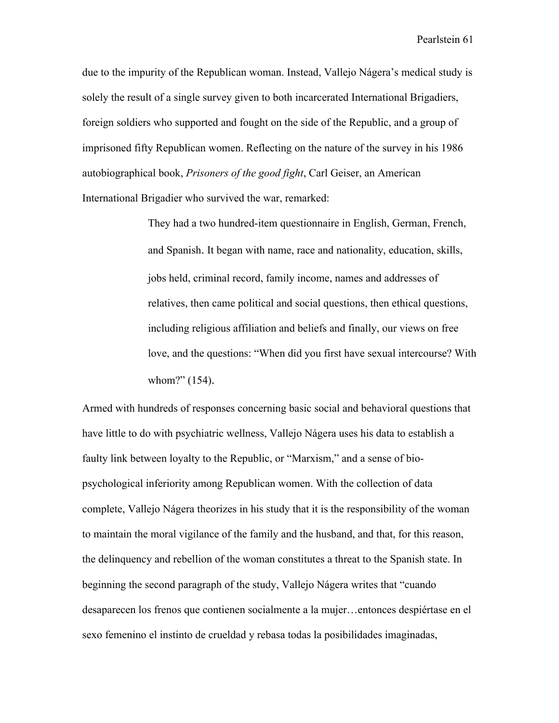due to the impurity of the Republican woman. Instead, Vallejo Nágera's medical study is solely the result of a single survey given to both incarcerated International Brigadiers, foreign soldiers who supported and fought on the side of the Republic, and a group of imprisoned fifty Republican women. Reflecting on the nature of the survey in his 1986 autobiographical book, *Prisoners of the good fight*, Carl Geiser, an American International Brigadier who survived the war, remarked:

> They had a two hundred-item questionnaire in English, German, French, and Spanish. It began with name, race and nationality, education, skills, jobs held, criminal record, family income, names and addresses of relatives, then came political and social questions, then ethical questions, including religious affiliation and beliefs and finally, our views on free love, and the questions: "When did you first have sexual intercourse? With whom?" (154).

Armed with hundreds of responses concerning basic social and behavioral questions that have little to do with psychiatric wellness, Vallejo Nágera uses his data to establish a faulty link between loyalty to the Republic, or "Marxism," and a sense of biopsychological inferiority among Republican women. With the collection of data complete, Vallejo Nágera theorizes in his study that it is the responsibility of the woman to maintain the moral vigilance of the family and the husband, and that, for this reason, the delinquency and rebellion of the woman constitutes a threat to the Spanish state. In beginning the second paragraph of the study, Vallejo Nágera writes that "cuando desaparecen los frenos que contienen socialmente a la mujer…entonces despiértase en el sexo femenino el instinto de crueldad y rebasa todas la posibilidades imaginadas,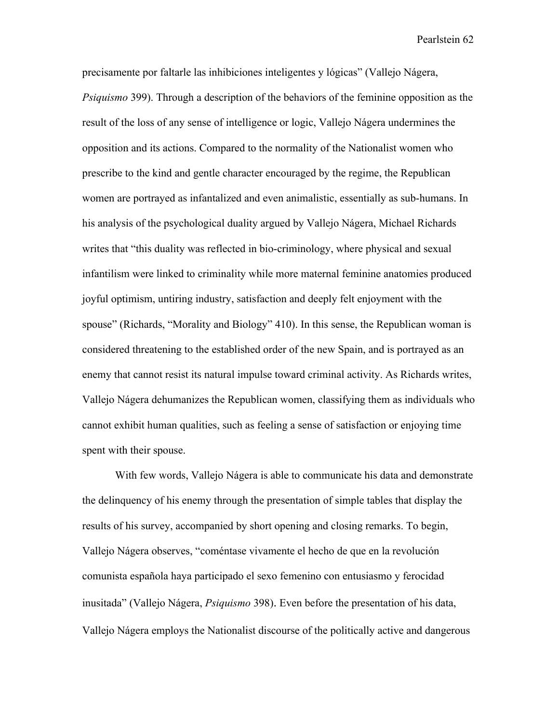precisamente por faltarle las inhibiciones inteligentes y lógicas" (Vallejo Nágera, *Psiquismo* 399). Through a description of the behaviors of the feminine opposition as the result of the loss of any sense of intelligence or logic, Vallejo Nágera undermines the opposition and its actions. Compared to the normality of the Nationalist women who prescribe to the kind and gentle character encouraged by the regime, the Republican women are portrayed as infantalized and even animalistic, essentially as sub-humans. In his analysis of the psychological duality argued by Vallejo Nágera, Michael Richards writes that "this duality was reflected in bio-criminology, where physical and sexual infantilism were linked to criminality while more maternal feminine anatomies produced joyful optimism, untiring industry, satisfaction and deeply felt enjoyment with the spouse" (Richards, "Morality and Biology" 410). In this sense, the Republican woman is considered threatening to the established order of the new Spain, and is portrayed as an enemy that cannot resist its natural impulse toward criminal activity. As Richards writes, Vallejo Nágera dehumanizes the Republican women, classifying them as individuals who cannot exhibit human qualities, such as feeling a sense of satisfaction or enjoying time spent with their spouse.

With few words, Vallejo Nágera is able to communicate his data and demonstrate the delinquency of his enemy through the presentation of simple tables that display the results of his survey, accompanied by short opening and closing remarks. To begin, Vallejo Nágera observes, "coméntase vivamente el hecho de que en la revolución comunista española haya participado el sexo femenino con entusiasmo y ferocidad inusitada" (Vallejo Nágera, *Psiquismo* 398). Even before the presentation of his data, Vallejo Nágera employs the Nationalist discourse of the politically active and dangerous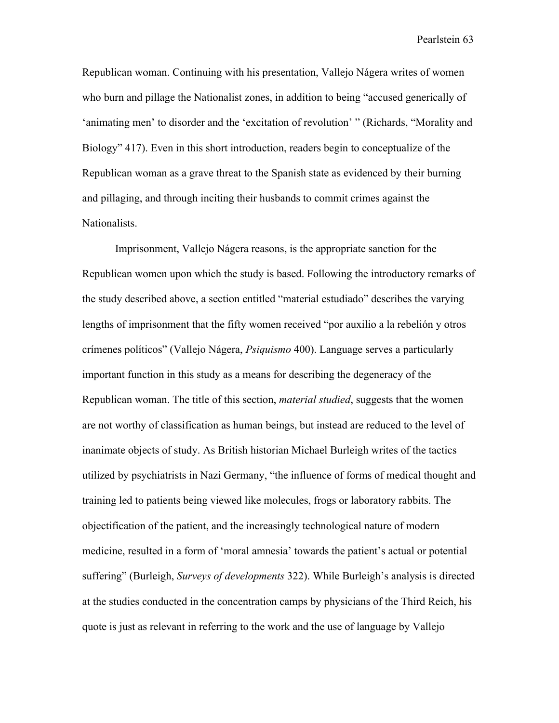Republican woman. Continuing with his presentation, Vallejo Nágera writes of women who burn and pillage the Nationalist zones, in addition to being "accused generically of 'animating men' to disorder and the 'excitation of revolution' " (Richards, "Morality and Biology" 417). Even in this short introduction, readers begin to conceptualize of the Republican woman as a grave threat to the Spanish state as evidenced by their burning and pillaging, and through inciting their husbands to commit crimes against the Nationalists.

Imprisonment, Vallejo Nágera reasons, is the appropriate sanction for the Republican women upon which the study is based. Following the introductory remarks of the study described above, a section entitled "material estudiado" describes the varying lengths of imprisonment that the fifty women received "por auxilio a la rebelión y otros crímenes políticos" (Vallejo Nágera, *Psiquismo* 400). Language serves a particularly important function in this study as a means for describing the degeneracy of the Republican woman. The title of this section, *material studied*, suggests that the women are not worthy of classification as human beings, but instead are reduced to the level of inanimate objects of study. As British historian Michael Burleigh writes of the tactics utilized by psychiatrists in Nazi Germany, "the influence of forms of medical thought and training led to patients being viewed like molecules, frogs or laboratory rabbits. The objectification of the patient, and the increasingly technological nature of modern medicine, resulted in a form of 'moral amnesia' towards the patient's actual or potential suffering" (Burleigh, *Surveys of developments* 322). While Burleigh's analysis is directed at the studies conducted in the concentration camps by physicians of the Third Reich, his quote is just as relevant in referring to the work and the use of language by Vallejo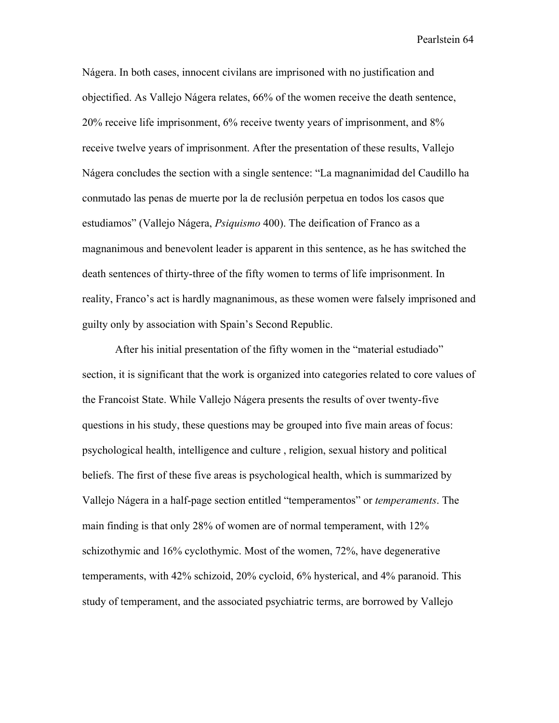Nágera. In both cases, innocent civilans are imprisoned with no justification and objectified. As Vallejo Nágera relates, 66% of the women receive the death sentence, 20% receive life imprisonment, 6% receive twenty years of imprisonment, and 8% receive twelve years of imprisonment. After the presentation of these results, Vallejo Nágera concludes the section with a single sentence: "La magnanimidad del Caudillo ha conmutado las penas de muerte por la de reclusión perpetua en todos los casos que estudiamos" (Vallejo Nágera, *Psiquismo* 400). The deification of Franco as a magnanimous and benevolent leader is apparent in this sentence, as he has switched the death sentences of thirty-three of the fifty women to terms of life imprisonment. In reality, Franco's act is hardly magnanimous, as these women were falsely imprisoned and guilty only by association with Spain's Second Republic.

After his initial presentation of the fifty women in the "material estudiado" section, it is significant that the work is organized into categories related to core values of the Francoist State. While Vallejo Nágera presents the results of over twenty-five questions in his study, these questions may be grouped into five main areas of focus: psychological health, intelligence and culture , religion, sexual history and political beliefs. The first of these five areas is psychological health, which is summarized by Vallejo Nágera in a half-page section entitled "temperamentos" or *temperaments*. The main finding is that only 28% of women are of normal temperament, with 12% schizothymic and 16% cyclothymic. Most of the women, 72%, have degenerative temperaments, with 42% schizoid, 20% cycloid, 6% hysterical, and 4% paranoid. This study of temperament, and the associated psychiatric terms, are borrowed by Vallejo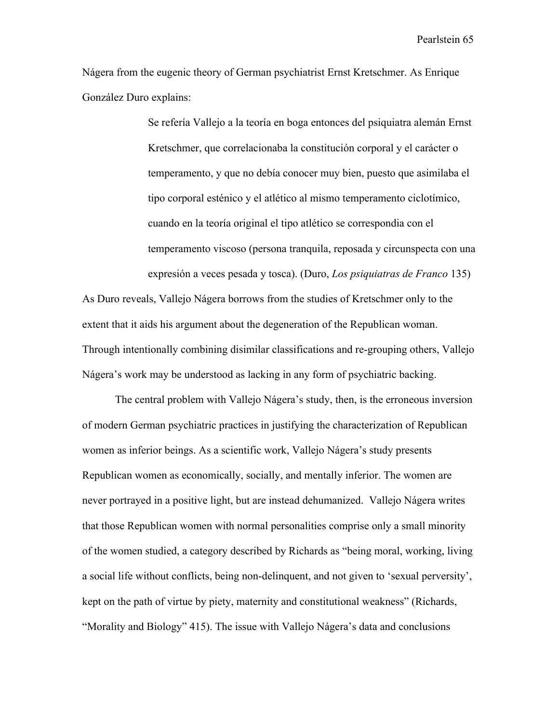Nágera from the eugenic theory of German psychiatrist Ernst Kretschmer. As Enrique González Duro explains:

> Se refería Vallejo a la teoría en boga entonces del psiquiatra alemán Ernst Kretschmer, que correlacionaba la constitución corporal y el carácter o temperamento, y que no debía conocer muy bien, puesto que asimilaba el tipo corporal esténico y el atlético al mismo temperamento ciclotímico, cuando en la teoría original el tipo atlético se correspondia con el temperamento viscoso (persona tranquila, reposada y circunspecta con una expresión a veces pesada y tosca). (Duro, *Los psiquiatras de Franco* 135)

As Duro reveals, Vallejo Nágera borrows from the studies of Kretschmer only to the extent that it aids his argument about the degeneration of the Republican woman. Through intentionally combining disimilar classifications and re-grouping others, Vallejo Nágera's work may be understood as lacking in any form of psychiatric backing.

The central problem with Vallejo Nágera's study, then, is the erroneous inversion of modern German psychiatric practices in justifying the characterization of Republican women as inferior beings. As a scientific work, Vallejo Nágera's study presents Republican women as economically, socially, and mentally inferior. The women are never portrayed in a positive light, but are instead dehumanized. Vallejo Nágera writes that those Republican women with normal personalities comprise only a small minority of the women studied, a category described by Richards as "being moral, working, living a social life without conflicts, being non-delinquent, and not given to 'sexual perversity', kept on the path of virtue by piety, maternity and constitutional weakness" (Richards, "Morality and Biology" 415). The issue with Vallejo Nágera's data and conclusions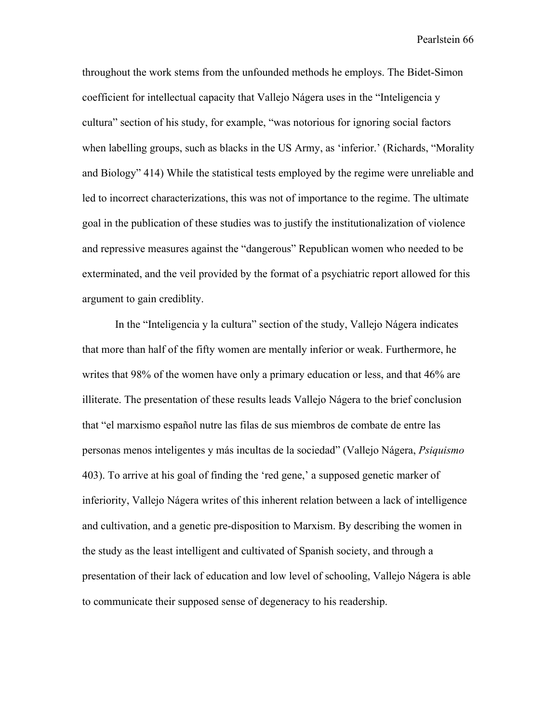throughout the work stems from the unfounded methods he employs. The Bidet-Simon coefficient for intellectual capacity that Vallejo Nágera uses in the "Inteligencia y cultura" section of his study, for example, "was notorious for ignoring social factors when labelling groups, such as blacks in the US Army, as 'inferior.' (Richards, "Morality and Biology" 414) While the statistical tests employed by the regime were unreliable and led to incorrect characterizations, this was not of importance to the regime. The ultimate goal in the publication of these studies was to justify the institutionalization of violence and repressive measures against the "dangerous" Republican women who needed to be exterminated, and the veil provided by the format of a psychiatric report allowed for this argument to gain crediblity.

In the "Inteligencia y la cultura" section of the study, Vallejo Nágera indicates that more than half of the fifty women are mentally inferior or weak. Furthermore, he writes that 98% of the women have only a primary education or less, and that 46% are illiterate. The presentation of these results leads Vallejo Nágera to the brief conclusion that "el marxismo español nutre las filas de sus miembros de combate de entre las personas menos inteligentes y más incultas de la sociedad" (Vallejo Nágera, *Psiquismo* 403). To arrive at his goal of finding the 'red gene,' a supposed genetic marker of inferiority, Vallejo Nágera writes of this inherent relation between a lack of intelligence and cultivation, and a genetic pre-disposition to Marxism. By describing the women in the study as the least intelligent and cultivated of Spanish society, and through a presentation of their lack of education and low level of schooling, Vallejo Nágera is able to communicate their supposed sense of degeneracy to his readership.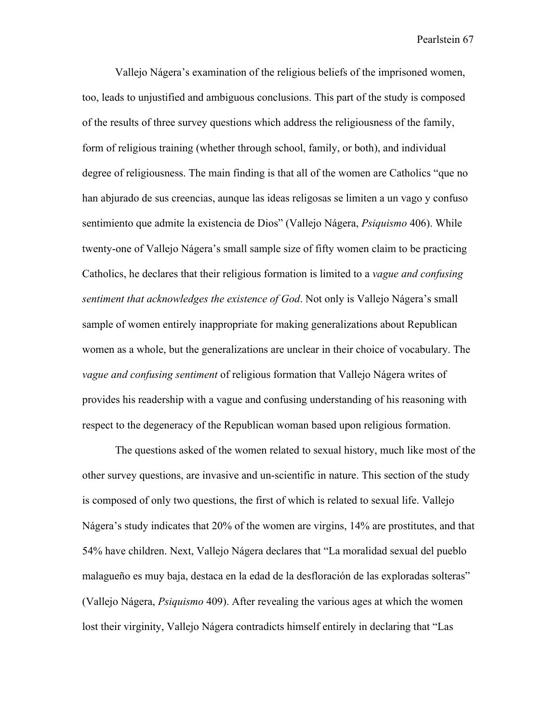Vallejo Nágera's examination of the religious beliefs of the imprisoned women, too, leads to unjustified and ambiguous conclusions. This part of the study is composed of the results of three survey questions which address the religiousness of the family, form of religious training (whether through school, family, or both), and individual degree of religiousness. The main finding is that all of the women are Catholics "que no han abjurado de sus creencias, aunque las ideas religosas se limiten a un vago y confuso sentimiento que admite la existencia de Dios" (Vallejo Nágera, *Psiquismo* 406). While twenty-one of Vallejo Nágera's small sample size of fifty women claim to be practicing Catholics, he declares that their religious formation is limited to a *vague and confusing sentiment that acknowledges the existence of God*. Not only is Vallejo Nágera's small sample of women entirely inappropriate for making generalizations about Republican women as a whole, but the generalizations are unclear in their choice of vocabulary. The *vague and confusing sentiment* of religious formation that Vallejo Nágera writes of provides his readership with a vague and confusing understanding of his reasoning with respect to the degeneracy of the Republican woman based upon religious formation.

The questions asked of the women related to sexual history, much like most of the other survey questions, are invasive and un-scientific in nature. This section of the study is composed of only two questions, the first of which is related to sexual life. Vallejo Nágera's study indicates that 20% of the women are virgins, 14% are prostitutes, and that 54% have children. Next, Vallejo Nágera declares that "La moralidad sexual del pueblo malagueño es muy baja, destaca en la edad de la desfloración de las exploradas solteras" (Vallejo Nágera, *Psiquismo* 409). After revealing the various ages at which the women lost their virginity, Vallejo Nágera contradicts himself entirely in declaring that "Las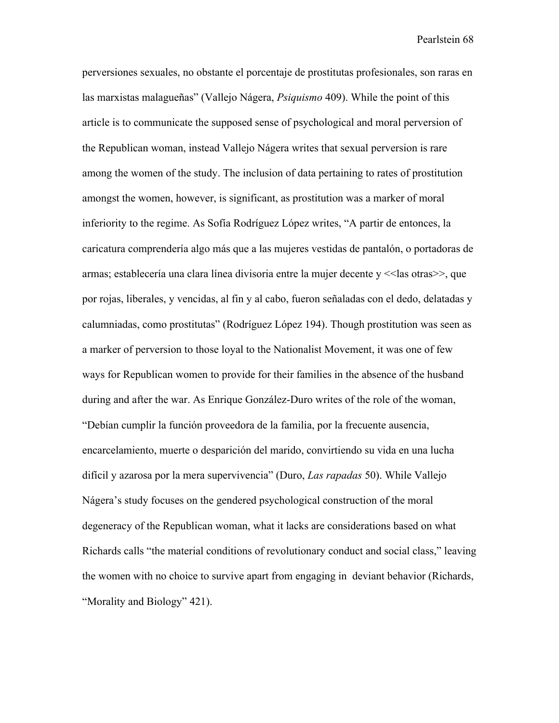perversiones sexuales, no obstante el porcentaje de prostitutas profesionales, son raras en las marxistas malagueñas" (Vallejo Nágera, *Psiquismo* 409). While the point of this article is to communicate the supposed sense of psychological and moral perversion of the Republican woman, instead Vallejo Nágera writes that sexual perversion is rare among the women of the study. The inclusion of data pertaining to rates of prostitution amongst the women, however, is significant, as prostitution was a marker of moral inferiority to the regime. As Sofía Rodríguez López writes, "A partir de entonces, la caricatura comprendería algo más que a las mujeres vestidas de pantalón, o portadoras de armas; establecería una clara línea divisoria entre la mujer decente y <<las otras>>, que por rojas, liberales, y vencidas, al fin y al cabo, fueron señaladas con el dedo, delatadas y calumniadas, como prostitutas" (Rodríguez López 194). Though prostitution was seen as a marker of perversion to those loyal to the Nationalist Movement, it was one of few ways for Republican women to provide for their families in the absence of the husband during and after the war. As Enrique González-Duro writes of the role of the woman, "Debían cumplir la función proveedora de la familia, por la frecuente ausencia, encarcelamiento, muerte o desparición del marido, convirtiendo su vida en una lucha difícil y azarosa por la mera supervivencia" (Duro, *Las rapadas* 50). While Vallejo Nágera's study focuses on the gendered psychological construction of the moral degeneracy of the Republican woman, what it lacks are considerations based on what Richards calls "the material conditions of revolutionary conduct and social class," leaving the women with no choice to survive apart from engaging in deviant behavior (Richards, "Morality and Biology" 421).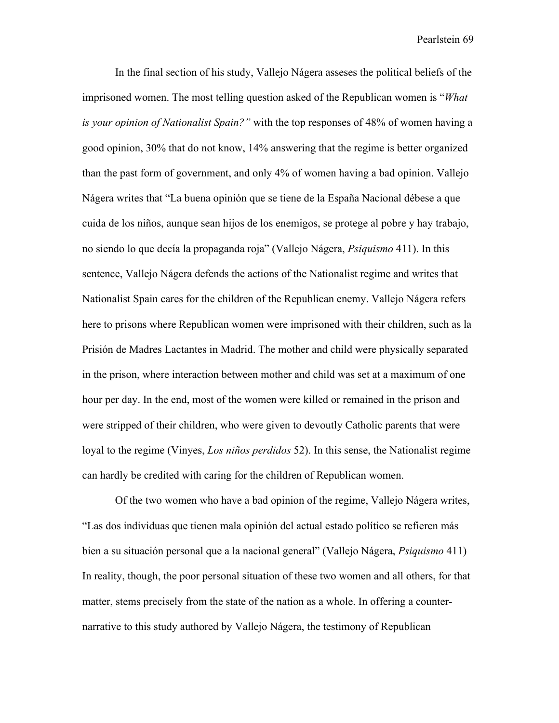In the final section of his study, Vallejo Nágera asseses the political beliefs of the imprisoned women. The most telling question asked of the Republican women is "*What is your opinion of Nationalist Spain?"* with the top responses of 48% of women having a good opinion, 30% that do not know, 14% answering that the regime is better organized than the past form of government, and only 4% of women having a bad opinion. Vallejo Nágera writes that "La buena opinión que se tiene de la España Nacional débese a que cuida de los niños, aunque sean hijos de los enemigos, se protege al pobre y hay trabajo, no siendo lo que decía la propaganda roja" (Vallejo Nágera, *Psiquismo* 411). In this sentence, Vallejo Nágera defends the actions of the Nationalist regime and writes that Nationalist Spain cares for the children of the Republican enemy. Vallejo Nágera refers here to prisons where Republican women were imprisoned with their children, such as la Prisión de Madres Lactantes in Madrid. The mother and child were physically separated in the prison, where interaction between mother and child was set at a maximum of one hour per day. In the end, most of the women were killed or remained in the prison and were stripped of their children, who were given to devoutly Catholic parents that were loyal to the regime (Vinyes, *Los niños perdidos* 52). In this sense, the Nationalist regime can hardly be credited with caring for the children of Republican women.

Of the two women who have a bad opinion of the regime, Vallejo Nágera writes, "Las dos individuas que tienen mala opinión del actual estado político se refieren más bien a su situación personal que a la nacional general" (Vallejo Nágera, *Psiquismo* 411) In reality, though, the poor personal situation of these two women and all others, for that matter, stems precisely from the state of the nation as a whole. In offering a counternarrative to this study authored by Vallejo Nágera, the testimony of Republican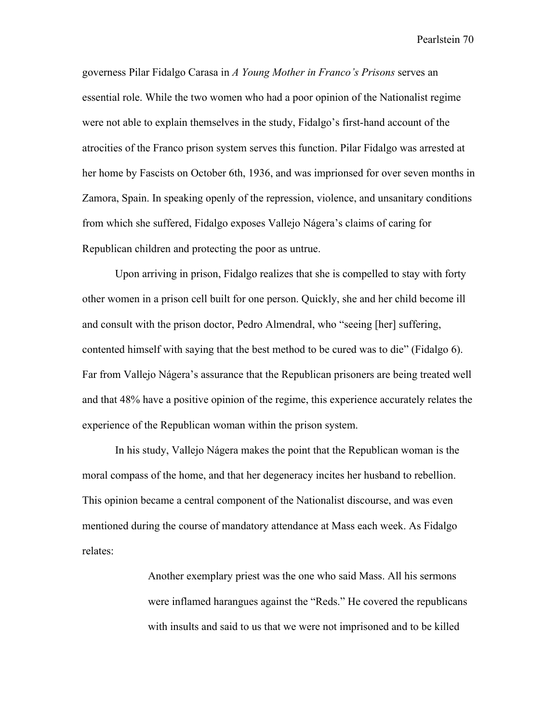governess Pilar Fidalgo Carasa in *A Young Mother in Franco's Prisons* serves an essential role. While the two women who had a poor opinion of the Nationalist regime were not able to explain themselves in the study, Fidalgo's first-hand account of the atrocities of the Franco prison system serves this function. Pilar Fidalgo was arrested at her home by Fascists on October 6th, 1936, and was imprionsed for over seven months in Zamora, Spain. In speaking openly of the repression, violence, and unsanitary conditions from which she suffered, Fidalgo exposes Vallejo Nágera's claims of caring for Republican children and protecting the poor as untrue.

Upon arriving in prison, Fidalgo realizes that she is compelled to stay with forty other women in a prison cell built for one person. Quickly, she and her child become ill and consult with the prison doctor, Pedro Almendral, who "seeing [her] suffering, contented himself with saying that the best method to be cured was to die" (Fidalgo 6). Far from Vallejo Nágera's assurance that the Republican prisoners are being treated well and that 48% have a positive opinion of the regime, this experience accurately relates the experience of the Republican woman within the prison system.

In his study, Vallejo Nágera makes the point that the Republican woman is the moral compass of the home, and that her degeneracy incites her husband to rebellion. This opinion became a central component of the Nationalist discourse, and was even mentioned during the course of mandatory attendance at Mass each week. As Fidalgo relates:

> Another exemplary priest was the one who said Mass. All his sermons were inflamed harangues against the "Reds." He covered the republicans with insults and said to us that we were not imprisoned and to be killed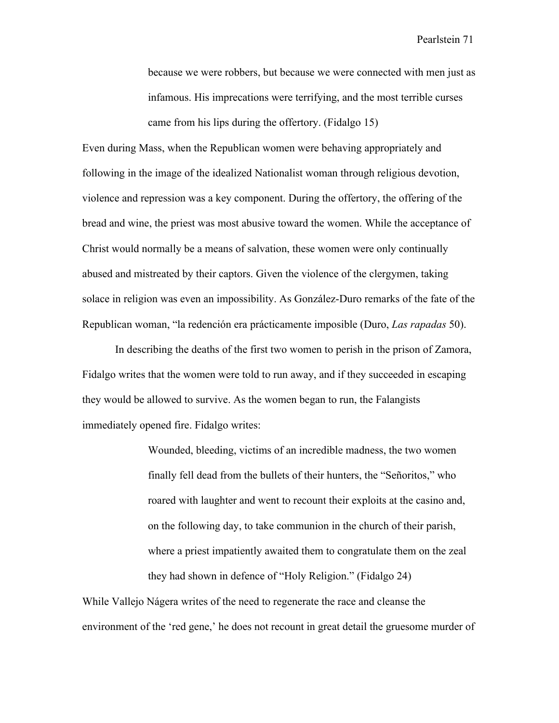because we were robbers, but because we were connected with men just as infamous. His imprecations were terrifying, and the most terrible curses came from his lips during the offertory. (Fidalgo 15)

Even during Mass, when the Republican women were behaving appropriately and following in the image of the idealized Nationalist woman through religious devotion, violence and repression was a key component. During the offertory, the offering of the bread and wine, the priest was most abusive toward the women. While the acceptance of Christ would normally be a means of salvation, these women were only continually abused and mistreated by their captors. Given the violence of the clergymen, taking solace in religion was even an impossibility. As González-Duro remarks of the fate of the Republican woman, "la redención era prácticamente imposible (Duro, *Las rapadas* 50).

In describing the deaths of the first two women to perish in the prison of Zamora, Fidalgo writes that the women were told to run away, and if they succeeded in escaping they would be allowed to survive. As the women began to run, the Falangists immediately opened fire. Fidalgo writes:

> Wounded, bleeding, victims of an incredible madness, the two women finally fell dead from the bullets of their hunters, the "Señoritos," who roared with laughter and went to recount their exploits at the casino and, on the following day, to take communion in the church of their parish, where a priest impatiently awaited them to congratulate them on the zeal they had shown in defence of "Holy Religion." (Fidalgo 24)

While Vallejo Nágera writes of the need to regenerate the race and cleanse the environment of the 'red gene,' he does not recount in great detail the gruesome murder of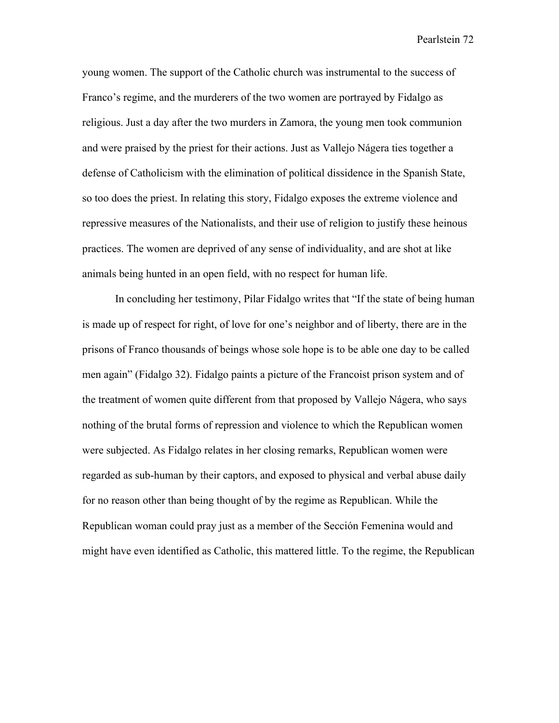young women. The support of the Catholic church was instrumental to the success of Franco's regime, and the murderers of the two women are portrayed by Fidalgo as religious. Just a day after the two murders in Zamora, the young men took communion and were praised by the priest for their actions. Just as Vallejo Nágera ties together a defense of Catholicism with the elimination of political dissidence in the Spanish State, so too does the priest. In relating this story, Fidalgo exposes the extreme violence and repressive measures of the Nationalists, and their use of religion to justify these heinous practices. The women are deprived of any sense of individuality, and are shot at like animals being hunted in an open field, with no respect for human life.

In concluding her testimony, Pilar Fidalgo writes that "If the state of being human is made up of respect for right, of love for one's neighbor and of liberty, there are in the prisons of Franco thousands of beings whose sole hope is to be able one day to be called men again" (Fidalgo 32). Fidalgo paints a picture of the Francoist prison system and of the treatment of women quite different from that proposed by Vallejo Nágera, who says nothing of the brutal forms of repression and violence to which the Republican women were subjected. As Fidalgo relates in her closing remarks, Republican women were regarded as sub-human by their captors, and exposed to physical and verbal abuse daily for no reason other than being thought of by the regime as Republican. While the Republican woman could pray just as a member of the Sección Femenina would and might have even identified as Catholic, this mattered little. To the regime, the Republican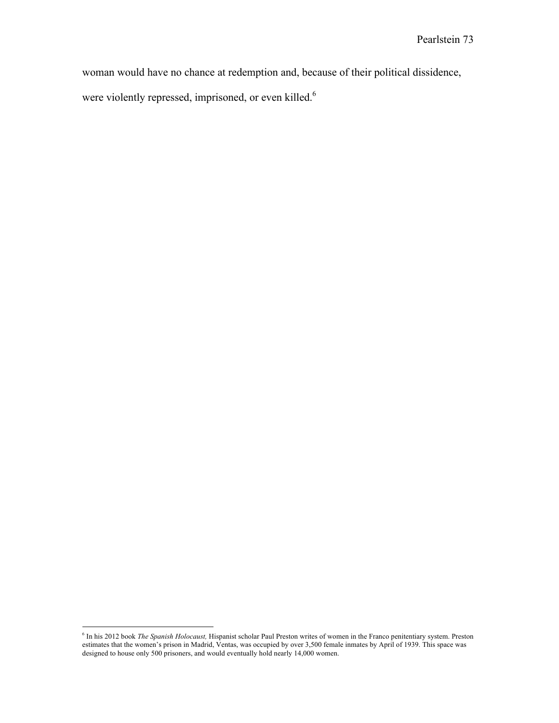woman would have no chance at redemption and, because of their political dissidence,

were violently repressed, imprisoned, or even killed.<sup>6</sup>

 6 In his 2012 book *The Spanish Holocaust,* Hispanist scholar Paul Preston writes of women in the Franco penitentiary system. Preston estimates that the women's prison in Madrid, Ventas, was occupied by over 3,500 female inmates by April of 1939. This space was designed to house only 500 prisoners, and would eventually hold nearly 14,000 women.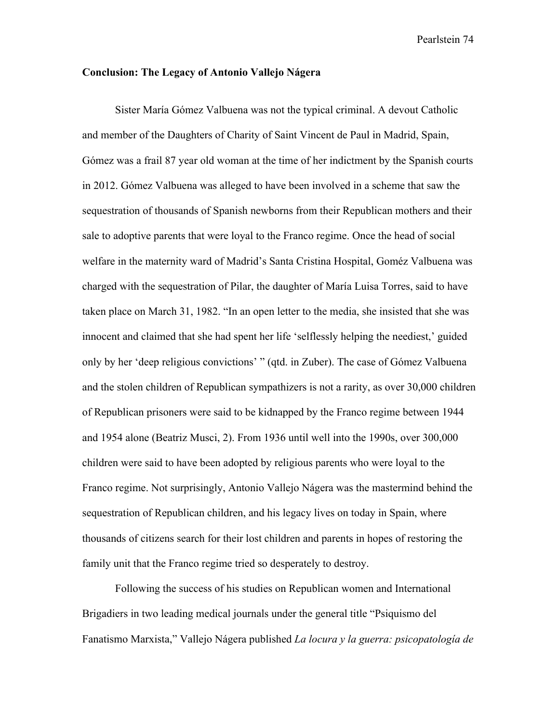## **Conclusion: The Legacy of Antonio Vallejo Nágera**

Sister María Gómez Valbuena was not the typical criminal. A devout Catholic and member of the Daughters of Charity of Saint Vincent de Paul in Madrid, Spain, Gómez was a frail 87 year old woman at the time of her indictment by the Spanish courts in 2012. Gómez Valbuena was alleged to have been involved in a scheme that saw the sequestration of thousands of Spanish newborns from their Republican mothers and their sale to adoptive parents that were loyal to the Franco regime. Once the head of social welfare in the maternity ward of Madrid's Santa Cristina Hospital, Goméz Valbuena was charged with the sequestration of Pilar, the daughter of María Luisa Torres, said to have taken place on March 31, 1982. "In an open letter to the media, she insisted that she was innocent and claimed that she had spent her life 'selflessly helping the neediest,' guided only by her 'deep religious convictions' " (qtd. in Zuber). The case of Gómez Valbuena and the stolen children of Republican sympathizers is not a rarity, as over 30,000 children of Republican prisoners were said to be kidnapped by the Franco regime between 1944 and 1954 alone (Beatriz Musci, 2). From 1936 until well into the 1990s, over 300,000 children were said to have been adopted by religious parents who were loyal to the Franco regime. Not surprisingly, Antonio Vallejo Nágera was the mastermind behind the sequestration of Republican children, and his legacy lives on today in Spain, where thousands of citizens search for their lost children and parents in hopes of restoring the family unit that the Franco regime tried so desperately to destroy.

Following the success of his studies on Republican women and International Brigadiers in two leading medical journals under the general title "Psiquismo del Fanatismo Marxista," Vallejo Nágera published *La locura y la guerra: psicopatología de*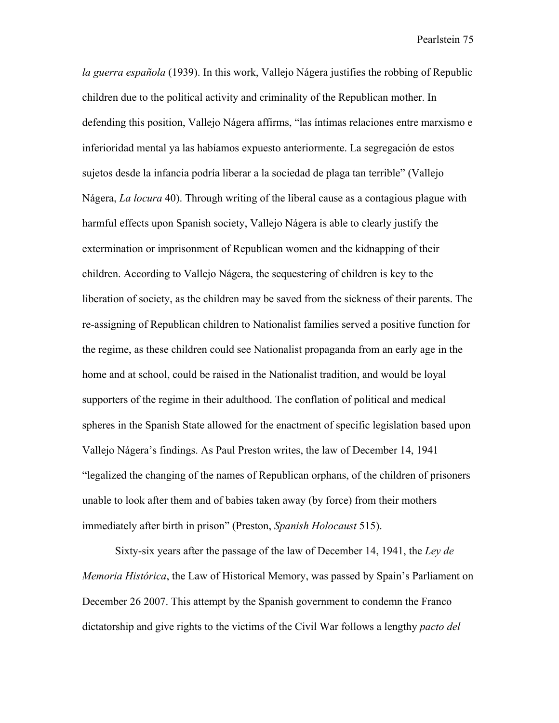*la guerra española* (1939). In this work, Vallejo Nágera justifies the robbing of Republic children due to the political activity and criminality of the Republican mother. In defending this position, Vallejo Nágera affirms, "las íntimas relaciones entre marxismo e inferioridad mental ya las habíamos expuesto anteriormente. La segregación de estos sujetos desde la infancia podría liberar a la sociedad de plaga tan terrible" (Vallejo Nágera, *La locura* 40). Through writing of the liberal cause as a contagious plague with harmful effects upon Spanish society, Vallejo Nágera is able to clearly justify the extermination or imprisonment of Republican women and the kidnapping of their children. According to Vallejo Nágera, the sequestering of children is key to the liberation of society, as the children may be saved from the sickness of their parents. The re-assigning of Republican children to Nationalist families served a positive function for the regime, as these children could see Nationalist propaganda from an early age in the home and at school, could be raised in the Nationalist tradition, and would be loyal supporters of the regime in their adulthood. The conflation of political and medical spheres in the Spanish State allowed for the enactment of specific legislation based upon Vallejo Nágera's findings. As Paul Preston writes, the law of December 14, 1941 "legalized the changing of the names of Republican orphans, of the children of prisoners unable to look after them and of babies taken away (by force) from their mothers immediately after birth in prison" (Preston, *Spanish Holocaust* 515).

Sixty-six years after the passage of the law of December 14, 1941, the *Ley de Memoria Histórica*, the Law of Historical Memory, was passed by Spain's Parliament on December 26 2007. This attempt by the Spanish government to condemn the Franco dictatorship and give rights to the victims of the Civil War follows a lengthy *pacto del*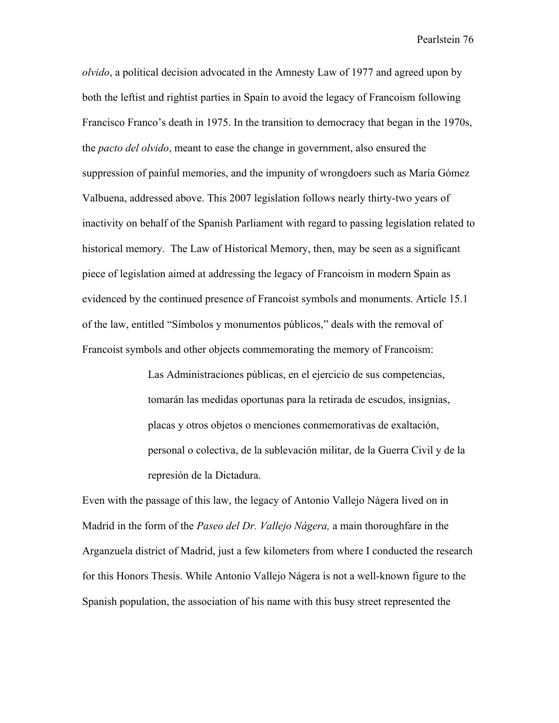*olvido*, a political decision advocated in the Amnesty Law of 1977 and agreed upon by both the leftist and rightist parties in Spain to avoid the legacy of Francoism following Francisco Franco's death in 1975. In the transition to democracy that began in the 1970s, the *pacto del olvido*, meant to ease the change in government, also ensured the suppression of painful memories, and the impunity of wrongdoers such as María Gómez Valbuena, addressed above. This 2007 legislation follows nearly thirty-two years of inactivity on behalf of the Spanish Parliament with regard to passing legislation related to historical memory. The Law of Historical Memory, then, may be seen as a significant piece of legislation aimed at addressing the legacy of Francoism in modern Spain as evidenced by the continued presence of Francoist symbols and monuments. Article 15.1 of the law, entitled "Símbolos y monumentos públicos," deals with the removal of Francoist symbols and other objects commemorating the memory of Francoism:

> Las Administraciones públicas, en el ejercicio de sus competencias, tomarán las medidas oportunas para la retirada de escudos, insignias, placas y otros objetos o menciones conmemorativas de exaltación, personal o colectiva, de la sublevación militar, de la Guerra Civil y de la represión de la Dictadura.

Even with the passage of this law, the legacy of Antonio Vallejo Nágera lived on in Madrid in the form of the *Paseo del Dr. Vallejo Nágera,* a main thoroughfare in the Arganzuela district of Madrid, just a few kilometers from where I conducted the research for this Honors Thesis. While Antonio Vallejo Nágera is not a well-known figure to the Spanish population, the association of his name with this busy street represented the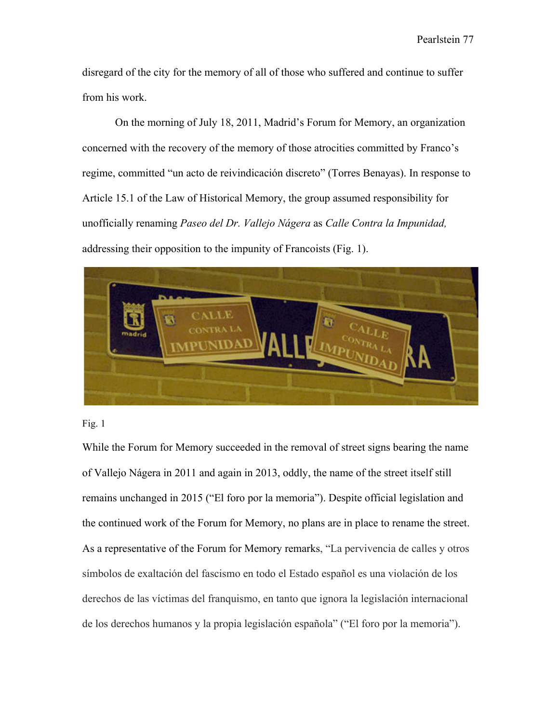disregard of the city for the memory of all of those who suffered and continue to suffer from his work.

On the morning of July 18, 2011, Madrid's Forum for Memory, an organization concerned with the recovery of the memory of those atrocities committed by Franco's regime, committed "un acto de reivindicación discreto" (Torres Benayas). In response to Article 15.1 of the Law of Historical Memory, the group assumed responsibility for unofficially renaming *Paseo del Dr. Vallejo Nágera* as *Calle Contra la Impunidad,* addressing their opposition to the impunity of Francoists (Fig. 1).





While the Forum for Memory succeeded in the removal of street signs bearing the name of Vallejo Nágera in 2011 and again in 2013, oddly, the name of the street itself still remains unchanged in 2015 ("El foro por la memoria"). Despite official legislation and the continued work of the Forum for Memory, no plans are in place to rename the street. As a representative of the Forum for Memory remarks, "La pervivencia de calles y otros símbolos de exaltación del fascismo en todo el Estado español es una violación de los derechos de las víctimas del franquismo, en tanto que ignora la legislación internacional de los derechos humanos y la propia legislación española" ("El foro por la memoria").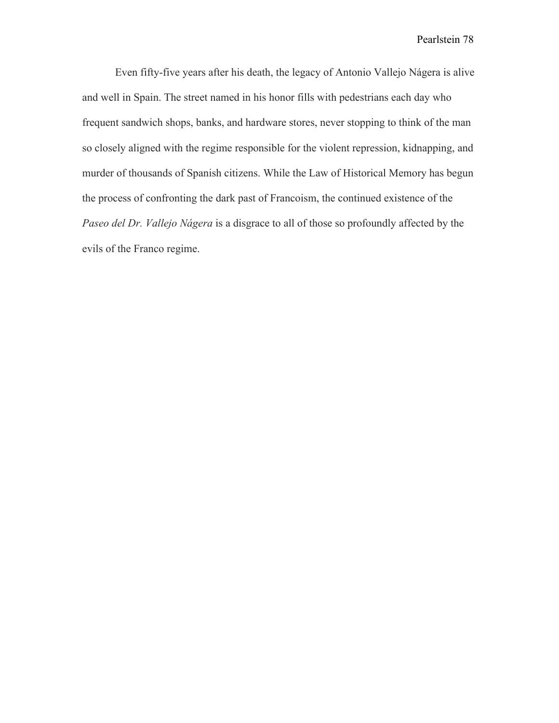Even fifty-five years after his death, the legacy of Antonio Vallejo Nágera is alive and well in Spain. The street named in his honor fills with pedestrians each day who frequent sandwich shops, banks, and hardware stores, never stopping to think of the man so closely aligned with the regime responsible for the violent repression, kidnapping, and murder of thousands of Spanish citizens. While the Law of Historical Memory has begun the process of confronting the dark past of Francoism, the continued existence of the *Paseo del Dr. Vallejo Nágera* is a disgrace to all of those so profoundly affected by the evils of the Franco regime.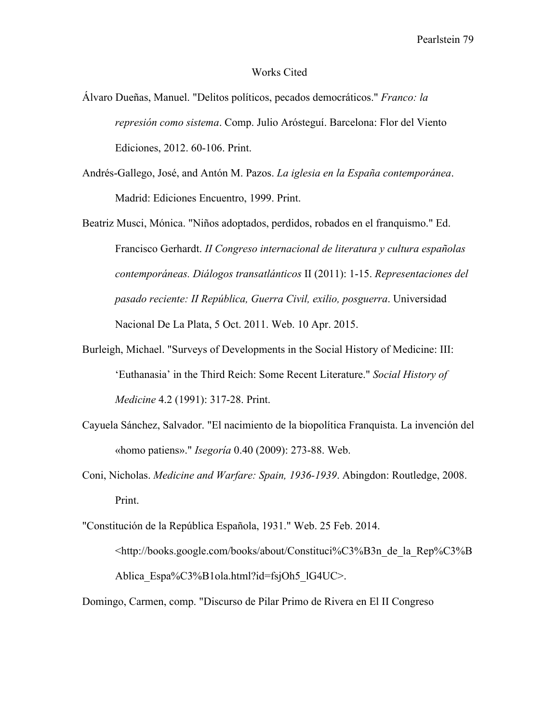## Works Cited

- Álvaro Dueñas, Manuel. "Delitos políticos, pecados democráticos." *Franco: la represión como sistema*. Comp. Julio Arósteguí. Barcelona: Flor del Viento Ediciones, 2012. 60-106. Print.
- Andrés-Gallego, José, and Antón M. Pazos. *La iglesia en la España contemporánea*. Madrid: Ediciones Encuentro, 1999. Print.

Beatriz Musci, Mónica. "Niños adoptados, perdidos, robados en el franquismo." Ed. Francisco Gerhardt. *II Congreso internacional de literatura y cultura españolas contemporáneas. Diálogos transatlánticos* II (2011): 1-15. *Representaciones del pasado reciente: II República, Guerra Civil, exilio, posguerra*. Universidad Nacional De La Plata, 5 Oct. 2011. Web. 10 Apr. 2015.

- Burleigh, Michael. "Surveys of Developments in the Social History of Medicine: III: 'Euthanasia' in the Third Reich: Some Recent Literature." *Social History of Medicine* 4.2 (1991): 317-28. Print.
- Cayuela Sánchez, Salvador. "El nacimiento de la biopolítica Franquista. La invención del «homo patiens»." *Isegoría* 0.40 (2009): 273-88. Web.
- Coni, Nicholas. *Medicine and Warfare: Spain, 1936-1939*. Abingdon: Routledge, 2008. Print.
- "Constitución de la República Española, 1931." Web. 25 Feb. 2014. <http://books.google.com/books/about/Constituci%C3%B3n\_de\_la\_Rep%C3%B Ablica\_Espa%C3%B1ola.html?id=fsjOh5\_lG4UC>.
- Domingo, Carmen, comp. "Discurso de Pilar Primo de Rivera en El II Congreso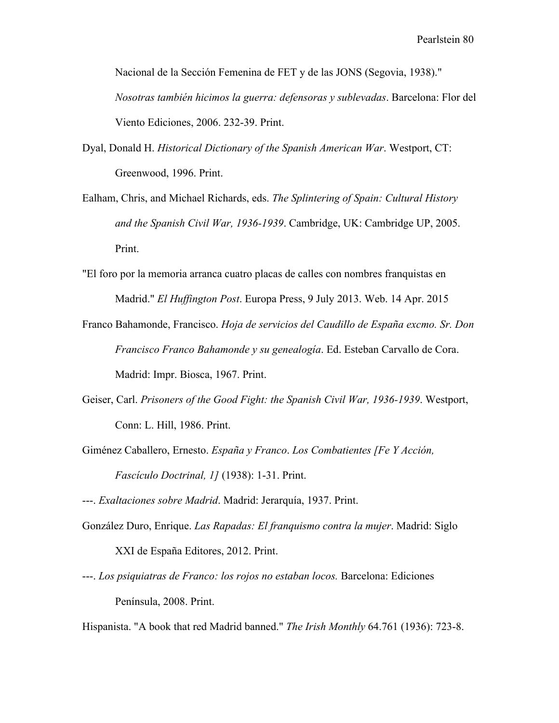Nacional de la Sección Femenina de FET y de las JONS (Segovia, 1938)." *Nosotras también hicimos la guerra: defensoras y sublevadas*. Barcelona: Flor del Viento Ediciones, 2006. 232-39. Print.

- Dyal, Donald H. *Historical Dictionary of the Spanish American War*. Westport, CT: Greenwood, 1996. Print.
- Ealham, Chris, and Michael Richards, eds. *The Splintering of Spain: Cultural History and the Spanish Civil War, 1936-1939*. Cambridge, UK: Cambridge UP, 2005. Print.
- "El foro por la memoria arranca cuatro placas de calles con nombres franquistas en Madrid." *El Huffington Post*. Europa Press, 9 July 2013. Web. 14 Apr. 2015
- Franco Bahamonde, Francisco. *Hoja de servicios del Caudillo de España excmo. Sr. Don Francisco Franco Bahamonde y su genealogía*. Ed. Esteban Carvallo de Cora. Madrid: Impr. Biosca, 1967. Print.
- Geiser, Carl. *Prisoners of the Good Fight: the Spanish Civil War, 1936-1939*. Westport, Conn: L. Hill, 1986. Print.
- Giménez Caballero, Ernesto. *España y Franco*. *Los Combatientes [Fe Y Acción, Fascículo Doctrinal, 1]* (1938): 1-31. Print.
- ---. *Exaltaciones sobre Madrid*. Madrid: Jerarquía, 1937. Print.
- González Duro, Enrique. *Las Rapadas: El franquismo contra la mujer*. Madrid: Siglo XXI de España Editores, 2012. Print.
- ---. *Los psiquiatras de Franco: los rojos no estaban locos.* Barcelona: Ediciones Península, 2008. Print.

Hispanista. "A book that red Madrid banned." *The Irish Monthly* 64.761 (1936): 723-8.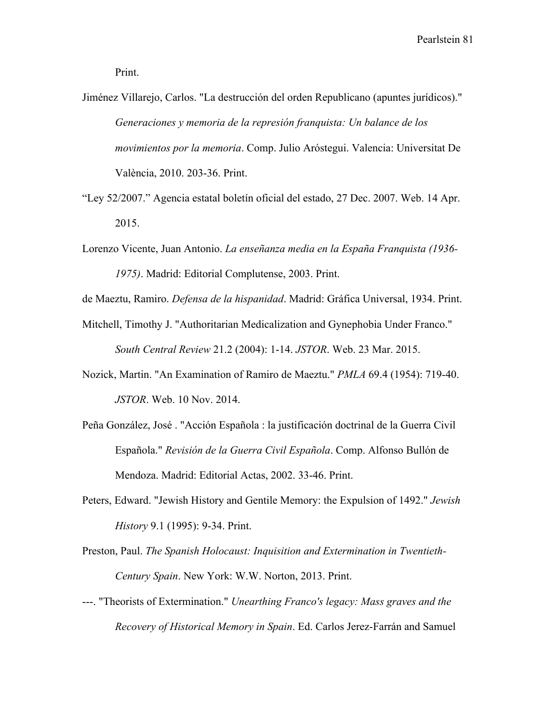- Jiménez Villarejo, Carlos. "La destrucción del orden Republicano (apuntes jurídicos)." *Generaciones y memoria de la represión franquista: Un balance de los movimientos por la memoria*. Comp. Julio Aróstegui. Valencia: Universitat De València, 2010. 203-36. Print.
- "Ley 52/2007." Agencia estatal boletín oficial del estado, 27 Dec. 2007. Web. 14 Apr. 2015.
- Lorenzo Vicente, Juan Antonio. *La enseñanza media en la España Franquista (1936- 1975)*. Madrid: Editorial Complutense, 2003. Print.
- de Maeztu, Ramiro. *Defensa de la hispanidad*. Madrid: Gráfica Universal, 1934. Print.
- Mitchell, Timothy J. "Authoritarian Medicalization and Gynephobia Under Franco." *South Central Review* 21.2 (2004): 1-14. *JSTOR*. Web. 23 Mar. 2015.
- Nozick, Martin. "An Examination of Ramiro de Maeztu." *PMLA* 69.4 (1954): 719-40. *JSTOR*. Web. 10 Nov. 2014.
- Peña González, José . "Acción Española : la justificación doctrinal de la Guerra Civil Española." *Revisión de la Guerra Civil Española*. Comp. Alfonso Bullón de Mendoza. Madrid: Editorial Actas, 2002. 33-46. Print.
- Peters, Edward. "Jewish History and Gentile Memory: the Expulsion of 1492." *Jewish History* 9.1 (1995): 9-34. Print.
- Preston, Paul. *The Spanish Holocaust: Inquisition and Extermination in Twentieth-Century Spain*. New York: W.W. Norton, 2013. Print.
- ---. "Theorists of Extermination." *Unearthing Franco's legacy: Mass graves and the Recovery of Historical Memory in Spain*. Ed. Carlos Jerez-Farrán and Samuel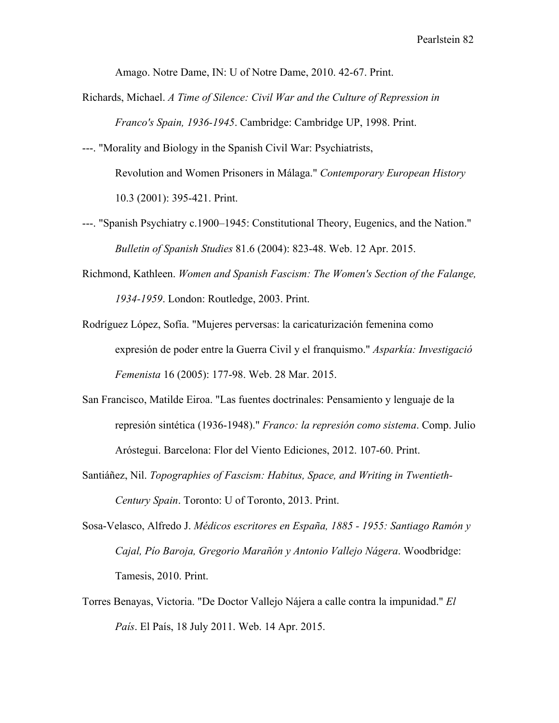Amago. Notre Dame, IN: U of Notre Dame, 2010. 42-67. Print.

- Richards, Michael. *A Time of Silence: Civil War and the Culture of Repression in Franco's Spain, 1936-1945*. Cambridge: Cambridge UP, 1998. Print.
- ---. "Morality and Biology in the Spanish Civil War: Psychiatrists, Revolution and Women Prisoners in Málaga." *Contemporary European History* 10.3 (2001): 395-421. Print.
- ---. "Spanish Psychiatry c.1900–1945: Constitutional Theory, Eugenics, and the Nation." *Bulletin of Spanish Studies* 81.6 (2004): 823-48. Web. 12 Apr. 2015.
- Richmond, Kathleen. *Women and Spanish Fascism: The Women's Section of the Falange, 1934-1959*. London: Routledge, 2003. Print.
- Rodríguez López, Sofía. "Mujeres perversas: la caricaturización femenina como expresión de poder entre la Guerra Civil y el franquismo." *Asparkía: Investigació Femenista* 16 (2005): 177-98. Web. 28 Mar. 2015.
- San Francisco, Matilde Eiroa. "Las fuentes doctrinales: Pensamiento y lenguaje de la represión sintética (1936-1948)." *Franco: la represión como sistema*. Comp. Julio Aróstegui. Barcelona: Flor del Viento Ediciones, 2012. 107-60. Print.
- Santiáñez, Nil. *Topographies of Fascism: Habitus, Space, and Writing in Twentieth-Century Spain*. Toronto: U of Toronto, 2013. Print.
- Sosa-Velasco, Alfredo J. *Médicos escritores en España, 1885 1955: Santiago Ramón y Cajal, Pío Baroja, Gregorio Marañón y Antonio Vallejo Nágera*. Woodbridge: Tamesis, 2010. Print.
- Torres Benayas, Victoria. "De Doctor Vallejo Nájera a calle contra la impunidad." *El País*. El País, 18 July 2011. Web. 14 Apr. 2015.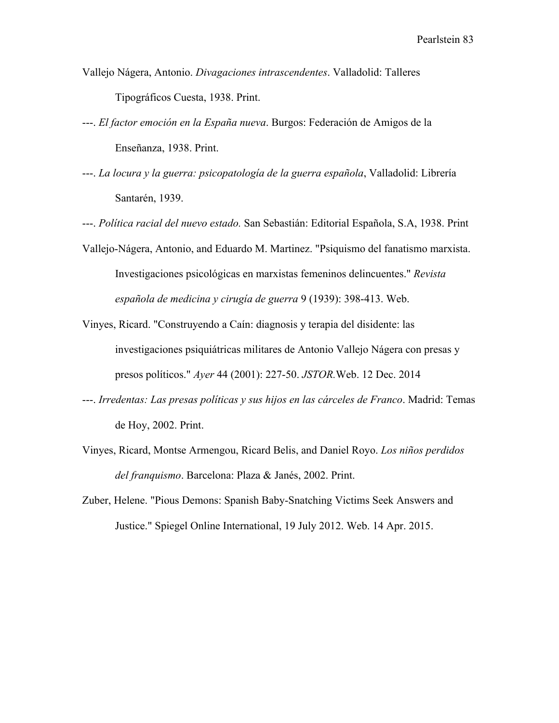- Vallejo Nágera, Antonio. *Divagaciones intrascendentes*. Valladolid: Talleres Tipográficos Cuesta, 1938. Print.
- ---. *El factor emoción en la España nueva*. Burgos: Federación de Amigos de la Enseñanza, 1938. Print.
- ---. *La locura y la guerra: psicopatología de la guerra española*, Valladolid: Librería Santarén, 1939.

---. *Política racial del nuevo estado.* San Sebastián: Editorial Española, S.A, 1938. Print

- Vallejo-Nágera, Antonio, and Eduardo M. Martinez. "Psiquismo del fanatismo marxista. Investigaciones psicológicas en marxistas femeninos delincuentes." *Revista española de medicina y cirugía de guerra* 9 (1939): 398-413. Web.
- Vinyes, Ricard. "Construyendo a Caín: diagnosis y terapia del disidente: las investigaciones psiquiátricas militares de Antonio Vallejo Nágera con presas y presos políticos." *Ayer* 44 (2001): 227-50. *JSTOR.*Web. 12 Dec. 2014
- ---. *Irredentas: Las presas políticas y sus hijos en las cárceles de Franco*. Madrid: Temas de Hoy, 2002. Print.
- Vinyes, Ricard, Montse Armengou, Ricard Belis, and Daniel Royo. *Los niños perdidos del franquismo*. Barcelona: Plaza & Janés, 2002. Print.
- Zuber, Helene. "Pious Demons: Spanish Baby-Snatching Victims Seek Answers and Justice." Spiegel Online International, 19 July 2012. Web. 14 Apr. 2015.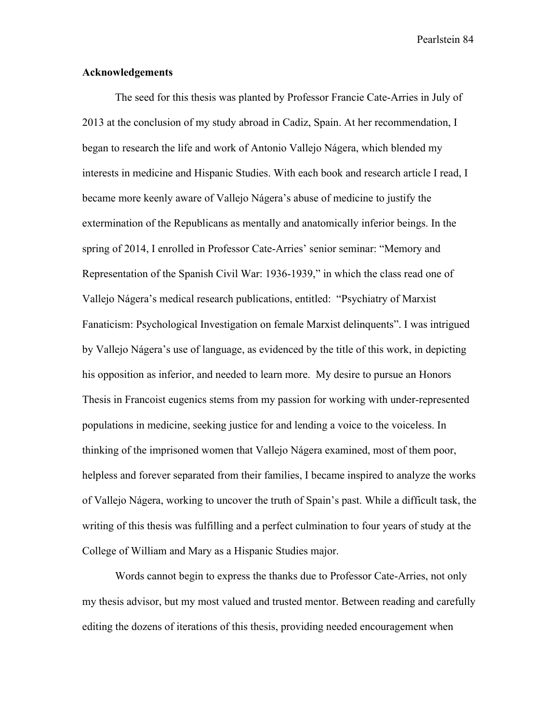## **Acknowledgements**

The seed for this thesis was planted by Professor Francie Cate-Arries in July of 2013 at the conclusion of my study abroad in Cadiz, Spain. At her recommendation, I began to research the life and work of Antonio Vallejo Nágera, which blended my interests in medicine and Hispanic Studies. With each book and research article I read, I became more keenly aware of Vallejo Nágera's abuse of medicine to justify the extermination of the Republicans as mentally and anatomically inferior beings. In the spring of 2014, I enrolled in Professor Cate-Arries' senior seminar: "Memory and Representation of the Spanish Civil War: 1936-1939," in which the class read one of Vallejo Nágera's medical research publications, entitled: "Psychiatry of Marxist Fanaticism: Psychological Investigation on female Marxist delinquents". I was intrigued by Vallejo Nágera's use of language, as evidenced by the title of this work, in depicting his opposition as inferior, and needed to learn more. My desire to pursue an Honors Thesis in Francoist eugenics stems from my passion for working with under-represented populations in medicine, seeking justice for and lending a voice to the voiceless. In thinking of the imprisoned women that Vallejo Nágera examined, most of them poor, helpless and forever separated from their families, I became inspired to analyze the works of Vallejo Nágera, working to uncover the truth of Spain's past. While a difficult task, the writing of this thesis was fulfilling and a perfect culmination to four years of study at the College of William and Mary as a Hispanic Studies major.

Words cannot begin to express the thanks due to Professor Cate-Arries, not only my thesis advisor, but my most valued and trusted mentor. Between reading and carefully editing the dozens of iterations of this thesis, providing needed encouragement when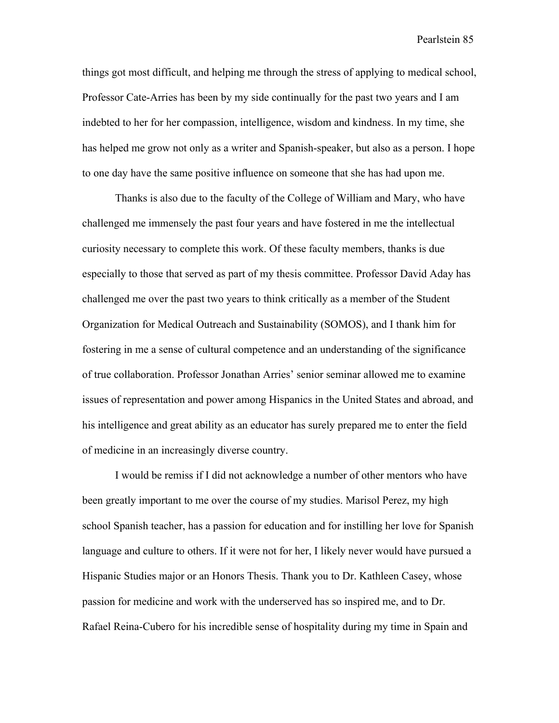things got most difficult, and helping me through the stress of applying to medical school, Professor Cate-Arries has been by my side continually for the past two years and I am indebted to her for her compassion, intelligence, wisdom and kindness. In my time, she has helped me grow not only as a writer and Spanish-speaker, but also as a person. I hope to one day have the same positive influence on someone that she has had upon me.

Thanks is also due to the faculty of the College of William and Mary, who have challenged me immensely the past four years and have fostered in me the intellectual curiosity necessary to complete this work. Of these faculty members, thanks is due especially to those that served as part of my thesis committee. Professor David Aday has challenged me over the past two years to think critically as a member of the Student Organization for Medical Outreach and Sustainability (SOMOS), and I thank him for fostering in me a sense of cultural competence and an understanding of the significance of true collaboration. Professor Jonathan Arries' senior seminar allowed me to examine issues of representation and power among Hispanics in the United States and abroad, and his intelligence and great ability as an educator has surely prepared me to enter the field of medicine in an increasingly diverse country.

I would be remiss if I did not acknowledge a number of other mentors who have been greatly important to me over the course of my studies. Marisol Perez, my high school Spanish teacher, has a passion for education and for instilling her love for Spanish language and culture to others. If it were not for her, I likely never would have pursued a Hispanic Studies major or an Honors Thesis. Thank you to Dr. Kathleen Casey, whose passion for medicine and work with the underserved has so inspired me, and to Dr. Rafael Reina-Cubero for his incredible sense of hospitality during my time in Spain and